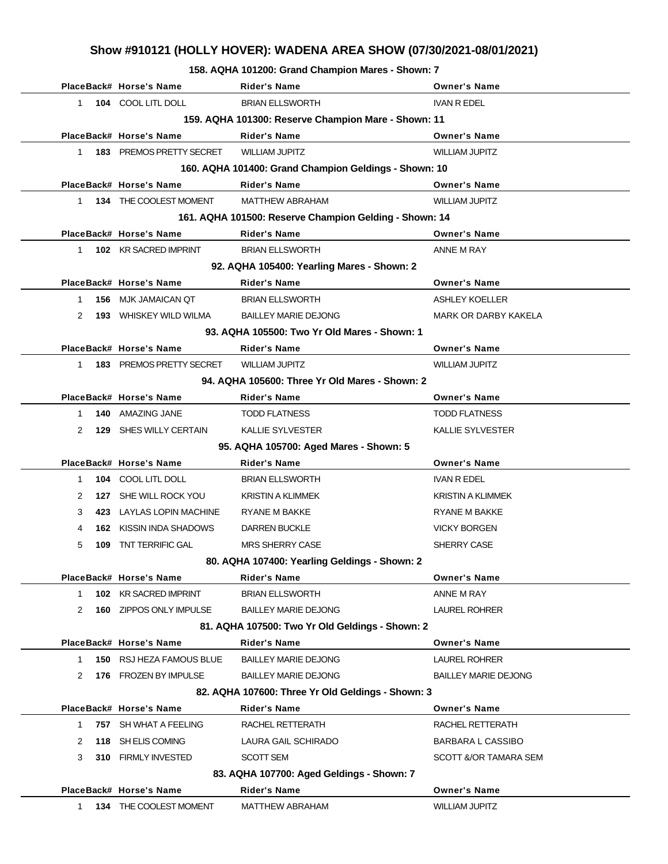**158. AQHA 101200: Grand Champion Mares - Shown: 7**

|              | PlaceBack# Horse's Name       | <b>Rider's Name</b>                                    | <b>Owner's Name</b>         |
|--------------|-------------------------------|--------------------------------------------------------|-----------------------------|
| $\mathbf{1}$ | 104 COOL LITL DOLL            | <b>BRIAN ELLSWORTH</b>                                 | <b>IVAN R EDEL</b>          |
|              |                               | 159. AQHA 101300: Reserve Champion Mare - Shown: 11    |                             |
|              | PlaceBack# Horse's Name       | <b>Rider's Name</b>                                    | <b>Owner's Name</b>         |
|              |                               |                                                        | <b>WILLIAM JUPITZ</b>       |
| 1            | 183 PREMOS PRETTY SECRET      | <b>WILLIAM JUPITZ</b>                                  |                             |
|              |                               | 160. AQHA 101400: Grand Champion Geldings - Shown: 10  |                             |
|              | PlaceBack# Horse's Name       | <b>Rider's Name</b>                                    | <b>Owner's Name</b>         |
| 1            | 134 THE COOLEST MOMENT        | <b>MATTHEW ABRAHAM</b>                                 | <b>WILLIAM JUPITZ</b>       |
|              |                               | 161. AQHA 101500: Reserve Champion Gelding - Shown: 14 |                             |
|              | PlaceBack# Horse's Name       | <b>Rider's Name</b>                                    | <b>Owner's Name</b>         |
| 1            | 102 KR SACRED IMPRINT         | <b>BRIAN ELLSWORTH</b>                                 | ANNE M RAY                  |
|              |                               | 92. AQHA 105400: Yearling Mares - Shown: 2             |                             |
|              | PlaceBack# Horse's Name       | <b>Rider's Name</b>                                    | <b>Owner's Name</b>         |
| $\mathbf{1}$ | <b>156 MJK JAMAICAN QT</b>    | <b>BRIAN ELLSWORTH</b>                                 | <b>ASHLEY KOELLER</b>       |
| 2            | <b>193</b> WHISKEY WILD WILMA | <b>BAILLEY MARIE DEJONG</b>                            | <b>MARK OR DARBY KAKELA</b> |
|              |                               | 93. AQHA 105500: Two Yr Old Mares - Shown: 1           |                             |
|              | PlaceBack# Horse's Name       | <b>Rider's Name</b>                                    | <b>Owner's Name</b>         |
| 1            | 183 PREMOS PRETTY SECRET      | <b>WILLIAM JUPITZ</b>                                  | <b>WILLIAM JUPITZ</b>       |
|              |                               | 94. AQHA 105600: Three Yr Old Mares - Shown: 2         |                             |
|              | PlaceBack# Horse's Name       | Rider's Name                                           | <b>Owner's Name</b>         |
| $\mathbf{1}$ | 140 AMAZING JANE              | <b>TODD FLATNESS</b>                                   | <b>TODD FLATNESS</b>        |
| 2            | 129 SHES WILLY CERTAIN        | <b>KALLIE SYLVESTER</b>                                | KALLIE SYLVESTER            |
|              |                               | 95. AQHA 105700: Aged Mares - Shown: 5                 |                             |
|              | PlaceBack# Horse's Name       | <b>Rider's Name</b>                                    | <b>Owner's Name</b>         |
|              |                               |                                                        |                             |
| $\mathbf{1}$ | 104 COOL LITL DOLL            | <b>BRIAN ELLSWORTH</b>                                 | <b>IVAN R EDEL</b>          |
| 2            | 127 SHE WILL ROCK YOU         | <b>KRISTIN A KLIMMEK</b>                               | <b>KRISTIN A KLIMMEK</b>    |
| 3            | 423 LAYLAS LOPIN MACHINE      | RYANE M BAKKE                                          | <b>RYANE M BAKKE</b>        |
| 4            | 162 KISSIN INDA SHADOWS       | <b>DARREN BUCKLE</b>                                   | <b>VICKY BORGEN</b>         |
| 5<br>109     | <b>TNT TERRIFIC GAL</b>       | <b>MRS SHERRY CASE</b>                                 | SHERRY CASE                 |
|              |                               | 80. AQHA 107400: Yearling Geldings - Shown: 2          |                             |
|              | PlaceBack# Horse's Name       | Rider's Name                                           | <b>Owner's Name</b>         |
| $\mathbf{1}$ | 102 KR SACRED IMPRINT         | <b>BRIAN ELLSWORTH</b>                                 | ANNE M RAY                  |
| 2            | 160 ZIPPOS ONLY IMPULSE       | <b>BAILLEY MARIE DEJONG</b>                            | <b>LAUREL ROHRER</b>        |
|              |                               | 81. AQHA 107500: Two Yr Old Geldings - Shown: 2        |                             |
|              | PlaceBack# Horse's Name       | <b>Rider's Name</b>                                    | <b>Owner's Name</b>         |
| $\mathbf 1$  | 150 RSJ HEZA FAMOUS BLUE      | <b>BAILLEY MARIE DEJONG</b>                            | <b>LAUREL ROHRER</b>        |
| 2<br>176     | <b>FROZEN BY IMPULSE</b>      | <b>BAILLEY MARIE DEJONG</b>                            | <b>BAILLEY MARIE DEJONG</b> |
|              |                               | 82. AQHA 107600: Three Yr Old Geldings - Shown: 3      |                             |
|              | PlaceBack# Horse's Name       | <b>Rider's Name</b>                                    | <b>Owner's Name</b>         |
| 1            | 757 SH WHAT A FEELING         | RACHEL RETTERATH                                       | RACHEL RETTERATH            |
| 2            | 118 SH ELIS COMING            | LAURA GAIL SCHIRADO                                    | <b>BARBARA L CASSIBO</b>    |
| 3            | 310 FIRMLY INVESTED           | SCOTT SEM                                              | SCOTT &/OR TAMARA SEM       |
|              |                               | 83. AQHA 107700: Aged Geldings - Shown: 7              |                             |
|              | PlaceBack# Horse's Name       | Rider's Name                                           | <b>Owner's Name</b>         |
| 1.           | 134 THE COOLEST MOMENT        | <b>MATTHEW ABRAHAM</b>                                 | WILLIAM JUPITZ              |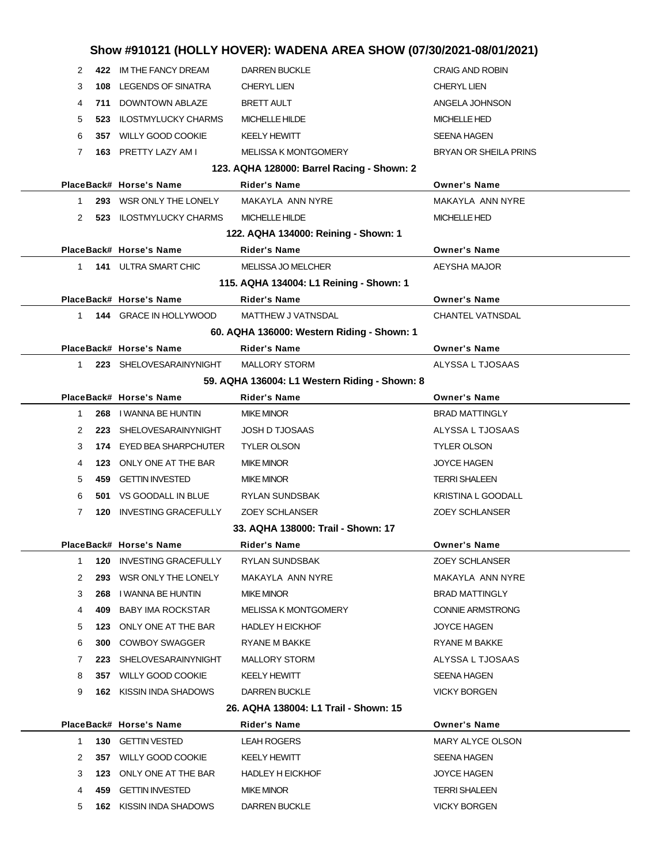|    |     |                                | Show #910121 (HOLLY HOVER): WADENA AREA SHOW (07/30/2021-08/01/2021) |                           |
|----|-----|--------------------------------|----------------------------------------------------------------------|---------------------------|
| 2  |     | 422 IM THE FANCY DREAM         | <b>DARREN BUCKLE</b>                                                 | <b>CRAIG AND ROBIN</b>    |
| 3  | 108 | <b>LEGENDS OF SINATRA</b>      | <b>CHERYL LIEN</b>                                                   | <b>CHERYL LIEN</b>        |
| 4  |     | 711 DOWNTOWN ABLAZE            | <b>BRETT AULT</b>                                                    | ANGELA JOHNSON            |
| 5  | 523 | <b>ILOSTMYLUCKY CHARMS</b>     | <b>MICHELLE HILDE</b>                                                | <b>MICHELLE HED</b>       |
| 6  |     | 357 WILLY GOOD COOKIE          | <b>KEELY HEWITT</b>                                                  | <b>SEENA HAGEN</b>        |
| 7  |     | 163 PRETTY LAZY AM I           | <b>MELISSA K MONTGOMERY</b>                                          | BRYAN OR SHEILA PRINS     |
|    |     |                                | 123. AQHA 128000: Barrel Racing - Shown: 2                           |                           |
|    |     | PlaceBack# Horse's Name        | <b>Rider's Name</b>                                                  | <b>Owner's Name</b>       |
| 1  |     | 293 WSR ONLY THE LONELY        | MAKAYLA ANN NYRE                                                     | MAKAYLA ANN NYRE          |
| 2  |     | 523 ILOSTMYLUCKY CHARMS        | MICHELLE HILDE                                                       | <b>MICHELLE HED</b>       |
|    |     |                                | 122. AQHA 134000: Reining - Shown: 1                                 |                           |
|    |     | PlaceBack# Horse's Name        | <b>Rider's Name</b>                                                  | <b>Owner's Name</b>       |
| 1  |     | <b>141 ULTRA SMART CHIC</b>    | <b>MELISSA JO MELCHER</b>                                            | AEYSHA MAJOR              |
|    |     |                                | 115. AQHA 134004: L1 Reining - Shown: 1                              |                           |
|    |     | PlaceBack# Horse's Name        | <b>Rider's Name</b>                                                  | <b>Owner's Name</b>       |
| 1  |     | 144 GRACE IN HOLLYWOOD         | <b>MATTHEW J VATNSDAL</b>                                            | <b>CHANTEL VATNSDAL</b>   |
|    |     |                                | 60. AQHA 136000: Western Riding - Shown: 1                           |                           |
|    |     | PlaceBack# Horse's Name        | <b>Rider's Name</b>                                                  | <b>Owner's Name</b>       |
| 1. |     | 223 SHELOVESARAINYNIGHT        | <b>MALLORY STORM</b>                                                 | ALYSSA L TJOSAAS          |
|    |     |                                | 59. AQHA 136004: L1 Western Riding - Shown: 8                        |                           |
|    |     | PlaceBack# Horse's Name        | <b>Rider's Name</b>                                                  | <b>Owner's Name</b>       |
| 1. | 268 | I WANNA BE HUNTIN              | <b>MIKE MINOR</b>                                                    | <b>BRAD MATTINGLY</b>     |
| 2  | 223 | SHELOVESARAINYNIGHT            | <b>JOSH D TJOSAAS</b>                                                | ALYSSA L TJOSAAS          |
| 3  | 174 | EYED BEA SHARPCHUTER           | <b>TYLER OLSON</b>                                                   | <b>TYLER OLSON</b>        |
| 4  | 123 | ONLY ONE AT THE BAR            | <b>MIKE MINOR</b>                                                    | <b>JOYCE HAGEN</b>        |
| 5  | 459 | <b>GETTIN INVESTED</b>         | <b>MIKE MINOR</b>                                                    | <b>TERRI SHALEEN</b>      |
| 6  |     | 501 VS GOODALL IN BLUE         | <b>RYLAN SUNDSBAK</b>                                                | <b>KRISTINA L GOODALL</b> |
| 7  | 120 | <b>INVESTING GRACEFULLY</b>    | <b>ZOEY SCHLANSER</b>                                                | <b>ZOEY SCHLANSER</b>     |
|    |     |                                | 33. AQHA 138000: Trail - Shown: 17                                   |                           |
|    |     | PlaceBack# Horse's Name        | Rider's Name                                                         | <b>Owner's Name</b>       |
| 1  |     | 120 INVESTING GRACEFULLY       | RYLAN SUNDSBAK                                                       | <b>ZOEY SCHLANSER</b>     |
| 2  |     | 293 WSR ONLY THE LONELY        | MAKAYLA ANN NYRE                                                     | MAKAYLA ANN NYRE          |
| 3  | 268 | I WANNA BE HUNTIN              | MIKE MINOR                                                           | <b>BRAD MATTINGLY</b>     |
| 4  | 409 | <b>BABY IMA ROCKSTAR</b>       | MELISSA K MONTGOMERY                                                 | CONNIE ARMSTRONG          |
| 5  | 123 | ONLY ONE AT THE BAR            | <b>HADLEY H EICKHOF</b>                                              | <b>JOYCE HAGEN</b>        |
| 6  |     | <b>300 COWBOY SWAGGER</b>      | RYANE M BAKKE                                                        | RYANE M BAKKE             |
| 7  |     | 223 SHELOVESARAINYNIGHT        | MALLORY STORM                                                        | ALYSSA L TJOSAAS          |
| 8  |     | 357 WILLY GOOD COOKIE          | KEELY HEWITT                                                         | SEENA HAGEN               |
| 9  |     | <b>162 KISSIN INDA SHADOWS</b> | DARREN BUCKLE                                                        | <b>VICKY BORGEN</b>       |
|    |     |                                | 26. AQHA 138004: L1 Trail - Shown: 15                                |                           |
|    |     | PlaceBack# Horse's Name        | Rider's Name                                                         | <b>Owner's Name</b>       |
| 1  |     | 130 GETTIN VESTED              | LEAH ROGERS                                                          | MARY ALYCE OLSON          |
| 2  |     | 357 WILLY GOOD COOKIE          | KEELY HEWITT                                                         | <b>SEENA HAGEN</b>        |
| 3  |     | 123 ONLY ONE AT THE BAR        | <b>HADLEY H EICKHOF</b>                                              | <b>JOYCE HAGEN</b>        |
| 4  |     | 459 GETTIN INVESTED            | MIKE MINOR                                                           | <b>TERRI SHALEEN</b>      |
| 5  |     | <b>162 KISSIN INDA SHADOWS</b> | <b>DARREN BUCKLE</b>                                                 | <b>VICKY BORGEN</b>       |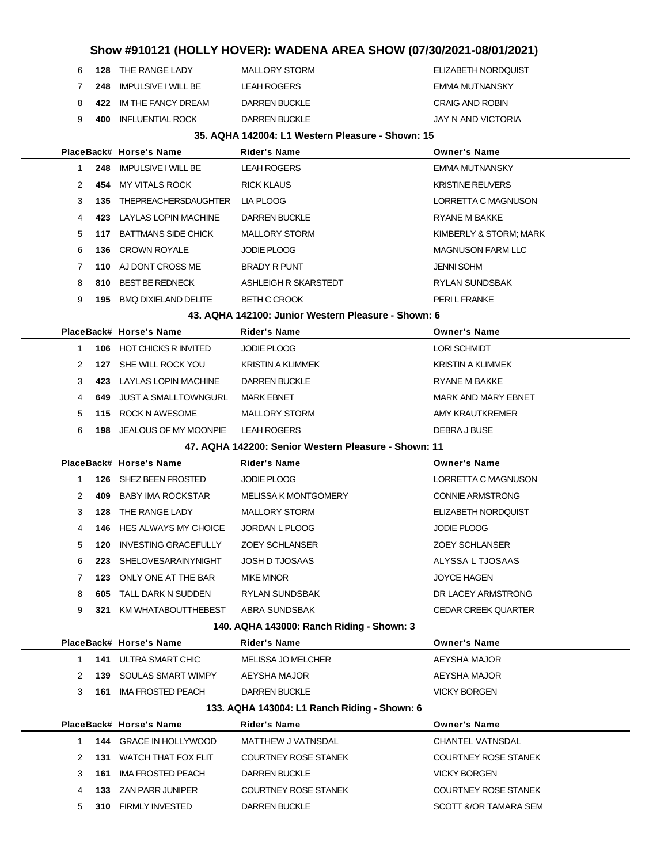|   | 6 128 THE RANGE LADY          | MALLORY STORM | ELIZABETH NORDQUIST |
|---|-------------------------------|---------------|---------------------|
| 7 | 248 IMPULSIVE I WILL BE       | LEAH ROGERS   | EMMA MUTNANSKY      |
|   | 8 422 IM THE FANCY DREAM      | DARREN BUCKLE | CRAIG AND ROBIN     |
|   | 9 <b>400 INFLUENTIAL ROCK</b> | DARREN BUCKLE | JAY N AND VICTORIA  |
|   |                               |               |                     |

### **35. AQHA 142004: L1 Western Pleasure - Shown: 15**

|              |     | PlaceBack# Horse's Name          | <b>Rider's Name</b>                                  | <b>Owner's Name</b>         |
|--------------|-----|----------------------------------|------------------------------------------------------|-----------------------------|
| 1            |     | 248 IMPULSIVE I WILL BE          | <b>LEAH ROGERS</b>                                   | EMMA MUTNANSKY              |
| 2            |     | 454 MY VITALS ROCK               | <b>RICK KLAUS</b>                                    | <b>KRISTINE REUVERS</b>     |
| 3            |     | 135 THEPREACHERSDAUGHTER         | LIA PLOOG                                            | LORRETTA C MAGNUSON         |
| 4            |     | 423 LAYLAS LOPIN MACHINE         | <b>DARREN BUCKLE</b>                                 | RYANE M BAKKE               |
| 5            |     | 117 BATTMANS SIDE CHICK          | <b>MALLORY STORM</b>                                 | KIMBERLY & STORM; MARK      |
| 6            |     | 136 CROWN ROYALE                 | <b>JODIE PLOOG</b>                                   | <b>MAGNUSON FARM LLC</b>    |
| 7            |     | 110 AJ DONT CROSS ME             | <b>BRADY R PUNT</b>                                  | JENNI SOHM                  |
| 8            |     | 810 BEST BE REDNECK              | ASHLEIGH R SKARSTEDT                                 | RYLAN SUNDSBAK              |
| 9            |     | 195 BMQ DIXIELAND DELITE         | <b>BETH C CROOK</b>                                  | PERI L FRANKE               |
|              |     |                                  | 43. AQHA 142100: Junior Western Pleasure - Shown: 6  |                             |
|              |     | PlaceBack# Horse's Name          | Rider's Name                                         | <b>Owner's Name</b>         |
| $\mathbf{1}$ |     | 106 HOT CHICKS R INVITED         | <b>JODIE PLOOG</b>                                   | <b>LORI SCHMIDT</b>         |
| 2            |     | 127 SHE WILL ROCK YOU            | <b>KRISTIN A KLIMMEK</b>                             | <b>KRISTIN A KLIMMEK</b>    |
| 3            |     | 423 LAYLAS LOPIN MACHINE         | <b>DARREN BUCKLE</b>                                 | RYANE M BAKKE               |
| 4            |     | <b>649 JUST A SMALLTOWNGURL</b>  | <b>MARK EBNET</b>                                    | MARK AND MARY EBNET         |
| 5            |     | 115 ROCK N AWESOME               | <b>MALLORY STORM</b>                                 | AMY KRAUTKREMER             |
| 6            |     | <b>198 JEALOUS OF MY MOONPIE</b> | <b>LEAH ROGERS</b>                                   | DEBRA J BUSE                |
|              |     |                                  | 47. AQHA 142200: Senior Western Pleasure - Shown: 11 |                             |
|              |     | PlaceBack# Horse's Name          | Rider's Name                                         | <b>Owner's Name</b>         |
| $\mathbf{1}$ |     | 126 SHEZ BEEN FROSTED            | <b>JODIE PLOOG</b>                                   | LORRETTA C MAGNUSON         |
| 2            | 409 | BABY IMA ROCKSTAR                | <b>MELISSA K MONTGOMERY</b>                          | <b>CONNIE ARMSTRONG</b>     |
| 3            | 128 | THE RANGE LADY                   | <b>MALLORY STORM</b>                                 | ELIZABETH NORDQUIST         |
| 4            |     | <b>146 HES ALWAYS MY CHOICE</b>  | JORDAN L PLOOG                                       | <b>JODIE PLOOG</b>          |
| 5            | 120 | INVESTING GRACEFULLY             | <b>ZOEY SCHLANSER</b>                                | <b>ZOEY SCHLANSER</b>       |
| 6            | 223 | SHELOVESARAINYNIGHT              | <b>JOSH D TJOSAAS</b>                                | ALYSSA L TJOSAAS            |
| 7            |     | 123 ONLY ONE AT THE BAR          | <b>MIKE MINOR</b>                                    | JOYCE HAGEN                 |
| 8            | 605 | TALL DARK N SUDDEN               | RYLAN SUNDSBAK                                       | DR LACEY ARMSTRONG          |
| 9            | 321 | KM WHATABOUTTHEBEST              | ABRA SUNDSBAK                                        | <b>CEDAR CREEK QUARTER</b>  |
|              |     |                                  | 140. AQHA 143000: Ranch Riding - Shown: 3            |                             |
|              |     | PlaceBack# Horse's Name          | <b>Rider's Name</b>                                  | <b>Owner's Name</b>         |
| 1.           | 141 | <b>ULTRA SMART CHIC</b>          | <b>MELISSA JO MELCHER</b>                            | AEYSHA MAJOR                |
| 2            | 139 | SOULAS SMART WIMPY               | AEYSHA MAJOR                                         | AEYSHA MAJOR                |
| 3            | 161 | <b>IMA FROSTED PEACH</b>         | <b>DARREN BUCKLE</b>                                 | <b>VICKY BORGEN</b>         |
|              |     |                                  | 133. AQHA 143004: L1 Ranch Riding - Shown: 6         |                             |
|              |     | PlaceBack# Horse's Name          | <b>Rider's Name</b>                                  | <b>Owner's Name</b>         |
| $\mathbf{1}$ |     | 144 GRACE IN HOLLYWOOD           | MATTHEW J VATNSDAL                                   | <b>CHANTEL VATNSDAL</b>     |
| 2            | 131 | WATCH THAT FOX FLIT              | <b>COURTNEY ROSE STANEK</b>                          | <b>COURTNEY ROSE STANEK</b> |
| 3            | 161 | <b>IMA FROSTED PEACH</b>         | <b>DARREN BUCKLE</b>                                 | <b>VICKY BORGEN</b>         |
| 4            |     | 133 ZAN PARR JUNIPER             | <b>COURTNEY ROSE STANEK</b>                          | <b>COURTNEY ROSE STANEK</b> |
|              |     |                                  |                                                      |                             |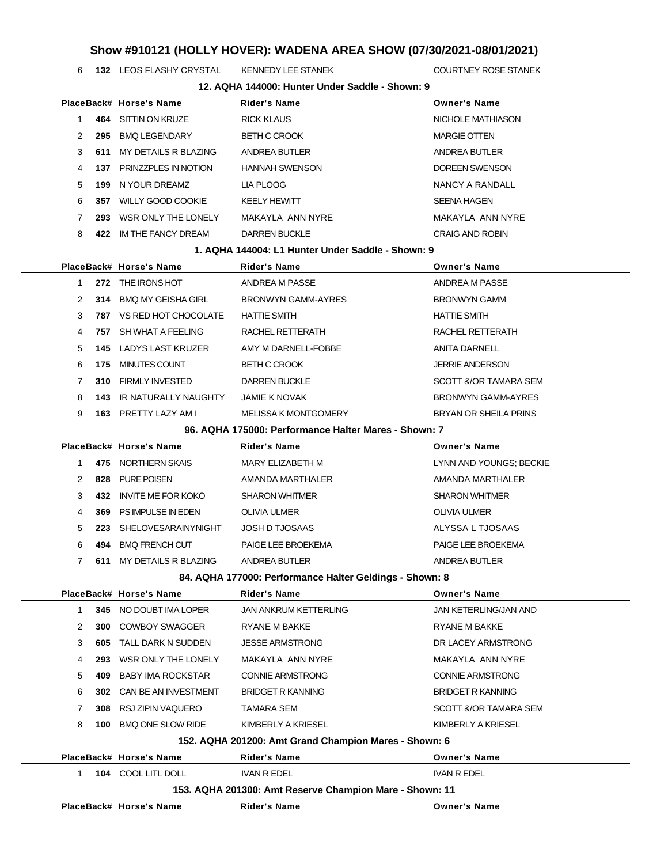**132** LEOS FLASHY CRYSTAL KENNEDY LEE STANEK **COURTNEY ROSE STANEK** 

|                |     | PlaceBack# Horse's Name         | Rider's Name                                            | <b>Owner's Name</b>          |
|----------------|-----|---------------------------------|---------------------------------------------------------|------------------------------|
| 1              |     | 464 SITTIN ON KRUZE             | <b>RICK KLAUS</b>                                       | NICHOLE MATHIASON            |
| 2              | 295 | BMQ LEGENDARY                   | <b>BETH C CROOK</b>                                     | <b>MARGIE OTTEN</b>          |
| 3              | 611 | MY DETAILS R BLAZING            | ANDREA BUTLER                                           | ANDREA BUTLER                |
| 4              |     | 137 PRINZZPLES IN NOTION        | <b>HANNAH SWENSON</b>                                   | DOREEN SWENSON               |
| 5              | 199 | N YOUR DREAMZ                   | LIA PLOOG                                               | NANCY A RANDALL              |
| 6              |     | 357 WILLY GOOD COOKIE           | <b>KEELY HEWITT</b>                                     | <b>SEENA HAGEN</b>           |
| 7              | 293 | WSR ONLY THE LONELY             | MAKAYLA ANN NYRE                                        | MAKAYLA ANN NYRE             |
| 8              |     | 422 IM THE FANCY DREAM          | <b>DARREN BUCKLE</b>                                    | <b>CRAIG AND ROBIN</b>       |
|                |     |                                 | 1. AQHA 144004: L1 Hunter Under Saddle - Shown: 9       |                              |
|                |     | PlaceBack# Horse's Name         | Rider's Name                                            | <b>Owner's Name</b>          |
| 1              |     | 272 THE IRONS HOT               | ANDREA M PASSE                                          | ANDREA M PASSE               |
| 2              |     | 314 BMQ MY GEISHA GIRL          | BRONWYN GAMM-AYRES                                      | <b>BRONWYN GAMM</b>          |
| 3              |     | <b>787 VS RED HOT CHOCOLATE</b> | <b>HATTIE SMITH</b>                                     | <b>HATTIE SMITH</b>          |
| 4              |     | 757 SH WHAT A FEELING           | RACHEL RETTERATH                                        | RACHEL RETTERATH             |
| 5              |     | <b>145 LADYS LAST KRUZER</b>    | AMY M DARNELL-FOBBE                                     | ANITA DARNELL                |
| 6              |     | 175 MINUTES COUNT               | <b>BETH C CROOK</b>                                     | <b>JERRIE ANDERSON</b>       |
| 7              |     | 310 FIRMLY INVESTED             | <b>DARREN BUCKLE</b>                                    | SCOTT &/OR TAMARA SEM        |
| 8              |     | <b>143 IR NATURALLY NAUGHTY</b> | JAMIE K NOVAK                                           | <b>BRONWYN GAMM-AYRES</b>    |
| 9              |     | 163 PRETTY LAZY AM I            | <b>MELISSA K MONTGOMERY</b>                             | BRYAN OR SHEILA PRINS        |
|                |     |                                 | 96. AQHA 175000: Performance Halter Mares - Shown: 7    |                              |
|                |     | PlaceBack# Horse's Name         | <b>Rider's Name</b>                                     | <b>Owner's Name</b>          |
| 1              |     | 475 NORTHERN SKAIS              | MARY ELIZABETH M                                        | LYNN AND YOUNGS; BECKIE      |
| 2              | 828 | PURE POISEN                     | AMANDA MARTHALER                                        | AMANDA MARTHALER             |
| 3              |     | 432 INVITE ME FOR KOKO          | <b>SHARON WHITMER</b>                                   | <b>SHARON WHITMER</b>        |
| 4              |     | 369 PS IMPULSE IN EDEN          | OLIVIA ULMER                                            | OLIVIA ULMER                 |
| 5              | 223 | SHELOVESARAINYNIGHT             | <b>JOSH D TJOSAAS</b>                                   | ALYSSA L TJOSAAS             |
| 6              |     | 494 BMQ FRENCH CUT              | PAIGE LEE BROEKEMA                                      | PAIGE LEE BROEKEMA           |
| $\overline{7}$ |     | 611 MY DETAILS R BLAZING        | ANDREA BUTLER                                           | ANDREA BUTLER                |
|                |     |                                 | 84. AQHA 177000: Performance Halter Geldings - Shown: 8 |                              |
|                |     | PlaceBack# Horse's Name         | <b>Rider's Name</b>                                     | <b>Owner's Name</b>          |
| 1              |     | 345 NO DOUBT IMA LOPER          | JAN ANKRUM KETTERLING                                   | <b>JAN KETERLING/JAN AND</b> |
| 2              | 300 | COWBOY SWAGGER                  | RYANE M BAKKE                                           | RYANE M BAKKE                |
| 3              | 605 | TALL DARK N SUDDEN              | <b>JESSE ARMSTRONG</b>                                  | DR LACEY ARMSTRONG           |
| 4              | 293 | WSR ONLY THE LONELY             | MAKAYLA ANN NYRE                                        | MAKAYLA ANN NYRE             |
| 5              | 409 | <b>BABY IMA ROCKSTAR</b>        | <b>CONNIE ARMSTRONG</b>                                 | <b>CONNIE ARMSTRONG</b>      |
| 6              |     | 302 CAN BE AN INVESTMENT        | <b>BRIDGET R KANNING</b>                                | <b>BRIDGET R KANNING</b>     |
| 7              |     | 308 RSJ ZIPIN VAQUERO           | TAMARA SEM                                              | SCOTT &/OR TAMARA SEM        |
| 8              |     | 100 BMQ ONE SLOW RIDE           | KIMBERLY A KRIESEL                                      | KIMBERLY A KRIESEL           |
|                |     |                                 | 152. AQHA 201200: Amt Grand Champion Mares - Shown: 6   |                              |
|                |     | PlaceBack# Horse's Name         | <b>Rider's Name</b>                                     | <b>Owner's Name</b>          |
| $\mathbf 1$    |     | 104 COOL LITL DOLL              | <b>IVAN R EDEL</b>                                      | <b>IVAN R EDEL</b>           |
|                |     |                                 | 153. AQHA 201300: Amt Reserve Champion Mare - Shown: 11 |                              |
|                |     | PlaceBack# Horse's Name         | <b>Rider's Name</b>                                     | <b>Owner's Name</b>          |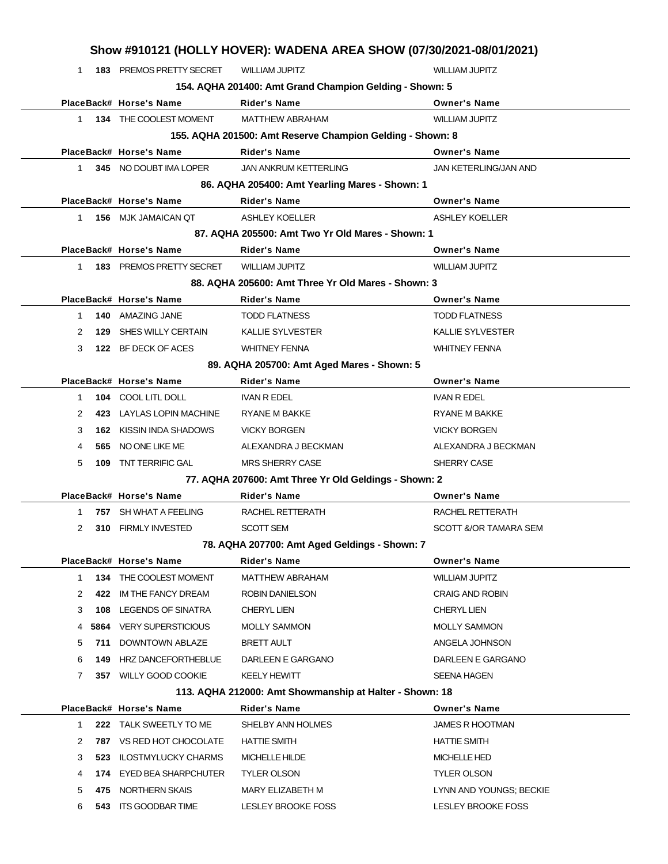|              |      |                                 | Show #910121 (HOLLY HOVER): WADENA AREA SHOW (07/30/2021-08/01/2021) |                              |
|--------------|------|---------------------------------|----------------------------------------------------------------------|------------------------------|
| 1            |      | <b>183 PREMOS PRETTY SECRET</b> | <b>WILLIAM JUPITZ</b>                                                | <b>WILLIAM JUPITZ</b>        |
|              |      |                                 | 154. AQHA 201400: Amt Grand Champion Gelding - Shown: 5              |                              |
|              |      | PlaceBack# Horse's Name         | <b>Rider's Name</b>                                                  | <b>Owner's Name</b>          |
| $\mathbf{1}$ |      | 134 THE COOLEST MOMENT          | <b>MATTHEW ABRAHAM</b>                                               | <b>WILLIAM JUPITZ</b>        |
|              |      |                                 | 155. AQHA 201500: Amt Reserve Champion Gelding - Shown: 8            |                              |
|              |      | PlaceBack# Horse's Name         | <b>Rider's Name</b>                                                  | <b>Owner's Name</b>          |
| 1.           |      | 345 NO DOUBT IMA LOPER          | <b>JAN ANKRUM KETTERLING</b>                                         | <b>JAN KETERLING/JAN AND</b> |
|              |      |                                 | 86. AQHA 205400: Amt Yearling Mares - Shown: 1                       |                              |
|              |      | PlaceBack# Horse's Name         | <b>Rider's Name</b>                                                  | <b>Owner's Name</b>          |
| 1            |      | <b>156 MJK JAMAICAN QT</b>      | <b>ASHLEY KOELLER</b>                                                | <b>ASHLEY KOELLER</b>        |
|              |      |                                 | 87. AQHA 205500: Amt Two Yr Old Mares - Shown: 1                     |                              |
|              |      | PlaceBack# Horse's Name         | <b>Rider's Name</b>                                                  | <b>Owner's Name</b>          |
| 1            |      | 183 PREMOS PRETTY SECRET        | <b>WILLIAM JUPITZ</b>                                                | <b>WILLIAM JUPITZ</b>        |
|              |      |                                 | 88. AQHA 205600: Amt Three Yr Old Mares - Shown: 3                   |                              |
|              |      | PlaceBack# Horse's Name         | Rider's Name                                                         | <b>Owner's Name</b>          |
| 1            | 140  | AMAZING JANE                    | <b>TODD FLATNESS</b>                                                 | <b>TODD FLATNESS</b>         |
| 2            | 129  | SHES WILLY CERTAIN              | <b>KALLIE SYLVESTER</b>                                              | <b>KALLIE SYLVESTER</b>      |
| 3            |      | 122 BF DECK OF ACES             | <b>WHITNEY FENNA</b>                                                 | <b>WHITNEY FENNA</b>         |
|              |      |                                 | 89. AQHA 205700: Amt Aged Mares - Shown: 5                           |                              |
|              |      | PlaceBack# Horse's Name         | <b>Rider's Name</b>                                                  | <b>Owner's Name</b>          |
| $\mathbf{1}$ | 104  | COOL LITL DOLL                  | IVAN R EDEL                                                          | <b>IVAN R EDEL</b>           |
| 2            | 423  | LAYLAS LOPIN MACHINE            | <b>RYANE M BAKKE</b>                                                 | <b>RYANE M BAKKE</b>         |
| 3            | 162  | KISSIN INDA SHADOWS             | <b>VICKY BORGEN</b>                                                  | <b>VICKY BORGEN</b>          |
| 4            | 565  | NO ONE LIKE ME                  | ALEXANDRA J BECKMAN                                                  | ALEXANDRA J BECKMAN          |
| 5            | 109  | <b>TNT TERRIFIC GAL</b>         | <b>MRS SHERRY CASE</b>                                               | SHERRY CASE                  |
|              |      |                                 | 77. AQHA 207600: Amt Three Yr Old Geldings - Shown: 2                |                              |
|              |      | PlaceBack# Horse's Name         | Rider's Name                                                         | <b>Owner's Name</b>          |
| 1            | 757  | SH WHAT A FEELING               | RACHEL RETTERATH                                                     | RACHEL RETTERATH             |
| 2            | 310  | <b>FIRMLY INVESTED</b>          | <b>SCOTT SEM</b>                                                     | SCOTT &/OR TAMARA SEM        |
|              |      |                                 | 78. AQHA 207700: Amt Aged Geldings - Shown: 7                        |                              |
|              |      | PlaceBack# Horse's Name         | <b>Rider's Name</b>                                                  | <b>Owner's Name</b>          |
| $\mathbf{1}$ | 134  | THE COOLEST MOMENT              | <b>MATTHEW ABRAHAM</b>                                               | <b>WILLIAM JUPITZ</b>        |
| 2            | 422  | IM THE FANCY DREAM              | <b>ROBIN DANIELSON</b>                                               | <b>CRAIG AND ROBIN</b>       |
| 3            |      | <b>108 LEGENDS OF SINATRA</b>   | <b>CHERYL LIEN</b>                                                   | <b>CHERYL LIEN</b>           |
| 4            | 5864 | <b>VERY SUPERSTICIOUS</b>       | <b>MOLLY SAMMON</b>                                                  | <b>MOLLY SAMMON</b>          |
| 5            | 711  | DOWNTOWN ABLAZE                 | <b>BRETT AULT</b>                                                    | ANGELA JOHNSON               |
| 6            | 149. | HRZ DANCEFORTHEBLUE             | DARLEEN E GARGANO                                                    | DARLEEN E GARGANO            |
| 7            | 357  | <b>WILLY GOOD COOKIE</b>        | <b>KEELY HEWITT</b>                                                  | <b>SEENA HAGEN</b>           |
|              |      |                                 | 113. AQHA 212000: Amt Showmanship at Halter - Shown: 18              |                              |
|              |      | PlaceBack# Horse's Name         | <b>Rider's Name</b>                                                  | <b>Owner's Name</b>          |
| 1.           |      | 222 TALK SWEETLY TO ME          | SHELBY ANN HOLMES                                                    | <b>JAMES R HOOTMAN</b>       |
| 2            |      | <b>787 VS RED HOT CHOCOLATE</b> | <b>HATTIE SMITH</b>                                                  | <b>HATTIE SMITH</b>          |
| 3            | 523  | <b>ILOSTMYLUCKY CHARMS</b>      | MICHELLE HILDE                                                       | MICHELLE HED                 |
| 4            | 174  | <b>EYED BEA SHARPCHUTER</b>     | <b>TYLER OLSON</b>                                                   | <b>TYLER OLSON</b>           |
| 5            |      | 475 NORTHERN SKAIS              | MARY ELIZABETH M                                                     | LYNN AND YOUNGS; BECKIE      |

6 **543** ITS GOODBAR TIME LESLEY BROOKE FOSS LESLEY BROOKE FOSS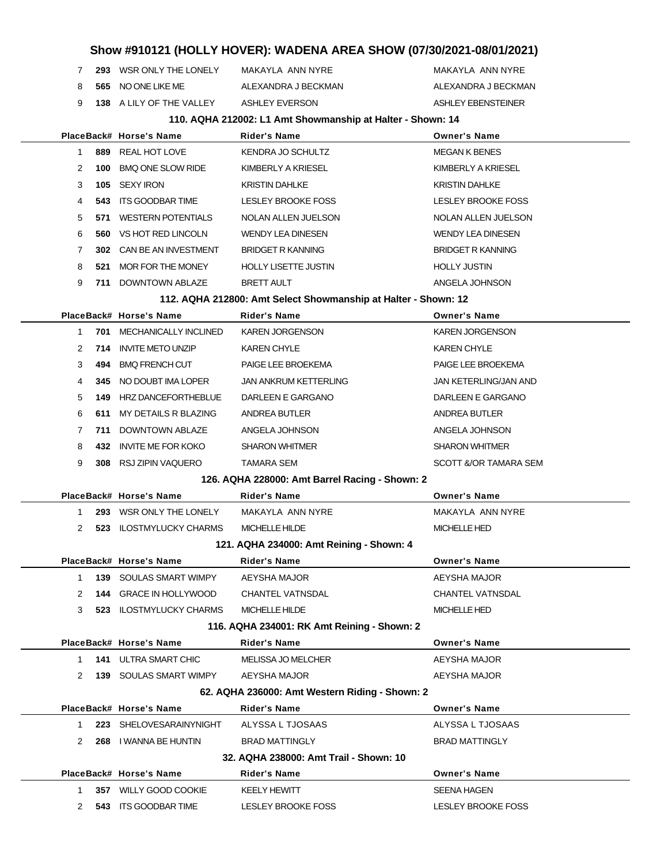**293** WSR ONLY THE LONELY MAKAYLA ANN NYRE MAKAYLA ANN NYRE **565** NO ONE LIKE ME ALEXANDRA J BECKMAN ALEXANDRA J BECKMAN **138** A LILY OF THE VALLEY ASHLEY EVERSON ASHLEY ERENSTEINER

#### **110. AQHA 212002: L1 Amt Showmanship at Halter - Shown: 14**

|              |     | PlaceBack# Horse's Name                  | <b>Rider's Name</b>                                            | <b>Owner's Name</b>      |
|--------------|-----|------------------------------------------|----------------------------------------------------------------|--------------------------|
| $\mathbf{1}$ | 889 | REAL HOT LOVE                            | KENDRA JO SCHULTZ                                              | <b>MEGAN K BENES</b>     |
| 2            | 100 | <b>BMQ ONE SLOW RIDE</b>                 | KIMBERLY A KRIESEL                                             | KIMBERLY A KRIESEL       |
| 3            | 105 | <b>SEXY IRON</b>                         | KRISTIN DAHLKE                                                 | <b>KRISTIN DAHLKE</b>    |
| 4            | 543 | ITS GOODBAR TIME                         | LESLEY BROOKE FOSS                                             | LESLEY BROOKE FOSS       |
| 5            | 571 | <b>WESTERN POTENTIALS</b>                | NOLAN ALLEN JUELSON                                            | NOLAN ALLEN JUELSON      |
| 6            | 560 | VS HOT RED LINCOLN                       | <b>WENDY LEA DINESEN</b>                                       | <b>WENDY LEA DINESEN</b> |
| 7            |     | 302 CAN BE AN INVESTMENT                 | <b>BRIDGET R KANNING</b>                                       | <b>BRIDGET R KANNING</b> |
| 8            | 521 | MOR FOR THE MONEY                        | <b>HOLLY LISETTE JUSTIN</b>                                    | <b>HOLLY JUSTIN</b>      |
| 9            |     | 711 DOWNTOWN ABLAZE                      | <b>BRETT AULT</b>                                              | ANGELA JOHNSON           |
|              |     |                                          | 112. AQHA 212800: Amt Select Showmanship at Halter - Shown: 12 |                          |
|              |     | PlaceBack# Horse's Name                  | <b>Rider's Name</b>                                            | <b>Owner's Name</b>      |
| 1            | 701 | MECHANICALLY INCLINED                    | <b>KAREN JORGENSON</b>                                         | <b>KAREN JORGENSON</b>   |
| 2            | 714 | <b>INVITE METO UNZIP</b>                 | <b>KAREN CHYLE</b>                                             | <b>KAREN CHYLE</b>       |
| 3            | 494 | <b>BMQ FRENCH CUT</b>                    | PAIGE LEE BROEKEMA                                             | PAIGE LEE BROEKEMA       |
| 4            |     | 345 NO DOUBT IMA LOPER                   | <b>JAN ANKRUM KETTERLING</b>                                   | JAN KETERLING/JAN AND    |
| 5            |     | <b>149 HRZ DANCEFORTHEBLUE</b>           | DARLEEN E GARGANO                                              | DARLEEN E GARGANO        |
| 6            | 611 | MY DETAILS R BLAZING                     | ANDREA BUTLER                                                  | ANDREA BUTLER            |
| 7            | 711 | <b>DOWNTOWN ABLAZE</b>                   | ANGELA JOHNSON                                                 | ANGELA JOHNSON           |
| 8            | 432 | <b>INVITE ME FOR KOKO</b>                | <b>SHARON WHITMER</b>                                          | <b>SHARON WHITMER</b>    |
| 9            |     | 308 RSJ ZIPIN VAQUERO                    | TAMARA SEM                                                     | SCOTT &/OR TAMARA SEM    |
|              |     |                                          | 126. AQHA 228000: Amt Barrel Racing - Shown: 2                 |                          |
|              |     | PlaceBack# Horse's Name                  | <b>Rider's Name</b>                                            | <b>Owner's Name</b>      |
| 1            |     | 293 WSR ONLY THE LONELY                  | MAKAYLA ANN NYRE                                               | MAKAYLA ANN NYRE         |
| 2            |     | 523 ILOSTMYLUCKY CHARMS                  | MICHELLE HILDE                                                 | <b>MICHELLE HED</b>      |
|              |     | 121. AQHA 234000: Amt Reining - Shown: 4 |                                                                |                          |
|              |     | PlaceBack# Horse's Name                  | <b>Rider's Name</b>                                            | <b>Owner's Name</b>      |
| 1            |     | <b>139 SOULAS SMART WIMPY</b>            | AEYSHA MAJOR                                                   | AEYSHA MAJOR             |
| 2            |     | <b>144 GRACE IN HOLLYWOOD</b>            | <b>CHANTEL VATNSDAL</b>                                        | <b>CHANTEL VATNSDAL</b>  |
| 3            |     | <b>523 ILOSTMYLUCKY CHARMS</b>           | MICHELLE HILDE                                                 | <b>MICHELLE HED</b>      |
|              |     |                                          | 116. AQHA 234001: RK Amt Reining - Shown: 2                    |                          |
|              |     | PlaceBack# Horse's Name                  | <b>Rider's Name</b>                                            | <b>Owner's Name</b>      |
| 1            |     | 141 ULTRA SMART CHIC                     | <b>MELISSA JO MELCHER</b>                                      | AEYSHA MAJOR             |
| 2            |     | <b>139 SOULAS SMART WIMPY</b>            | AEYSHA MAJOR                                                   | AEYSHA MAJOR             |
|              |     |                                          | 62. AQHA 236000: Amt Western Riding - Shown: 2                 |                          |
|              |     | PlaceBack# Horse's Name                  | <b>Rider's Name</b>                                            | <b>Owner's Name</b>      |
| $\mathbf{1}$ |     | 223 SHELOVESARAINYNIGHT                  | ALYSSA L TJOSAAS                                               | ALYSSA L TJOSAAS         |
| 2            |     | 268 I WANNA BE HUNTIN                    | <b>BRAD MATTINGLY</b>                                          | <b>BRAD MATTINGLY</b>    |
|              |     |                                          | 32. AQHA 238000: Amt Trail - Shown: 10                         |                          |
|              |     | PlaceBack# Horse's Name                  | <b>Rider's Name</b>                                            | <b>Owner's Name</b>      |
| 1            |     | 357 WILLY GOOD COOKIE                    | KEELY HEWITT                                                   | SEENA HAGEN              |
| 2            |     | 543 ITS GOODBAR TIME                     | LESLEY BROOKE FOSS                                             | LESLEY BROOKE FOSS       |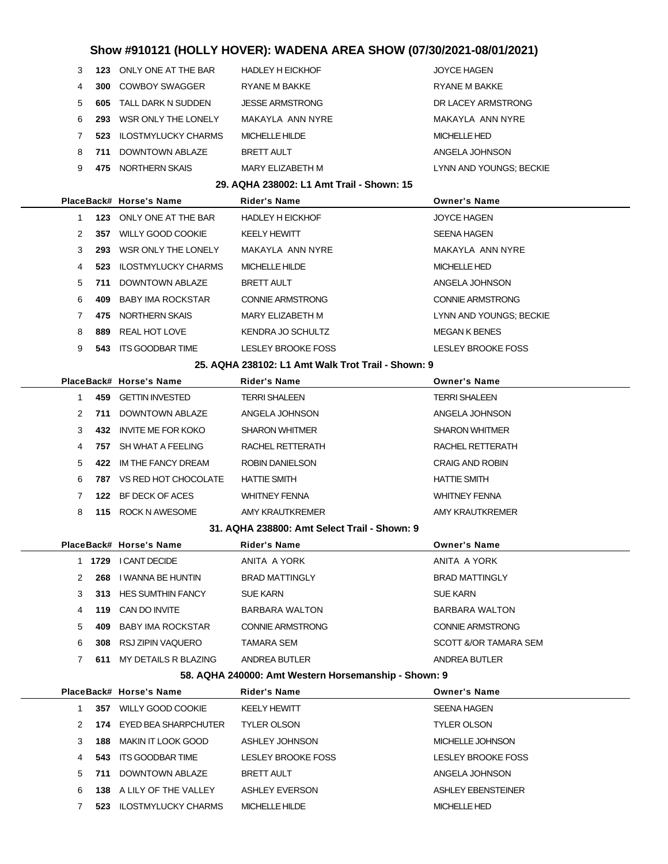| 3 |        | 123 ONLY ONE AT THE BAR         | <b>HADLEY H EICKHOF</b>                            | <b>JOYCE HAGEN</b>      |
|---|--------|---------------------------------|----------------------------------------------------|-------------------------|
| 4 | 300    | COWBOY SWAGGER                  | RYANE M BAKKE                                      | RYANE M BAKKE           |
| 5 | 605    | TALL DARK N SUDDEN              | <b>JESSE ARMSTRONG</b>                             | DR LACEY ARMSTRONG      |
| 6 |        | 293 WSR ONLY THE LONELY         | MAKAYLA ANN NYRE                                   | MAKAYLA ANN NYRE        |
| 7 |        | 523 ILOSTMYLUCKY CHARMS         | MICHELLE HILDE                                     | MICHELLE HED            |
| 8 | 711    | DOWNTOWN ABLAZE                 | <b>BRETT AULT</b>                                  | ANGELA JOHNSON          |
| 9 |        | 475 NORTHERN SKAIS              | MARY ELIZABETH M                                   | LYNN AND YOUNGS; BECKIE |
|   |        |                                 | 29. AQHA 238002: L1 Amt Trail - Shown: 15          |                         |
|   |        | PlaceBack# Horse's Name         | <b>Rider's Name</b>                                | <b>Owner's Name</b>     |
| 1 |        | 123 ONLY ONE AT THE BAR         | <b>HADLEY H EICKHOF</b>                            | <b>JOYCE HAGEN</b>      |
| 2 |        | 357 WILLY GOOD COOKIE           | <b>KEELY HEWITT</b>                                | <b>SEENA HAGEN</b>      |
| 3 |        | 293 WSR ONLY THE LONELY         | MAKAYLA ANN NYRE                                   | MAKAYLA ANN NYRE        |
| 4 |        | 523 ILOSTMYLUCKY CHARMS         | MICHELLE HILDE                                     | MICHELLE HED            |
| 5 | 711    | DOWNTOWN ABLAZE                 | BRETT AULT                                         | ANGELA JOHNSON          |
| 6 | 409    | <b>BABY IMA ROCKSTAR</b>        | <b>CONNIE ARMSTRONG</b>                            | <b>CONNIE ARMSTRONG</b> |
| 7 |        | 475 NORTHERN SKAIS              | MARY ELIZABETH M                                   | LYNN AND YOUNGS; BECKIE |
| 8 | 889    | REAL HOT LOVE                   | KENDRA JO SCHULTZ                                  | <b>MEGAN K BENES</b>    |
|   |        |                                 |                                                    |                         |
| 9 |        | 543 ITS GOODBAR TIME            | LESLEY BROOKE FOSS                                 | LESLEY BROOKE FOSS      |
|   |        |                                 | 25. AQHA 238102: L1 Amt Walk Trot Trail - Shown: 9 |                         |
|   |        | PlaceBack# Horse's Name         | Rider's Name                                       | <b>Owner's Name</b>     |
| 1 |        | 459 GETTIN INVESTED             | <b>TERRI SHALEEN</b>                               | <b>TERRI SHALEEN</b>    |
| 2 | 711    | DOWNTOWN ABLAZE                 | ANGELA JOHNSON                                     | ANGELA JOHNSON          |
| 3 |        | 432 INVITE ME FOR KOKO          | <b>SHARON WHITMER</b>                              | <b>SHARON WHITMER</b>   |
| 4 |        | 757 SH WHAT A FEELING           | RACHEL RETTERATH                                   | RACHEL RETTERATH        |
| 5 |        | 422 IM THE FANCY DREAM          | <b>ROBIN DANIELSON</b>                             | <b>CRAIG AND ROBIN</b>  |
| 6 |        | <b>787 VS RED HOT CHOCOLATE</b> | <b>HATTIE SMITH</b>                                | <b>HATTIE SMITH</b>     |
| 7 | 122    | BF DECK OF ACES                 | <b>WHITNEY FENNA</b>                               | <b>WHITNEY FENNA</b>    |
| 8 |        | 115 ROCK N AWESOME              | AMY KRAUTKREMER                                    | AMY KRAUTKREMER         |
|   |        |                                 | 31. AQHA 238800: Amt Select Trail - Shown: 9       |                         |
|   |        | PlaceBack# Horse's Name         | Rider's Name                                       | <b>Owner's Name</b>     |
|   | 1 1729 | I CANT DECIDE                   | ANITA A YORK                                       | ANITA A YORK            |
| 2 | 268    | I WANNA BE HUNTIN               | <b>BRAD MATTINGLY</b>                              | <b>BRAD MATTINGLY</b>   |
| 3 |        | 313 HES SUMTHIN FANCY           | SUE KARN                                           | SUE KARN                |
| 4 |        | 119 CAN DO INVITE               | BARBARA WALTON                                     | BARBARA WALTON          |
| 5 | 409    | <b>BABY IMA ROCKSTAR</b>        | <b>CONNIE ARMSTRONG</b>                            | <b>CONNIE ARMSTRONG</b> |

7 611 MY DETAILS R BLAZING ANDREA BUTLER AND ANDREA BUTLER

### **58. AQHA 240000: Amt Western Horsemanship - Shown: 9**

|               |      | PlaceBack# Horse's Name    | <b>Rider's Name</b>       | <b>Owner's Name</b> |
|---------------|------|----------------------------|---------------------------|---------------------|
|               | 357  | WILLY GOOD COOKIE          | <b>KEELY HEWITT</b>       | <b>SEENA HAGEN</b>  |
| $\mathcal{P}$ | 174  | EYED BEA SHARPCHUTER       | <b>TYLER OLSON</b>        | <b>TYLER OLSON</b>  |
| 3             | 188  | MAKIN IT LOOK GOOD         | ASHLEY JOHNSON            | MICHELLE JOHNSON    |
| 4             | 543  | ITS GOODBAR TIME           | <b>LESLEY BROOKE FOSS</b> | LESLEY BROOKE FOSS  |
| 5             | 711  | DOWNTOWN ABLAZE            | <b>BRETT AULT</b>         | ANGELA JOHNSON      |
| 6             | 138  | A LILY OF THE VALLEY       | <b>ASHLEY EVERSON</b>     | ASHLEY EBENSTEINER  |
|               | 523. | <b>ILOSTMYLUCKY CHARMS</b> | MICHELLE HILDE            | MICHELLE HED        |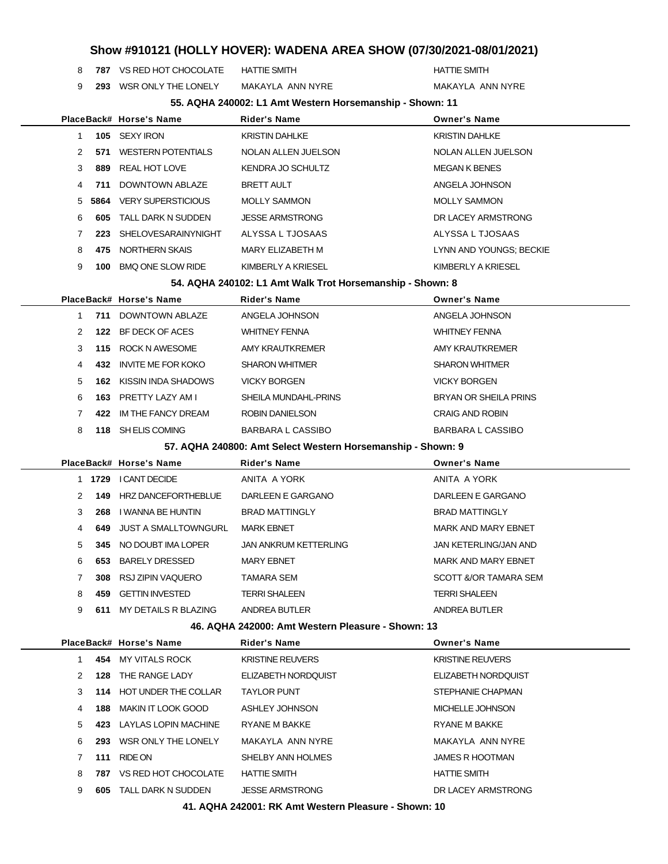**787** VS RED HOT CHOCOLATE HATTIE SMITH **HATTIE SMITH** HATTIE SMITH

**293** WSR ONLY THE LONELY MAKAYLA ANN NYRE MAKAYLA ANN NYRE

| 55. AQHA 240002: L1 Amt Western Horsemanship - Shown: 11 |  |  |
|----------------------------------------------------------|--|--|
|                                                          |  |  |

|               |      | PlaceBack# Horse's Name   | <b>Rider's Name</b>    | <b>Owner's Name</b>     |
|---------------|------|---------------------------|------------------------|-------------------------|
|               |      | 105 SEXY IRON             | <b>KRISTIN DAHLKE</b>  | <b>KRISTIN DAHLKE</b>   |
| $\mathcal{P}$ | 571  | <b>WESTERN POTENTIALS</b> | NOLAN ALLEN JUELSON    | NOLAN ALLEN JUELSON     |
| 3             | 889  | REAL HOT LOVE             | KENDRA JO SCHULTZ      | <b>MEGAN K BENES</b>    |
| 4             | 711  | DOWNTOWN ABLAZE           | <b>BRETT AULT</b>      | ANGELA JOHNSON          |
| 5             | 5864 | <b>VERY SUPERSTICIOUS</b> | <b>MOLLY SAMMON</b>    | <b>MOLLY SAMMON</b>     |
| 6             | 605  | TALL DARK N SUDDEN        | <b>JESSE ARMSTRONG</b> | DR LACEY ARMSTRONG      |
| 7             | 223  | SHELOVESARAINYNIGHT       | ALYSSA L TJOSAAS       | ALYSSA L TJOSAAS        |
| 8             | 475  | NORTHERN SKAIS            | MARY ELIZABETH M       | LYNN AND YOUNGS: BECKIE |
| 9             | 100  | <b>BMQ ONE SLOW RIDE</b>  | KIMBERLY A KRIESEL     | KIMBERLY A KRIESEL      |
|               |      |                           |                        |                         |

**54. AQHA 240102: L1 Amt Walk Trot Horsemanship - Shown: 8**

|               |      | PlaceBack# Horse's Name | <b>Rider's Name</b>    | <b>Owner's Name</b>    |
|---------------|------|-------------------------|------------------------|------------------------|
|               | 711  | DOWNTOWN ABLAZE         | ANGELA JOHNSON         | ANGELA JOHNSON         |
| $\mathcal{P}$ | 122  | BF DECK OF ACES         | <b>WHITNEY FENNA</b>   | <b>WHITNEY FENNA</b>   |
| 3             | 115  | ROCK N AWESOME          | AMY KRAUTKREMER        | AMY KRAUTKREMER        |
| 4             | 432  | INVITE ME FOR KOKO      | <b>SHARON WHITMER</b>  | <b>SHARON WHITMER</b>  |
| 5             | 162  | KISSIN INDA SHADOWS     | <b>VICKY BORGEN</b>    | <b>VICKY BORGEN</b>    |
| 6             | 163  | PRETTY LAZY AM L        | SHEILA MUNDAHL-PRINS   | BRYAN OR SHEILA PRINS  |
|               | 422  | IM THE FANCY DREAM      | <b>ROBIN DANIELSON</b> | <b>CRAIG AND ROBIN</b> |
| 8             | 118. | SH ELIS COMING          | BARBARA L CASSIBO      | BARBARA L CASSIBO      |
|               |      |                         |                        |                        |

**57. AQHA 240800: Amt Select Western Horsemanship - Shown: 9**

|               |      | PlaceBack# Horse's Name | <b>Rider's Name</b>          | <b>Owner's Name</b>        |
|---------------|------|-------------------------|------------------------------|----------------------------|
|               | 1729 | I CANT DECIDE           | ANITA A YORK                 | ANITA A YORK               |
| $\mathcal{P}$ | 149  | HRZ DANCEFORTHEBLUE     | DARLEEN E GARGANO            | DARLEEN E GARGANO          |
| 3             | 268  | I WANNA BE HUNTIN       | <b>BRAD MATTINGLY</b>        | <b>BRAD MATTINGLY</b>      |
| 4             | 649  | JUST A SMALLTOWNGURL    | <b>MARK EBNET</b>            | <b>MARK AND MARY EBNET</b> |
| 5.            | 345  | NO DOUBT IMA LOPER      | <b>JAN ANKRUM KETTERLING</b> | JAN KETERLING/JAN AND      |
| 6.            | 653  | <b>BARELY DRESSED</b>   | <b>MARY EBNET</b>            | <b>MARK AND MARY EBNET</b> |
|               | 308  | RSJ ZIPIN VAQUERO       | TAMARA SEM                   | SCOTT &/OR TAMARA SEM      |
| 8             | 459  | <b>GETTIN INVESTED</b>  | <b>TERRI SHALEEN</b>         | <b>TERRI SHALEEN</b>       |
| 9             | 611  | MY DETAILS R BLAZING    | ANDREA BUTLER                | ANDREA BUTLER              |
|               |      |                         |                              |                            |

**46. AQHA 242000: Amt Western Pleasure - Shown: 13**

|   |     | PlaceBack# Horse's Name     | <b>Rider's Name</b>                                                  | <b>Owner's Name</b>      |
|---|-----|-----------------------------|----------------------------------------------------------------------|--------------------------|
|   | 454 | MY VITALS ROCK              | <b>KRISTINE REUVERS</b>                                              | <b>KRISTINE REUVERS</b>  |
| 2 | 128 | THE RANGE LADY              | <b>ELIZABETH NORDOUIST</b>                                           | ELIZABETH NORDOUIST      |
| 3 | 114 | <b>HOT UNDER THE COLLAR</b> | <b>TAYLOR PUNT</b>                                                   | STEPHANIE CHAPMAN        |
| 4 | 188 | MAKIN IT LOOK GOOD          | ASHLEY JOHNSON                                                       | MICHELLE JOHNSON         |
| 5 | 423 | LAYLAS LOPIN MACHINE        | <b>RYANE M BAKKE</b>                                                 | <b>RYANE M BAKKE</b>     |
| 6 | 293 | WSR ONLY THE LONELY         | MAKAYLA ANN NYRE                                                     | MAKAYLA ANN NYRE         |
|   | 111 | RIDE ON                     | SHELBY ANN HOLMES                                                    | <b>JAMES R HOOTMAN</b>   |
| 8 | 787 | VS RED HOT CHOCOLATE        | <b>HATTIE SMITH</b>                                                  | <b>HATTIE SMITH</b>      |
| 9 | 605 | <b>TALL DARK N SUDDEN</b>   | <b>JESSE ARMSTRONG</b>                                               | DR LACEY ARMSTRONG       |
|   |     |                             | $\sim$<br>$\overline{a}$ . Alle algebra in the set of $\overline{a}$ | $\overline{\phantom{a}}$ |

**41. AQHA 242001: RK Amt Western Pleasure - Shown: 10**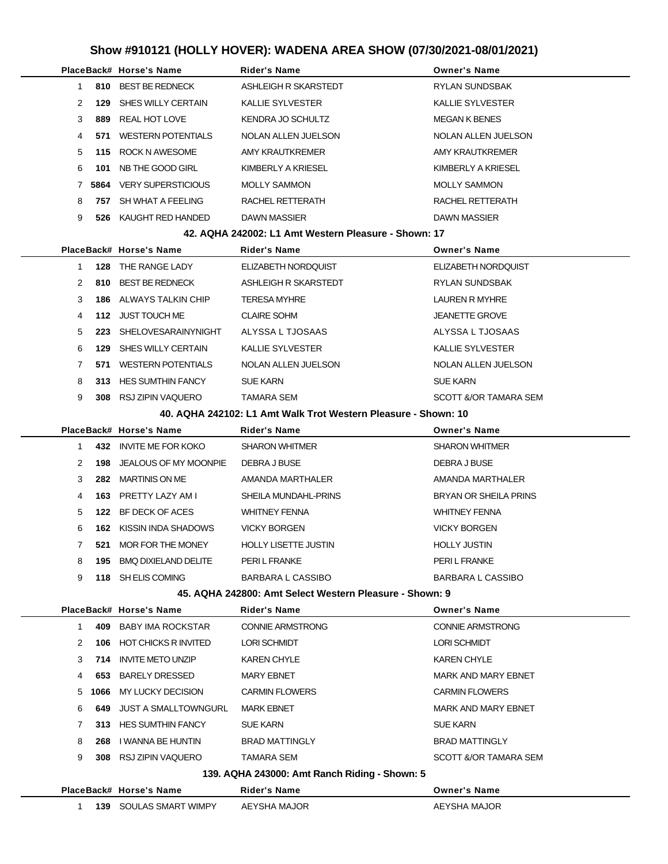|                                                      |   |      | PlaceBack# Horse's Name   | <b>Rider's Name</b>     | <b>Owner's Name</b>     |  |  |
|------------------------------------------------------|---|------|---------------------------|-------------------------|-------------------------|--|--|
|                                                      |   |      | 810 BEST BE REDNECK       | ASHLEIGH R SKARSTEDT    | RYLAN SUNDSBAK          |  |  |
|                                                      | 2 | 129  | SHES WILLY CERTAIN        | <b>KALLIE SYLVESTER</b> | <b>KALLIE SYLVESTER</b> |  |  |
|                                                      | 3 | 889  | REAL HOT LOVE             | KENDRA JO SCHULTZ       | <b>MEGAN K BENES</b>    |  |  |
|                                                      | 4 | 571  | <b>WESTERN POTENTIALS</b> | NOLAN ALLEN JUELSON     | NOLAN ALLEN JUELSON     |  |  |
|                                                      | 5 |      | 115 ROCK N AWESOME        | AMY KRAUTKREMER         | AMY KRAUTKREMER         |  |  |
|                                                      | 6 | 101  | NB THE GOOD GIRL          | KIMBERLY A KRIESEL      | KIMBERLY A KRIESEL      |  |  |
|                                                      |   | 5864 | <b>VERY SUPERSTICIOUS</b> | MOLLY SAMMON            | <b>MOLLY SAMMON</b>     |  |  |
|                                                      | 8 | 757  | SH WHAT A FEELING         | RACHEL RETTERATH        | RACHEL RETTERATH        |  |  |
|                                                      | 9 | 526  | KAUGHT RED HANDED         | <b>DAWN MASSIER</b>     | <b>DAWN MASSIER</b>     |  |  |
| 42. AQHA 242002: L1 Amt Western Pleasure - Shown: 17 |   |      |                           |                         |                         |  |  |

|               |     | PlaceBack# Horse's Name | <b>Rider's Name</b>     | <b>Owner's Name</b>     |
|---------------|-----|-------------------------|-------------------------|-------------------------|
|               | 128 | THE RANGE LADY          | ELIZABETH NORDOUIST     | ELIZABETH NORDOUIST     |
| $\mathcal{P}$ | 810 | <b>BEST BE REDNECK</b>  | ASHLEIGH R SKARSTEDT    | <b>RYLAN SUNDSBAK</b>   |
| 3             | 186 | ALWAYS TALKIN CHIP      | <b>TERESA MYHRE</b>     | LAUREN R MYHRE          |
| 4             | 112 | JUST TOUCH ME           | <b>CLAIRE SOHM</b>      | <b>JEANETTE GROVE</b>   |
| 5             | 223 | SHELOVESARAINYNIGHT     | ALYSSA L TJOSAAS        | ALYSSA L TJOSAAS        |
| 6             | 129 | SHES WILLY CERTAIN      | <b>KALLIE SYLVESTER</b> | <b>KALLIE SYLVESTER</b> |
|               | 571 | WESTERN POTENTIALS      | NOLAN ALLEN JUELSON     | NOLAN ALLEN JUELSON     |
| 8             | 313 | HES SUMTHIN FANCY       | <b>SUE KARN</b>         | <b>SUE KARN</b>         |
| 9             | 308 | RSJ ZIPIN VAQUERO       | <b>TAMARA SEM</b>       | SCOTT &/OR TAMARA SEM   |

**40. AQHA 242102: L1 Amt Walk Trot Western Pleasure - Shown: 10**

|  |    |     | PlaceBack# Horse's Name     | <b>Rider's Name</b>         | <b>Owner's Name</b>      |
|--|----|-----|-----------------------------|-----------------------------|--------------------------|
|  |    | 432 | INVITE ME FOR KOKO          | <b>SHARON WHITMER</b>       | <b>SHARON WHITMER</b>    |
|  |    | 198 | JEALOUS OF MY MOONPIE       | DEBRA J BUSE                | DEBRA J BUSE             |
|  |    | 282 | <b>MARTINIS ON ME</b>       | AMANDA MARTHALER            | AMANDA MARTHALER         |
|  | 4  |     | 163 PRETTY LAZY AM I        | SHEILA MUNDAHL-PRINS        | BRYAN OR SHEILA PRINS    |
|  | 5. | 122 | BF DECK OF ACES             | <b>WHITNEY FENNA</b>        | <b>WHITNEY FENNA</b>     |
|  | 6. | 162 | KISSIN INDA SHADOWS         | <b>VICKY BORGEN</b>         | <b>VICKY BORGEN</b>      |
|  |    | 521 | MOR FOR THE MONEY           | <b>HOLLY LISETTE JUSTIN</b> | <b>HOLLY JUSTIN</b>      |
|  | 8  | 195 | <b>BMO DIXIELAND DELITE</b> | PERI L FRANKE               | PERI L FRANKE            |
|  | 9  | 118 | SH ELIS COMING              | BARBARA L CASSIBO           | <b>BARBARA L CASSIBO</b> |
|  |    |     |                             |                             |                          |

#### **45. AQHA 242800: Amt Select Western Pleasure - Shown: 9**

**139** SOULAS SMART WIMPY AEYSHA MAJOR AEYSHA MAJOR

|                                               |      | PlaceBack# Horse's Name     | <b>Rider's Name</b>     | <b>Owner's Name</b>        |  |  |
|-----------------------------------------------|------|-----------------------------|-------------------------|----------------------------|--|--|
|                                               | 409. | <b>BABY IMA ROCKSTAR</b>    | <b>CONNIE ARMSTRONG</b> | <b>CONNIE ARMSTRONG</b>    |  |  |
| 2                                             | 106  | <b>HOT CHICKS R INVITED</b> | <b>LORI SCHMIDT</b>     | LORI SCHMIDT               |  |  |
| 3                                             | 714  | <b>INVITE METO UNZIP</b>    | <b>KAREN CHYLE</b>      | <b>KAREN CHYLE</b>         |  |  |
| 4                                             | 653  | <b>BARELY DRESSED</b>       | <b>MARY EBNET</b>       | <b>MARK AND MARY EBNET</b> |  |  |
| 5                                             | 1066 | MY LUCKY DECISION           | <b>CARMIN FLOWERS</b>   | <b>CARMIN FLOWERS</b>      |  |  |
| 6                                             | 649  | JUST A SMALLTOWNGURL        | <b>MARK EBNET</b>       | <b>MARK AND MARY EBNET</b> |  |  |
|                                               | 313  | <b>HES SUMTHIN FANCY</b>    | <b>SUE KARN</b>         | <b>SUE KARN</b>            |  |  |
| 8                                             | 268  | I WANNA BE HUNTIN           | <b>BRAD MATTINGLY</b>   | <b>BRAD MATTINGLY</b>      |  |  |
| 9                                             | 308  | RSJ ZIPIN VAQUERO           | TAMARA SEM              | SCOTT &/OR TAMARA SEM      |  |  |
| 139. AQHA 243000: Amt Ranch Riding - Shown: 5 |      |                             |                         |                            |  |  |
|                                               |      | PlaceBack# Horse's Name     | <b>Rider's Name</b>     | <b>Owner's Name</b>        |  |  |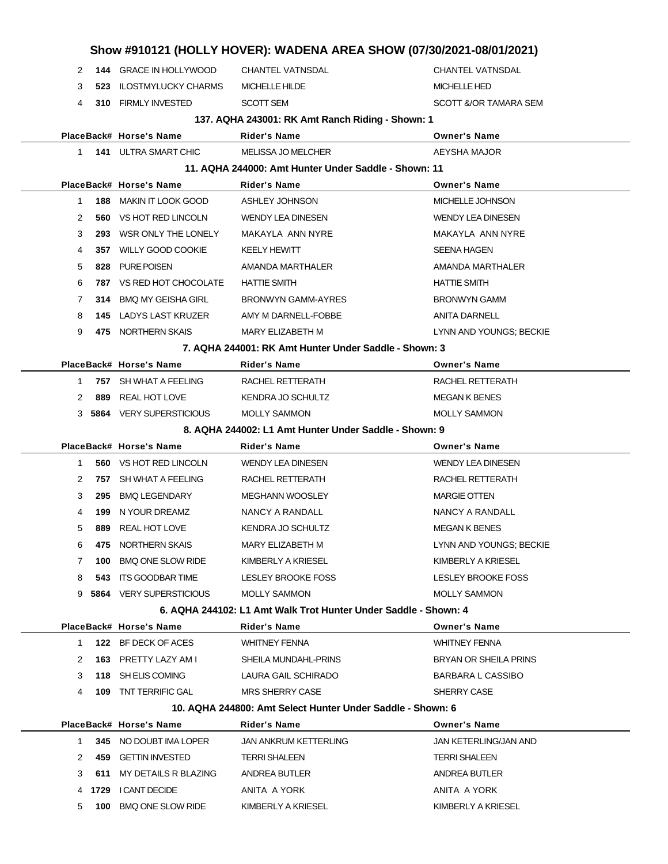|              |     |                                |                                                                 | Show #910121 (HOLLY HOVER): WADENA AREA SHOW (07/30/2021-08/01/2021) |
|--------------|-----|--------------------------------|-----------------------------------------------------------------|----------------------------------------------------------------------|
| 2            |     | 144 GRACE IN HOLLYWOOD         | <b>CHANTEL VATNSDAL</b>                                         | <b>CHANTEL VATNSDAL</b>                                              |
| 3            | 523 | <b>ILOSTMYLUCKY CHARMS</b>     | MICHELLE HILDE                                                  | <b>MICHELLE HED</b>                                                  |
| 4            | 310 | <b>FIRMLY INVESTED</b>         | <b>SCOTT SEM</b>                                                | SCOTT &/OR TAMARA SEM                                                |
|              |     |                                | 137. AQHA 243001: RK Amt Ranch Riding - Shown: 1                |                                                                      |
|              |     | PlaceBack# Horse's Name        | Rider's Name                                                    | <b>Owner's Name</b>                                                  |
| 1            |     | <b>141 ULTRA SMART CHIC</b>    | <b>MELISSA JO MELCHER</b>                                       | AEYSHA MAJOR                                                         |
|              |     |                                | 11. AQHA 244000: Amt Hunter Under Saddle - Shown: 11            |                                                                      |
|              |     | PlaceBack# Horse's Name        | <b>Rider's Name</b>                                             | <b>Owner's Name</b>                                                  |
| $\mathbf{1}$ | 188 | <b>MAKIN IT LOOK GOOD</b>      | <b>ASHLEY JOHNSON</b>                                           | MICHELLE JOHNSON                                                     |
| 2            | 560 | VS HOT RED LINCOLN             | <b>WENDY LEA DINESEN</b>                                        | <b>WENDY LEA DINESEN</b>                                             |
| 3            | 293 | WSR ONLY THE LONELY            | MAKAYLA ANN NYRE                                                | MAKAYLA ANN NYRE                                                     |
| 4            | 357 | <b>WILLY GOOD COOKIE</b>       | <b>KEELY HEWITT</b>                                             | SEENA HAGEN                                                          |
| 5            | 828 | <b>PURE POISEN</b>             | AMANDA MARTHALER                                                | AMANDA MARTHALER                                                     |
| 6            | 787 | VS RED HOT CHOCOLATE           | <b>HATTIE SMITH</b>                                             | <b>HATTIE SMITH</b>                                                  |
| 7            | 314 | <b>BMQ MY GEISHA GIRL</b>      | <b>BRONWYN GAMM-AYRES</b>                                       | <b>BRONWYN GAMM</b>                                                  |
| 8            |     | <b>145 LADYS LAST KRUZER</b>   | AMY M DARNELL-FOBBE                                             | <b>ANITA DARNELL</b>                                                 |
| 9            |     | 475 NORTHERN SKAIS             | MARY ELIZABETH M                                                | LYNN AND YOUNGS; BECKIE                                              |
|              |     |                                | 7. AQHA 244001: RK Amt Hunter Under Saddle - Shown: 3           |                                                                      |
|              |     | PlaceBack# Horse's Name        | <b>Rider's Name</b>                                             | <b>Owner's Name</b>                                                  |
| 1            |     | 757 SH WHAT A FEELING          | RACHEL RETTERATH                                                | RACHEL RETTERATH                                                     |
| 2            | 889 | <b>REAL HOT LOVE</b>           | KENDRA JO SCHULTZ                                               | <b>MEGAN K BENES</b>                                                 |
|              |     | 3 5864 VERY SUPERSTICIOUS      | <b>MOLLY SAMMON</b>                                             | <b>MOLLY SAMMON</b>                                                  |
|              |     |                                | 8. AQHA 244002: L1 Amt Hunter Under Saddle - Shown: 9           |                                                                      |
|              |     | PlaceBack# Horse's Name        | Rider's Name                                                    | <b>Owner's Name</b>                                                  |
| 1            | 560 | VS HOT RED LINCOLN             | <b>WENDY LEA DINESEN</b>                                        | <b>WENDY LEA DINESEN</b>                                             |
| 2            | 757 | SH WHAT A FEELING              | RACHEL RETTERATH                                                | RACHEL RETTERATH                                                     |
| 3            | 295 | <b>BMQ LEGENDARY</b>           | <b>MEGHANN WOOSLEY</b>                                          | <b>MARGIE OTTEN</b>                                                  |
| 4            | 199 | N YOUR DREAMZ                  | NANCY A RANDALL                                                 | NANCY A RANDALL                                                      |
| 5            | 889 | REAL HOT LOVE                  | <b>KENDRA JO SCHULTZ</b>                                        | <b>MEGAN K BENES</b>                                                 |
| 6            | 475 | NORTHERN SKAIS                 | MARY ELIZABETH M                                                | LYNN AND YOUNGS; BECKIE                                              |
| 7            | 100 | <b>BMQ ONE SLOW RIDE</b>       | KIMBERLY A KRIESEL                                              | KIMBERLY A KRIESEL                                                   |
| 8            | 543 | ITS GOODBAR TIME               | LESLEY BROOKE FOSS                                              | LESLEY BROOKE FOSS                                                   |
| 9            |     | <b>5864 VERY SUPERSTICIOUS</b> | <b>MOLLY SAMMON</b>                                             | <b>MOLLY SAMMON</b>                                                  |
|              |     |                                | 6. AQHA 244102: L1 Amt Walk Trot Hunter Under Saddle - Shown: 4 |                                                                      |
|              |     | PlaceBack# Horse's Name        | <b>Rider's Name</b>                                             | <b>Owner's Name</b>                                                  |
| 1            |     | 122 BF DECK OF ACES            | <b>WHITNEY FENNA</b>                                            | <b>WHITNEY FENNA</b>                                                 |
| 2            |     | 163 PRETTY LAZY AM I           | SHEILA MUNDAHL-PRINS                                            | <b>BRYAN OR SHEILA PRINS</b>                                         |
| 3            |     | 118 SH ELIS COMING             | LAURA GAIL SCHIRADO                                             | <b>BARBARA L CASSIBO</b>                                             |
| 4            |     | <b>109 TNT TERRIFIC GAL</b>    | MRS SHERRY CASE                                                 | SHERRY CASE                                                          |
|              |     |                                | 10. AQHA 244800: Amt Select Hunter Under Saddle - Shown: 6      |                                                                      |
|              |     | PlaceBack# Horse's Name        | <b>Rider's Name</b>                                             | <b>Owner's Name</b>                                                  |
| 1            |     | 345 NO DOUBT IMA LOPER         | JAN ANKRUM KETTERLING                                           | JAN KETERLING/JAN AND                                                |
| 2            |     | 459 GETTIN INVESTED            | <b>TERRI SHALEEN</b>                                            | <b>TERRI SHALEEN</b>                                                 |
| 3            | 611 | MY DETAILS R BLAZING           | ANDREA BUTLER                                                   | ANDREA BUTLER                                                        |
| 4            |     | 1729 I CANT DECIDE             | ANITA A YORK                                                    | ANITA A YORK                                                         |
| 5            |     | 100 BMQ ONE SLOW RIDE          | KIMBERLY A KRIESEL                                              | KIMBERLY A KRIESEL                                                   |
|              |     |                                |                                                                 |                                                                      |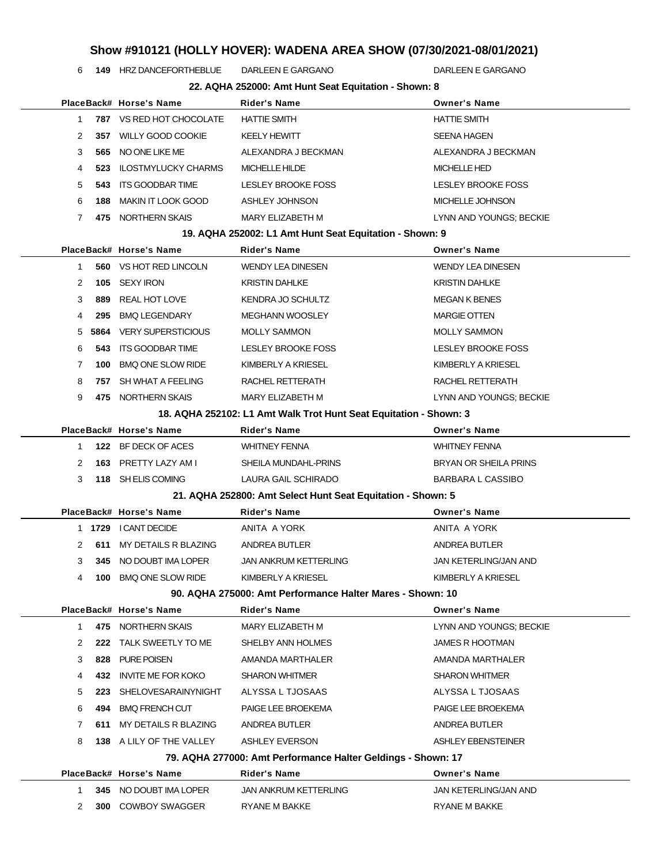**149** HRZ DANCEFORTHEBLUE DARLEEN E GARGANO DARLEEN E GARGANO

|                                                              |      |                            | 22. AQHA 252000: Amt Hunt Seat Equitation - Shown: 8              |                           |  |
|--------------------------------------------------------------|------|----------------------------|-------------------------------------------------------------------|---------------------------|--|
|                                                              |      | PlaceBack# Horse's Name    | <b>Rider's Name</b>                                               | <b>Owner's Name</b>       |  |
| 1                                                            |      | 787 VS RED HOT CHOCOLATE   | <b>HATTIE SMITH</b>                                               | HATTIE SMITH              |  |
| 2                                                            |      | 357 WILLY GOOD COOKIE      | <b>KEELY HEWITT</b>                                               | SEENA HAGEN               |  |
| 3                                                            | 565  | NO ONE LIKE ME             | ALEXANDRA J BECKMAN                                               | ALEXANDRA J BECKMAN       |  |
| 4                                                            | 523  | <b>ILOSTMYLUCKY CHARMS</b> | <b>MICHELLE HILDE</b>                                             | <b>MICHELLE HED</b>       |  |
| 5                                                            | 543. | ITS GOODBAR TIME           | LESLEY BROOKE FOSS                                                | LESLEY BROOKE FOSS        |  |
| 6                                                            | 188  | MAKIN IT LOOK GOOD         | <b>ASHLEY JOHNSON</b>                                             | MICHELLE JOHNSON          |  |
| $\overline{7}$                                               |      | 475 NORTHERN SKAIS         | MARY ELIZABETH M                                                  | LYNN AND YOUNGS; BECKIE   |  |
|                                                              |      |                            | 19. AQHA 252002: L1 Amt Hunt Seat Equitation - Shown: 9           |                           |  |
|                                                              |      | PlaceBack# Horse's Name    | <b>Rider's Name</b>                                               | <b>Owner's Name</b>       |  |
| $\mathbf{1}$                                                 |      | 560 VS HOT RED LINCOLN     | <b>WENDY LEA DINESEN</b>                                          | WENDY LEA DINESEN         |  |
| 2                                                            | 105  | SEXY IRON                  | <b>KRISTIN DAHLKE</b>                                             | KRISTIN DAHLKE            |  |
| 3                                                            | 889  | <b>REAL HOT LOVE</b>       | KENDRA JO SCHULTZ                                                 | <b>MEGAN K BENES</b>      |  |
| 4                                                            | 295  | <b>BMQ LEGENDARY</b>       | MEGHANN WOOSLEY                                                   | <b>MARGIE OTTEN</b>       |  |
| 5                                                            | 5864 | <b>VERY SUPERSTICIOUS</b>  | <b>MOLLY SAMMON</b>                                               | <b>MOLLY SAMMON</b>       |  |
| 6                                                            | 543  | ITS GOODBAR TIME           | LESLEY BROOKE FOSS                                                | <b>LESLEY BROOKE FOSS</b> |  |
| 7                                                            | 100  | <b>BMQ ONE SLOW RIDE</b>   | KIMBERLY A KRIESEL                                                | KIMBERLY A KRIESEL        |  |
| 8                                                            |      | 757 SH WHAT A FEELING      | RACHEL RETTERATH                                                  | RACHEL RETTERATH          |  |
| 9                                                            |      | 475 NORTHERN SKAIS         | MARY ELIZABETH M                                                  | LYNN AND YOUNGS; BECKIE   |  |
|                                                              |      |                            | 18. AQHA 252102: L1 Amt Walk Trot Hunt Seat Equitation - Shown: 3 |                           |  |
|                                                              |      | PlaceBack# Horse's Name    | Rider's Name                                                      | <b>Owner's Name</b>       |  |
| 1                                                            |      | 122 BF DECK OF ACES        | <b>WHITNEY FENNA</b>                                              | WHITNEY FENNA             |  |
| 2                                                            |      | 163 PRETTY LAZY AM I       | SHEILA MUNDAHL-PRINS                                              | BRYAN OR SHEILA PRINS     |  |
| 3                                                            |      | 118 SH ELIS COMING         | LAURA GAIL SCHIRADO                                               | BARBARA L CASSIBO         |  |
|                                                              |      |                            | 21. AQHA 252800: Amt Select Hunt Seat Equitation - Shown: 5       |                           |  |
|                                                              |      | PlaceBack# Horse's Name    | <b>Rider's Name</b>                                               | <b>Owner's Name</b>       |  |
|                                                              |      | 1 1729 I CANT DECIDE       | ANITA A YORK                                                      | ANITA A YORK              |  |
| 2                                                            | 611  | MY DETAILS R BLAZING       | ANDREA BUTLER                                                     | ANDREA BUTLER             |  |
| 3                                                            | 345  | NO DOUBT IMA LOPER         | <b>JAN ANKRUM KETTERLING</b>                                      | JAN KETERLING/JAN AND     |  |
| 4                                                            | 100  | <b>BMQ ONE SLOW RIDE</b>   | KIMBERLY A KRIESEL                                                | KIMBERLY A KRIESEL        |  |
|                                                              |      |                            | 90. AQHA 275000: Amt Performance Halter Mares - Shown: 10         |                           |  |
|                                                              |      | PlaceBack# Horse's Name    | <b>Rider's Name</b>                                               | <b>Owner's Name</b>       |  |
| $\mathbf{1}$                                                 |      | 475 NORTHERN SKAIS         | MARY ELIZABETH M                                                  | LYNN AND YOUNGS; BECKIE   |  |
| 2                                                            |      | 222 TALK SWEETLY TO ME     | SHELBY ANN HOLMES                                                 | JAMES R HOOTMAN           |  |
| 3                                                            | 828  | PURE POISEN                | AMANDA MARTHALER                                                  | AMANDA MARTHALER          |  |
| 4                                                            | 432  | <b>INVITE ME FOR KOKO</b>  | <b>SHARON WHITMER</b>                                             | <b>SHARON WHITMER</b>     |  |
| 5                                                            |      | 223 SHELOVESARAINYNIGHT    | ALYSSA L TJOSAAS                                                  | ALYSSA L TJOSAAS          |  |
| 6                                                            | 494  | <b>BMQ FRENCH CUT</b>      | PAIGE LEE BROEKEMA                                                | PAIGE LEE BROEKEMA        |  |
| 7                                                            | 611  | MY DETAILS R BLAZING       | ANDREA BUTLER                                                     | ANDREA BUTLER             |  |
| 8                                                            |      | 138 A LILY OF THE VALLEY   | <b>ASHLEY EVERSON</b>                                             | ASHLEY EBENSTEINER        |  |
| 79. AQHA 277000: Amt Performance Halter Geldings - Shown: 17 |      |                            |                                                                   |                           |  |
|                                                              |      |                            |                                                                   |                           |  |
|                                                              |      | PlaceBack# Horse's Name    | Rider's Name                                                      | <b>Owner's Name</b>       |  |
| 1                                                            |      | 345 NO DOUBT IMA LOPER     | <b>JAN ANKRUM KETTERLING</b>                                      | JAN KETERLING/JAN AND     |  |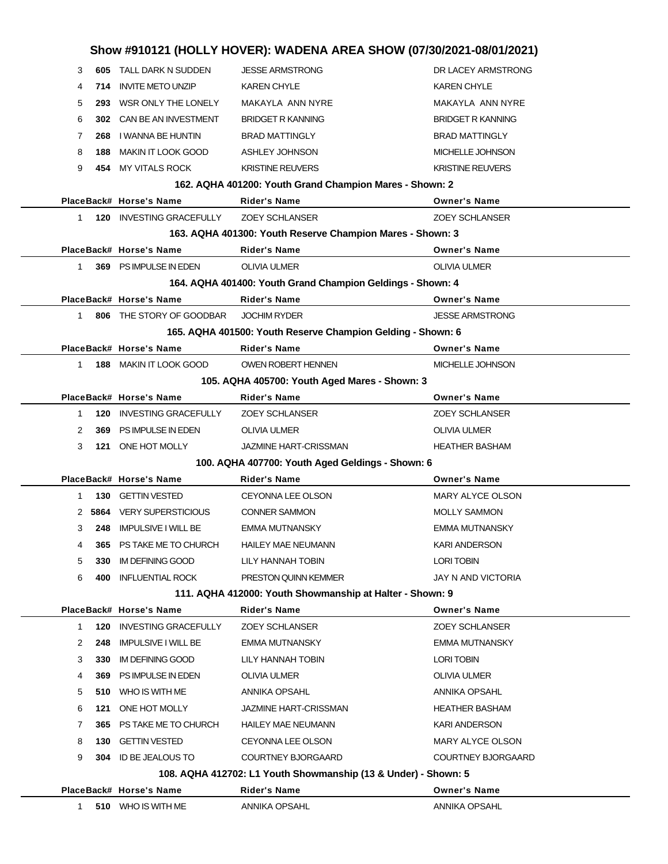| 3<br>248<br>365<br>4<br>5<br>330<br>6<br>400<br>120<br>1<br>2<br>248 | <b>IMPULSIVE I WILL BE</b><br>PS TAKE ME TO CHURCH<br><b>IM DEFINING GOOD</b><br>INFLUENTIAL ROCK<br>PlaceBack# Horse's Name<br><b>INVESTING GRACEFULLY</b><br><b>IMPULSIVE I WILL BE</b> | <b>HAILEY MAE NEUMANN</b><br>LILY HANNAH TOBIN<br>PRESTON QUINN KEMMER<br>111. AQHA 412000: Youth Showmanship at Halter - Shown: 9<br><b>Rider's Name</b><br><b>ZOEY SCHLANSER</b><br><b>EMMA MUTNANSKY</b> | KARI ANDERSON<br><b>LORI TOBIN</b><br>JAY N AND VICTORIA<br><b>Owner's Name</b><br><b>ZOEY SCHLANSER</b><br><b>EMMA MUTNANSKY</b> |
|----------------------------------------------------------------------|-------------------------------------------------------------------------------------------------------------------------------------------------------------------------------------------|-------------------------------------------------------------------------------------------------------------------------------------------------------------------------------------------------------------|-----------------------------------------------------------------------------------------------------------------------------------|
|                                                                      |                                                                                                                                                                                           |                                                                                                                                                                                                             |                                                                                                                                   |
|                                                                      |                                                                                                                                                                                           |                                                                                                                                                                                                             |                                                                                                                                   |
|                                                                      |                                                                                                                                                                                           |                                                                                                                                                                                                             |                                                                                                                                   |
|                                                                      |                                                                                                                                                                                           |                                                                                                                                                                                                             |                                                                                                                                   |
|                                                                      |                                                                                                                                                                                           |                                                                                                                                                                                                             |                                                                                                                                   |
|                                                                      |                                                                                                                                                                                           |                                                                                                                                                                                                             |                                                                                                                                   |
|                                                                      |                                                                                                                                                                                           |                                                                                                                                                                                                             |                                                                                                                                   |
|                                                                      |                                                                                                                                                                                           |                                                                                                                                                                                                             |                                                                                                                                   |
|                                                                      |                                                                                                                                                                                           | <b>EMMA MUTNANSKY</b>                                                                                                                                                                                       | EMMA MUTNANSKY                                                                                                                    |
| 2<br>5864                                                            | <b>VERY SUPERSTICIOUS</b>                                                                                                                                                                 | <b>CONNER SAMMON</b>                                                                                                                                                                                        | <b>MOLLY SAMMON</b>                                                                                                               |
| 1                                                                    | 130 GETTIN VESTED                                                                                                                                                                         | <b>CEYONNA LEE OLSON</b>                                                                                                                                                                                    | MARY ALYCE OLSON                                                                                                                  |
|                                                                      | PlaceBack# Horse's Name                                                                                                                                                                   | <b>Rider's Name</b>                                                                                                                                                                                         | <b>Owner's Name</b>                                                                                                               |
|                                                                      |                                                                                                                                                                                           | 100. AQHA 407700: Youth Aged Geldings - Shown: 6                                                                                                                                                            |                                                                                                                                   |
| 3                                                                    | 121 ONE HOT MOLLY                                                                                                                                                                         | <b>JAZMINE HART-CRISSMAN</b>                                                                                                                                                                                | HEATHER BASHAM                                                                                                                    |
| 2<br>369                                                             | PS IMPULSE IN EDEN                                                                                                                                                                        | OLIVIA ULMER                                                                                                                                                                                                | OLIVIA ULMER                                                                                                                      |
| 1<br>120                                                             | <b>INVESTING GRACEFULLY</b>                                                                                                                                                               | <b>ZOEY SCHLANSER</b>                                                                                                                                                                                       | ZOEY SCHLANSER                                                                                                                    |
|                                                                      | PlaceBack# Horse's Name                                                                                                                                                                   | <b>Rider's Name</b>                                                                                                                                                                                         | <b>Owner's Name</b>                                                                                                               |
|                                                                      |                                                                                                                                                                                           | 105. AQHA 405700: Youth Aged Mares - Shown: 3                                                                                                                                                               |                                                                                                                                   |
| $\mathbf 1$                                                          | <b>188 MAKIN IT LOOK GOOD</b>                                                                                                                                                             | <b>OWEN ROBERT HENNEN</b>                                                                                                                                                                                   | MICHELLE JOHNSON                                                                                                                  |
|                                                                      | PlaceBack# Horse's Name                                                                                                                                                                   | <b>Rider's Name</b>                                                                                                                                                                                         | <b>Owner's Name</b>                                                                                                               |
|                                                                      |                                                                                                                                                                                           | 165. AQHA 401500: Youth Reserve Champion Gelding - Shown: 6                                                                                                                                                 |                                                                                                                                   |
| $\mathbf{1}$                                                         | 806 THE STORY OF GOODBAR                                                                                                                                                                  | <b>JOCHIM RYDER</b>                                                                                                                                                                                         | <b>JESSE ARMSTRONG</b>                                                                                                            |
|                                                                      | PlaceBack# Horse's Name                                                                                                                                                                   | <b>Rider's Name</b>                                                                                                                                                                                         | <b>Owner's Name</b>                                                                                                               |
|                                                                      |                                                                                                                                                                                           | 164. AQHA 401400: Youth Grand Champion Geldings - Shown: 4                                                                                                                                                  |                                                                                                                                   |
| $\mathbf 1$                                                          | 369 PS IMPULSE IN EDEN                                                                                                                                                                    | <b>OLIVIA ULMER</b>                                                                                                                                                                                         | <b>OLIVIA ULMER</b>                                                                                                               |
|                                                                      | PlaceBack# Horse's Name                                                                                                                                                                   | <b>Rider's Name</b>                                                                                                                                                                                         | <b>Owner's Name</b>                                                                                                               |
|                                                                      |                                                                                                                                                                                           | 163. AQHA 401300: Youth Reserve Champion Mares - Shown: 3                                                                                                                                                   |                                                                                                                                   |
| $\mathbf 1$                                                          | 120 INVESTING GRACEFULLY                                                                                                                                                                  | <b>ZOEY SCHLANSER</b>                                                                                                                                                                                       | <b>ZOEY SCHLANSER</b>                                                                                                             |
|                                                                      | PlaceBack# Horse's Name                                                                                                                                                                   | <b>Rider's Name</b>                                                                                                                                                                                         | <b>Owner's Name</b>                                                                                                               |
|                                                                      |                                                                                                                                                                                           | 162. AQHA 401200: Youth Grand Champion Mares - Shown: 2                                                                                                                                                     |                                                                                                                                   |
| 9                                                                    | 454 MY VITALS ROCK                                                                                                                                                                        | <b>KRISTINE REUVERS</b>                                                                                                                                                                                     | <b>KRISTINE REUVERS</b>                                                                                                           |
| 8<br>188                                                             | <b>MAKIN IT LOOK GOOD</b>                                                                                                                                                                 | ASHLEY JOHNSON                                                                                                                                                                                              | MICHELLE JOHNSON                                                                                                                  |
| 7<br>268                                                             | I WANNA BE HUNTIN                                                                                                                                                                         | <b>BRAD MATTINGLY</b>                                                                                                                                                                                       | <b>BRAD MATTINGLY</b>                                                                                                             |
| 6                                                                    | 302 CAN BE AN INVESTMENT                                                                                                                                                                  | <b>BRIDGET R KANNING</b>                                                                                                                                                                                    | <b>BRIDGET R KANNING</b>                                                                                                          |
| 5                                                                    | 293 WSR ONLY THE LONELY                                                                                                                                                                   | MAKAYLA ANN NYRE                                                                                                                                                                                            | MAKAYLA ANN NYRE                                                                                                                  |
| 4<br>714                                                             | <b>INVITE METO UNZIP</b>                                                                                                                                                                  | <b>KAREN CHYLE</b>                                                                                                                                                                                          | KAREN CHYLE                                                                                                                       |
| 3                                                                    |                                                                                                                                                                                           |                                                                                                                                                                                                             |                                                                                                                                   |
| 605                                                                  | TALL DARK N SUDDEN                                                                                                                                                                        | <b>JESSE ARMSTRONG</b>                                                                                                                                                                                      | DR LACEY ARMSTRONG                                                                                                                |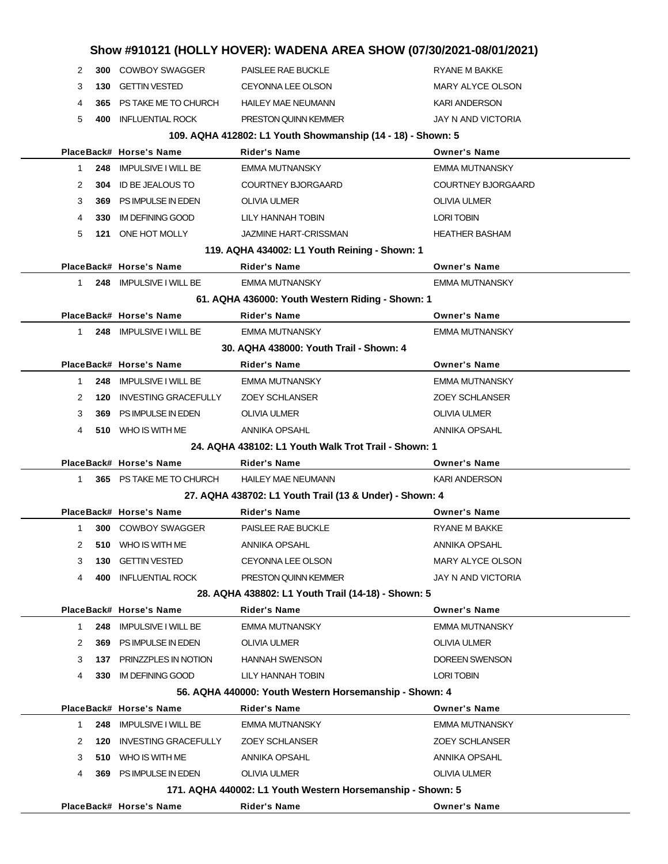|              |      |                             |                                                             | Show #910121 (HOLLY HOVER): WADENA AREA SHOW (07/30/2021-08/01/2021) |
|--------------|------|-----------------------------|-------------------------------------------------------------|----------------------------------------------------------------------|
| 2            |      | 300 COWBOY SWAGGER          | PAISLEE RAE BUCKLE                                          | <b>RYANE M BAKKE</b>                                                 |
| 3            |      | 130 GETTIN VESTED           | CEYONNA LEE OLSON                                           | MARY ALYCE OLSON                                                     |
| 4            |      | 365 PS TAKE ME TO CHURCH    | <b>HAILEY MAE NEUMANN</b>                                   | <b>KARI ANDERSON</b>                                                 |
| 5            | 400  | <b>INFLUENTIAL ROCK</b>     | PRESTON QUINN KEMMER                                        | JAY N AND VICTORIA                                                   |
|              |      |                             | 109. AQHA 412802: L1 Youth Showmanship (14 - 18) - Shown: 5 |                                                                      |
|              |      | PlaceBack# Horse's Name     | <b>Rider's Name</b>                                         | <b>Owner's Name</b>                                                  |
| $\mathbf{1}$ |      | 248 IMPULSIVE I WILL BE     | <b>EMMA MUTNANSKY</b>                                       | <b>EMMA MUTNANSKY</b>                                                |
| 2            | 304  | ID BE JEALOUS TO            | <b>COURTNEY BJORGAARD</b>                                   | <b>COURTNEY BJORGAARD</b>                                            |
| 3            |      | 369 PS IMPULSE IN EDEN      | <b>OLIVIA ULMER</b>                                         | <b>OLIVIA ULMER</b>                                                  |
| 4            | 330  | <b>IM DEFINING GOOD</b>     | LILY HANNAH TOBIN                                           | <b>LORI TOBIN</b>                                                    |
| 5            |      | 121 ONE HOT MOLLY           | <b>JAZMINE HART-CRISSMAN</b>                                | <b>HEATHER BASHAM</b>                                                |
|              |      |                             | 119. AQHA 434002: L1 Youth Reining - Shown: 1               |                                                                      |
|              |      | PlaceBack# Horse's Name     | <b>Rider's Name</b>                                         | <b>Owner's Name</b>                                                  |
| 1            |      | 248 IMPULSIVE I WILL BE     | <b>EMMA MUTNANSKY</b>                                       | <b>EMMA MUTNANSKY</b>                                                |
|              |      |                             | 61. AQHA 436000: Youth Western Riding - Shown: 1            |                                                                      |
|              |      | PlaceBack# Horse's Name     | <b>Rider's Name</b>                                         | <b>Owner's Name</b>                                                  |
| $\mathbf{1}$ |      | 248 IMPULSIVE I WILL BE     | <b>EMMA MUTNANSKY</b>                                       | <b>EMMA MUTNANSKY</b>                                                |
|              |      |                             | 30. AQHA 438000: Youth Trail - Shown: 4                     |                                                                      |
|              |      | PlaceBack# Horse's Name     | <b>Rider's Name</b>                                         | <b>Owner's Name</b>                                                  |
| $\mathbf{1}$ |      | 248 IMPULSIVE I WILL BE     | <b>EMMA MUTNANSKY</b>                                       | <b>EMMA MUTNANSKY</b>                                                |
| 2            | 120  | <b>INVESTING GRACEFULLY</b> | <b>ZOEY SCHLANSER</b>                                       | <b>ZOEY SCHLANSER</b>                                                |
| 3            | 369  | PS IMPULSE IN EDEN          | <b>OLIVIA ULMER</b>                                         | <b>OLIVIA ULMER</b>                                                  |
| 4            |      | 510 WHO IS WITH ME          | ANNIKA OPSAHL                                               | <b>ANNIKA OPSAHL</b>                                                 |
|              |      |                             | 24. AQHA 438102: L1 Youth Walk Trot Trail - Shown: 1        |                                                                      |
|              |      | PlaceBack# Horse's Name     | Rider's Name                                                | <b>Owner's Name</b>                                                  |
| $\mathbf{1}$ |      | 365 PS TAKE ME TO CHURCH    | <b>HAILEY MAE NEUMANN</b>                                   | <b>KARI ANDERSON</b>                                                 |
|              |      |                             | 27. AQHA 438702: L1 Youth Trail (13 & Under) - Shown: 4     |                                                                      |
|              |      | PlaceBack# Horse's Name     | Rider's Name                                                | <b>Owner's Name</b>                                                  |
| 1            |      | 300 COWBOY SWAGGER          | PAISLEE RAE BUCKLE                                          | <b>RYANE M BAKKE</b>                                                 |
| 2            | 510  | WHO IS WITH ME              | ANNIKA OPSAHL                                               | ANNIKA OPSAHL                                                        |
| 3            | 130  | <b>GETTIN VESTED</b>        | CEYONNA LEE OLSON                                           | MARY ALYCE OLSON                                                     |
| 4            | 400  | <b>INFLUENTIAL ROCK</b>     | PRESTON QUINN KEMMER                                        | JAY N AND VICTORIA                                                   |
|              |      |                             | 28. AQHA 438802: L1 Youth Trail (14-18) - Shown: 5          |                                                                      |
|              |      | PlaceBack# Horse's Name     | <b>Rider's Name</b>                                         | <b>Owner's Name</b>                                                  |
| 1.           | 248  | <b>IMPULSIVE I WILL BE</b>  | <b>EMMA MUTNANSKY</b>                                       | <b>EMMA MUTNANSKY</b>                                                |
| 2            | 369. | PS IMPULSE IN EDEN          | <b>OLIVIA ULMER</b>                                         | <b>OLIVIA ULMER</b>                                                  |
| 3            |      | 137 PRINZZPLES IN NOTION    | <b>HANNAH SWENSON</b>                                       | DOREEN SWENSON                                                       |
| 4            | 330  | <b>IM DEFINING GOOD</b>     | LILY HANNAH TOBIN                                           | <b>LORI TOBIN</b>                                                    |
|              |      |                             | 56. AQHA 440000: Youth Western Horsemanship - Shown: 4      |                                                                      |
|              |      | PlaceBack# Horse's Name     | Rider's Name                                                | <b>Owner's Name</b>                                                  |
| 1.           | 248  | <b>IMPULSIVE I WILL BE</b>  | <b>EMMA MUTNANSKY</b>                                       | <b>EMMA MUTNANSKY</b>                                                |
| 2            | 120  | <b>INVESTING GRACEFULLY</b> | <b>ZOEY SCHLANSER</b>                                       | <b>ZOEY SCHLANSER</b>                                                |
| 3            |      | 510 WHO IS WITH ME          | ANNIKA OPSAHL                                               | ANNIKA OPSAHL                                                        |
| 4            | 369  | PS IMPULSE IN EDEN          | OLIVIA ULMER                                                | <b>OLIVIA ULMER</b>                                                  |
|              |      |                             | 171. AQHA 440002: L1 Youth Western Horsemanship - Shown: 5  |                                                                      |
|              |      | PlaceBack# Horse's Name     | <b>Rider's Name</b>                                         | <b>Owner's Name</b>                                                  |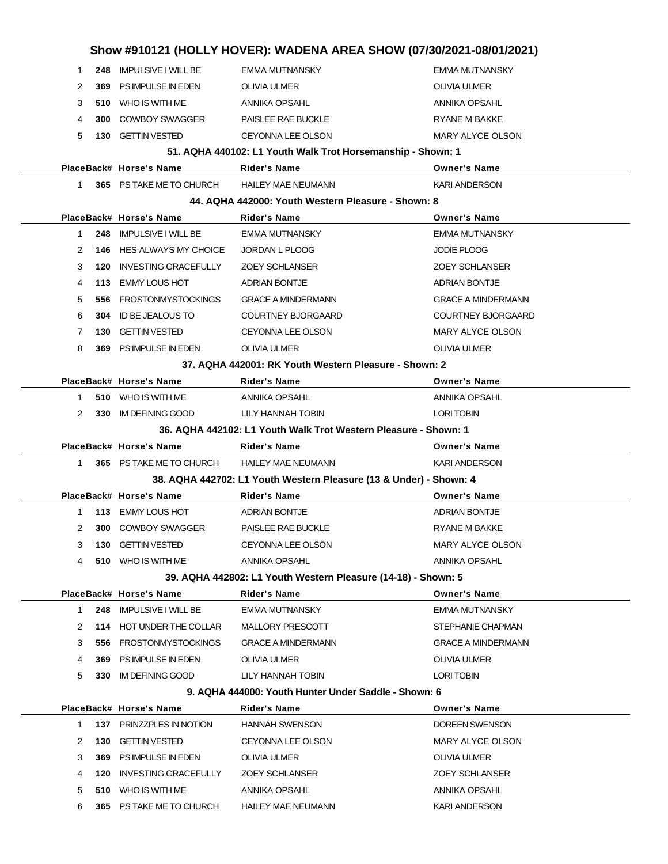|                     |                                            |                                                                    | Show #910121 (HOLLY HOVER): WADENA AREA SHOW (07/30/2021-08/01/2021) |  |
|---------------------|--------------------------------------------|--------------------------------------------------------------------|----------------------------------------------------------------------|--|
| 248<br>1            | <b>IMPULSIVE I WILL BE</b>                 | <b>EMMA MUTNANSKY</b>                                              | <b>EMMA MUTNANSKY</b>                                                |  |
| 2<br>369            | PS IMPULSE IN EDEN                         | <b>OLIVIA ULMER</b>                                                | OLIVIA ULMER                                                         |  |
| 3<br>510            | WHO IS WITH ME                             | ANNIKA OPSAHL                                                      | <b>ANNIKA OPSAHL</b>                                                 |  |
| 4<br>300            | <b>COWBOY SWAGGER</b>                      | PAISLEE RAE BUCKLE                                                 | RYANE M BAKKE                                                        |  |
| 5<br>130            | <b>GETTIN VESTED</b>                       | CEYONNA LEE OLSON                                                  | MARY ALYCE OLSON                                                     |  |
|                     |                                            | 51. AQHA 440102: L1 Youth Walk Trot Horsemanship - Shown: 1        |                                                                      |  |
|                     | PlaceBack# Horse's Name                    | <b>Rider's Name</b>                                                | <b>Owner's Name</b>                                                  |  |
| 1.                  | 365 PS TAKE ME TO CHURCH                   | <b>HAILEY MAE NEUMANN</b>                                          | <b>KARI ANDERSON</b>                                                 |  |
|                     |                                            | 44. AQHA 442000: Youth Western Pleasure - Shown: 8                 |                                                                      |  |
|                     | PlaceBack# Horse's Name                    | Rider's Name                                                       | <b>Owner's Name</b>                                                  |  |
| $\mathbf{1}$<br>248 | <b>IMPULSIVE I WILL BE</b>                 | <b>EMMA MUTNANSKY</b>                                              | <b>EMMA MUTNANSKY</b>                                                |  |
| 2<br>146            | HES ALWAYS MY CHOICE                       | JORDAN L PLOOG                                                     | <b>JODIE PLOOG</b>                                                   |  |
| 3<br>120            | <b>INVESTING GRACEFULLY</b>                | <b>ZOEY SCHLANSER</b>                                              | <b>ZOEY SCHLANSER</b>                                                |  |
| 4<br>113            | <b>EMMY LOUS HOT</b>                       | <b>ADRIAN BONTJE</b>                                               | <b>ADRIAN BONTJE</b>                                                 |  |
| 5<br>556            | <b>FROSTONMYSTOCKINGS</b>                  | <b>GRACE A MINDERMANN</b>                                          | <b>GRACE A MINDERMANN</b>                                            |  |
| 6<br>304            | <b>ID BE JEALOUS TO</b>                    | <b>COURTNEY BJORGAARD</b>                                          | <b>COURTNEY BJORGAARD</b>                                            |  |
| 7<br>130            | <b>GETTIN VESTED</b>                       | CEYONNA LEE OLSON                                                  | <b>MARY ALYCE OLSON</b>                                              |  |
| 8<br>369            | PS IMPULSE IN EDEN                         | <b>OLIVIA ULMER</b>                                                | OLIVIA ULMER                                                         |  |
|                     |                                            | 37. AQHA 442001: RK Youth Western Pleasure - Shown: 2              |                                                                      |  |
|                     | PlaceBack# Horse's Name                    | Rider's Name                                                       | <b>Owner's Name</b>                                                  |  |
| $\mathbf{1}$        | 510 WHO IS WITH ME                         | ANNIKA OPSAHL                                                      | <b>ANNIKA OPSAHL</b>                                                 |  |
| 2<br>330            | <b>IM DEFINING GOOD</b>                    | LILY HANNAH TOBIN                                                  | LORI TOBIN                                                           |  |
|                     |                                            | 36. AQHA 442102: L1 Youth Walk Trot Western Pleasure - Shown: 1    |                                                                      |  |
|                     |                                            |                                                                    |                                                                      |  |
|                     | PlaceBack# Horse's Name                    | Rider's Name                                                       | <b>Owner's Name</b>                                                  |  |
| $\mathbf{1}$        | 365 PS TAKE ME TO CHURCH                   | <b>HAILEY MAE NEUMANN</b>                                          | <b>KARI ANDERSON</b>                                                 |  |
|                     |                                            | 38. AQHA 442702: L1 Youth Western Pleasure (13 & Under) - Shown: 4 |                                                                      |  |
|                     | PlaceBack# Horse's Name                    | <b>Rider's Name</b>                                                | <b>Owner's Name</b>                                                  |  |
| 1                   | 113 EMMY LOUS HOT                          | <b>ADRIAN BONTJE</b>                                               | <b>ADRIAN BONTJE</b>                                                 |  |
| 2<br>300            | <b>COWBOY SWAGGER</b>                      | PAISLEE RAE BUCKLE                                                 | RYANE M BAKKE                                                        |  |
| 3<br>130            | <b>GETTIN VESTED</b>                       | CEYONNA LEE OLSON                                                  | <b>MARY ALYCE OLSON</b>                                              |  |
| 4                   | 510 WHO IS WITH ME                         | ANNIKA OPSAHL                                                      | ANNIKA OPSAHL                                                        |  |
|                     |                                            | 39. AQHA 442802: L1 Youth Western Pleasure (14-18) - Shown: 5      |                                                                      |  |
|                     | PlaceBack# Horse's Name                    | <b>Rider's Name</b>                                                | <b>Owner's Name</b>                                                  |  |
| 1                   | 248 IMPULSIVE I WILL BE                    | <b>EMMA MUTNANSKY</b>                                              | EMMA MUTNANSKY                                                       |  |
| 2                   | 114 HOT UNDER THE COLLAR                   | MALLORY PRESCOTT                                                   | STEPHANIE CHAPMAN                                                    |  |
| 3                   | 556 FROSTONMYSTOCKINGS                     | <b>GRACE A MINDERMANN</b>                                          | <b>GRACE A MINDERMANN</b>                                            |  |
| 4<br>369            | PS IMPULSE IN EDEN                         | OLIVIA ULMER                                                       | OLIVIA ULMER                                                         |  |
| 5<br>330            | <b>IM DEFINING GOOD</b>                    | LILY HANNAH TOBIN                                                  | LORI TOBIN                                                           |  |
|                     |                                            | 9. AQHA 444000: Youth Hunter Under Saddle - Shown: 6               |                                                                      |  |
|                     | PlaceBack# Horse's Name                    | Rider's Name                                                       | <b>Owner's Name</b>                                                  |  |
| 1                   | 137 PRINZZPLES IN NOTION                   | <b>HANNAH SWENSON</b>                                              | DOREEN SWENSON                                                       |  |
| 2<br>130            | <b>GETTIN VESTED</b>                       | CEYONNA LEE OLSON                                                  | MARY ALYCE OLSON                                                     |  |
| 3<br>369            | PS IMPULSE IN EDEN                         | OLIVIA ULMER                                                       | OLIVIA ULMER                                                         |  |
| 4<br>120            | <b>INVESTING GRACEFULLY</b>                | <b>ZOEY SCHLANSER</b>                                              | <b>ZOEY SCHLANSER</b>                                                |  |
| 5<br>510<br>6       | WHO IS WITH ME<br>365 PS TAKE ME TO CHURCH | ANNIKA OPSAHL<br><b>HAILEY MAE NEUMANN</b>                         | ANNIKA OPSAHL<br><b>KARI ANDERSON</b>                                |  |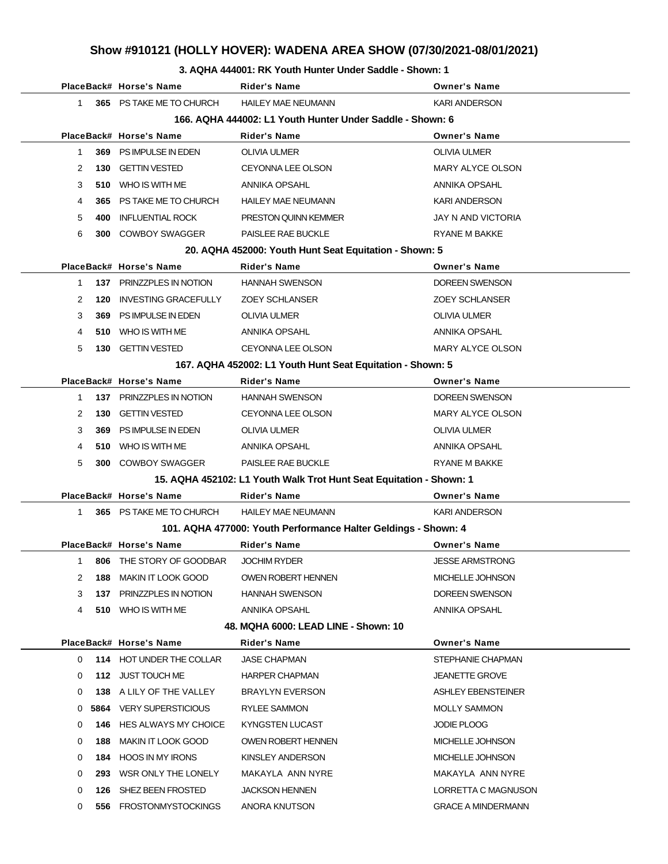#### **3. AQHA 444001: RK Youth Hunter Under Saddle - Shown: 1**

|                                                           |     | PlaceBack# Horse's Name                     | <b>Rider's Name</b>                                                 | <b>Owner's Name</b>     |  |  |
|-----------------------------------------------------------|-----|---------------------------------------------|---------------------------------------------------------------------|-------------------------|--|--|
| $1 \quad$                                                 |     | 365 PS TAKE ME TO CHURCH HAILEY MAE NEUMANN |                                                                     | <b>KARI ANDERSON</b>    |  |  |
| 166. AQHA 444002: L1 Youth Hunter Under Saddle - Shown: 6 |     |                                             |                                                                     |                         |  |  |
|                                                           |     | PlaceBack# Horse's Name                     | <b>Rider's Name</b>                                                 | <b>Owner's Name</b>     |  |  |
| 1                                                         |     | 369 PS IMPULSE IN EDEN                      | OLIVIA ULMER                                                        | <b>OLIVIA ULMER</b>     |  |  |
| 2                                                         | 130 | <b>GETTIN VESTED</b>                        | CEYONNA LEE OLSON                                                   | <b>MARY ALYCE OLSON</b> |  |  |
| 3                                                         |     | 510 WHO IS WITH ME                          | ANNIKA OPSAHL                                                       | ANNIKA OPSAHL           |  |  |
| 4                                                         |     | 365 PS TAKE ME TO CHURCH                    | <b>HAILEY MAE NEUMANN</b>                                           | <b>KARI ANDERSON</b>    |  |  |
| 5                                                         | 400 | INFLUENTIAL ROCK                            | PRESTON QUINN KEMMER                                                | JAY N AND VICTORIA      |  |  |
| 6                                                         |     | 300 COWBOY SWAGGER                          | PAISLEE RAE BUCKLE                                                  | RYANE M BAKKE           |  |  |
|                                                           |     |                                             | 20. AQHA 452000: Youth Hunt Seat Equitation - Shown: 5              |                         |  |  |
|                                                           |     | PlaceBack# Horse's Name                     | <b>Rider's Name</b>                                                 | <b>Owner's Name</b>     |  |  |
| 1                                                         |     | 137 PRINZZPLES IN NOTION                    | <b>HANNAH SWENSON</b>                                               | DOREEN SWENSON          |  |  |
| 2                                                         | 120 | INVESTING GRACEFULLY                        | <b>ZOEY SCHLANSER</b>                                               | <b>ZOEY SCHLANSER</b>   |  |  |
| 3                                                         |     | 369 PS IMPULSE IN EDEN                      | <b>OLIVIA ULMER</b>                                                 | OLIVIA ULMER            |  |  |
| 4                                                         |     | 510 WHO IS WITH ME                          | ANNIKA OPSAHL                                                       | ANNIKA OPSAHL           |  |  |
| 5                                                         |     | <b>130 GETTIN VESTED</b>                    | <b>CEYONNA LEE OLSON</b>                                            | MARY ALYCE OLSON        |  |  |
|                                                           |     |                                             | 167. AQHA 452002: L1 Youth Hunt Seat Equitation - Shown: 5          |                         |  |  |
|                                                           |     | PlaceBack# Horse's Name                     | <b>Rider's Name</b>                                                 | <b>Owner's Name</b>     |  |  |
| 1                                                         |     | 137 PRINZZPLES IN NOTION                    | <b>HANNAH SWENSON</b>                                               | DOREEN SWENSON          |  |  |
| 2                                                         | 130 | <b>GETTIN VESTED</b>                        | CEYONNA LEE OLSON                                                   | MARY ALYCE OLSON        |  |  |
| 3                                                         |     | 369 PS IMPULSE IN EDEN                      | OLIVIA ULMER                                                        | OLIVIA ULMER            |  |  |
| 4                                                         |     | 510 WHO IS WITH ME                          | ANNIKA OPSAHL                                                       | ANNIKA OPSAHL           |  |  |
| 5                                                         |     | <b>300 COWBOY SWAGGER</b>                   | PAISLEE RAE BUCKLE                                                  | RYANE M BAKKE           |  |  |
|                                                           |     |                                             | 15. AQHA 452102: L1 Youth Walk Trot Hunt Seat Equitation - Shown: 1 |                         |  |  |
|                                                           |     | PlaceBack# Horse's Name                     | <b>Rider's Name</b>                                                 | <b>Owner's Name</b>     |  |  |
| 1                                                         |     | 365 PS TAKE ME TO CHURCH                    | HAILEY MAE NEUMANN                                                  | <b>KARI ANDERSON</b>    |  |  |
|                                                           |     |                                             | 101. AQHA 477000: Youth Performance Halter Geldings - Shown: 4      |                         |  |  |
|                                                           |     | PlaceBack# Horse's Name                     | <b>Rider's Name</b>                                                 | <b>Owner's Name</b>     |  |  |
| $1 \quad$                                                 |     | 806 THE STORY OF GOODBAR                    | <b>JOCHIM RYDER</b>                                                 | <b>JESSE ARMSTRONG</b>  |  |  |
| 2                                                         |     | <b>188 MAKIN IT LOOK GOOD</b>               | OWEN ROBERT HENNEN                                                  | MICHELLE JOHNSON        |  |  |
| 3                                                         |     | 137 PRINZZPLES IN NOTION                    | <b>HANNAH SWENSON</b>                                               | DOREEN SWENSON          |  |  |
| 4                                                         |     | 510 WHO IS WITH ME                          | ANNIKA OPSAHL                                                       | ANNIKA OPSAHL           |  |  |
|                                                           |     |                                             | 48. MQHA 6000: LEAD LINE - Shown: 10                                |                         |  |  |
|                                                           |     | PlaceBack# Horse's Name                     | Rider's Name                                                        | <b>Owner's Name</b>     |  |  |
| $\mathbf{0}$                                              |     | 114 HOT UNDER THE COLLAR                    | <b>JASE CHAPMAN</b>                                                 | STEPHANIE CHAPMAN       |  |  |
| 0                                                         |     | 112 JUST TOUCH ME                           | <b>HARPER CHAPMAN</b>                                               | <b>JEANETTE GROVE</b>   |  |  |
| 0                                                         |     | 138 A LILY OF THE VALLEY                    | BRAYLYN EVERSON                                                     | ASHLEY EBENSTEINER      |  |  |
| $\mathbf{0}$                                              |     | <b>5864</b> VERY SUPERSTICIOUS              | RYLEE SAMMON                                                        | <b>MOLLY SAMMON</b>     |  |  |
| 0                                                         |     | <b>146 HES ALWAYS MY CHOICE</b>             | KYNGSTEN LUCAST                                                     | JODIE PLOOG             |  |  |
| 0                                                         |     | <b>188 MAKIN IT LOOK GOOD</b>               | OWEN ROBERT HENNEN                                                  | MICHELLE JOHNSON        |  |  |
| 0                                                         |     | 184 HOOS IN MY IRONS                        | KINSLEY ANDERSON                                                    | MICHELLE JOHNSON        |  |  |
| 0                                                         |     | 293 WSR ONLY THE LONELY                     | MAKAYLA ANN NYRE                                                    | MAKAYLA ANN NYRE        |  |  |
| 0                                                         |     | 126 SHEZ BEEN FROSTED                       | <b>JACKSON HENNEN</b>                                               | LORRETTA C MAGNUSON     |  |  |
| 0                                                         |     | 556 FROSTONMYSTOCKINGS                      | ANORA KNUTSON                                                       | GRACE A MINDERMANN      |  |  |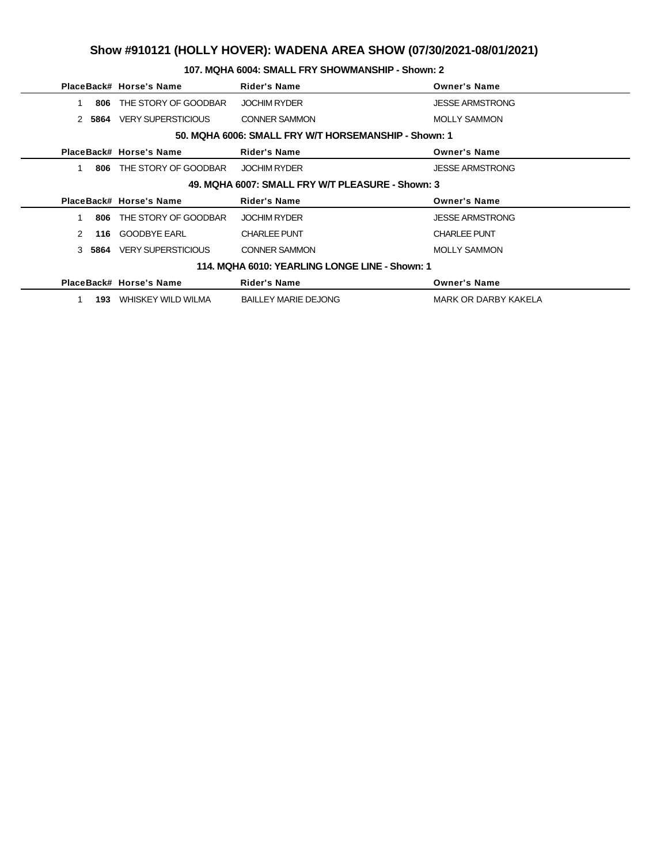### **107. MQHA 6004: SMALL FRY SHOWMANSHIP - Shown: 2**

|                                                      |      | PlaceBack# Horse's Name   | <b>Rider's Name</b>                            | <b>Owner's Name</b>    |  |  |  |
|------------------------------------------------------|------|---------------------------|------------------------------------------------|------------------------|--|--|--|
|                                                      | 806  | THE STORY OF GOODBAR      | <b>JOCHIM RYDER</b>                            | <b>JESSE ARMSTRONG</b> |  |  |  |
| $\mathcal{P}$                                        | 5864 | <b>VERY SUPERSTICIOUS</b> | <b>CONNER SAMMON</b>                           | <b>MOLLY SAMMON</b>    |  |  |  |
| 50. MQHA 6006: SMALL FRY W/T HORSEMANSHIP - Shown: 1 |      |                           |                                                |                        |  |  |  |
|                                                      |      | PlaceBack# Horse's Name   | <b>Rider's Name</b>                            | <b>Owner's Name</b>    |  |  |  |
|                                                      | 806  | THE STORY OF GOODBAR      | <b>JOCHIM RYDER</b>                            | <b>JESSE ARMSTRONG</b> |  |  |  |
| 49. MQHA 6007: SMALL FRY W/T PLEASURE - Shown: 3     |      |                           |                                                |                        |  |  |  |
|                                                      |      |                           |                                                |                        |  |  |  |
|                                                      |      | PlaceBack# Horse's Name   | <b>Rider's Name</b>                            | <b>Owner's Name</b>    |  |  |  |
|                                                      | 806  | THE STORY OF GOODBAR      | <b>JOCHIM RYDER</b>                            | <b>JESSE ARMSTRONG</b> |  |  |  |
| $\mathcal{P}$                                        | 116  | <b>GOODBYE EARL</b>       | <b>CHARLEE PUNT</b>                            | <b>CHARLEE PUNT</b>    |  |  |  |
| $\mathcal{S}$                                        | 5864 | <b>VERY SUPERSTICIOUS</b> | <b>CONNER SAMMON</b>                           | <b>MOLLY SAMMON</b>    |  |  |  |
|                                                      |      |                           | 114. MQHA 6010: YEARLING LONGE LINE - Shown: 1 |                        |  |  |  |
|                                                      |      | PlaceBack# Horse's Name   | <b>Rider's Name</b>                            | <b>Owner's Name</b>    |  |  |  |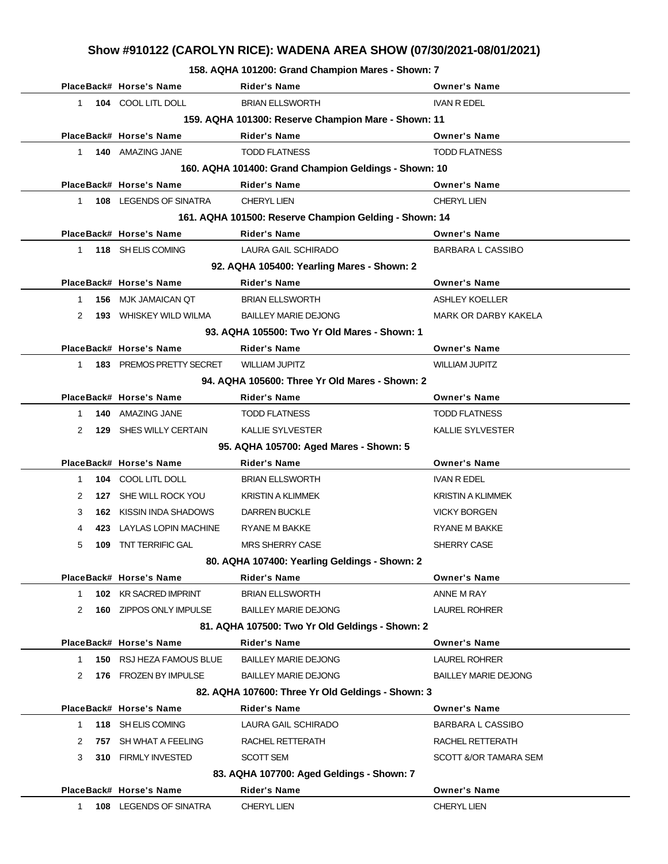**158. AQHA 101200: Grand Champion Mares - Shown: 7**

|              | PlaceBack# Horse's Name                             | <b>Rider's Name</b>                                    | <b>Owner's Name</b>         |  |  |  |
|--------------|-----------------------------------------------------|--------------------------------------------------------|-----------------------------|--|--|--|
| $\mathbf{1}$ | 104 COOL LITL DOLL                                  | <b>BRIAN ELLSWORTH</b>                                 | <b>IVAN R EDEL</b>          |  |  |  |
|              | 159. AQHA 101300: Reserve Champion Mare - Shown: 11 |                                                        |                             |  |  |  |
|              | PlaceBack# Horse's Name                             | <b>Rider's Name</b>                                    | <b>Owner's Name</b>         |  |  |  |
| $\mathbf{1}$ | 140 AMAZING JANE                                    | <b>TODD FLATNESS</b>                                   | <b>TODD FLATNESS</b>        |  |  |  |
|              |                                                     | 160. AQHA 101400: Grand Champion Geldings - Shown: 10  |                             |  |  |  |
|              | PlaceBack# Horse's Name                             | <b>Rider's Name</b>                                    | <b>Owner's Name</b>         |  |  |  |
| $\mathbf{1}$ | <b>108 LEGENDS OF SINATRA</b>                       | <b>CHERYL LIEN</b>                                     | <b>CHERYL LIEN</b>          |  |  |  |
|              |                                                     | 161. AQHA 101500: Reserve Champion Gelding - Shown: 14 |                             |  |  |  |
|              | PlaceBack# Horse's Name                             | <b>Rider's Name</b>                                    | <b>Owner's Name</b>         |  |  |  |
| $\mathbf{1}$ | 118 SH ELIS COMING                                  | LAURA GAIL SCHIRADO                                    | <b>BARBARA L CASSIBO</b>    |  |  |  |
|              |                                                     | 92. AQHA 105400: Yearling Mares - Shown: 2             |                             |  |  |  |
|              | PlaceBack# Horse's Name                             | <b>Rider's Name</b>                                    | <b>Owner's Name</b>         |  |  |  |
| $\mathbf{1}$ | <b>156 MJK JAMAICAN QT</b>                          | <b>BRIAN ELLSWORTH</b>                                 | <b>ASHLEY KOELLER</b>       |  |  |  |
| 2            | <b>193 WHISKEY WILD WILMA</b>                       | <b>BAILLEY MARIE DEJONG</b>                            | <b>MARK OR DARBY KAKELA</b> |  |  |  |
|              |                                                     | 93. AQHA 105500: Two Yr Old Mares - Shown: 1           |                             |  |  |  |
|              | PlaceBack# Horse's Name                             | <b>Rider's Name</b>                                    | <b>Owner's Name</b>         |  |  |  |
| 1            | 183 PREMOS PRETTY SECRET                            | <b>WILLIAM JUPITZ</b>                                  | <b>WILLIAM JUPITZ</b>       |  |  |  |
|              |                                                     | 94. AQHA 105600: Three Yr Old Mares - Shown: 2         |                             |  |  |  |
|              | PlaceBack# Horse's Name                             | <b>Rider's Name</b>                                    | <b>Owner's Name</b>         |  |  |  |
| $\mathbf{1}$ | 140 AMAZING JANE                                    | <b>TODD FLATNESS</b>                                   | <b>TODD FLATNESS</b>        |  |  |  |
| 2<br>129     | SHES WILLY CERTAIN                                  | <b>KALLIE SYLVESTER</b>                                | <b>KALLIE SYLVESTER</b>     |  |  |  |
|              | 95. AQHA 105700: Aged Mares - Shown: 5              |                                                        |                             |  |  |  |
|              | PlaceBack# Horse's Name                             | Rider's Name                                           | <b>Owner's Name</b>         |  |  |  |
| $\mathbf{1}$ | 104 COOL LITL DOLL                                  | <b>BRIAN ELLSWORTH</b>                                 | IVAN R EDEL                 |  |  |  |
| 2            | 127 SHE WILL ROCK YOU                               | <b>KRISTIN A KLIMMEK</b>                               | <b>KRISTIN A KLIMMEK</b>    |  |  |  |
| 3            | <b>162 KISSIN INDA SHADOWS</b>                      | DARREN BUCKLE                                          | <b>VICKY BORGEN</b>         |  |  |  |
| 4            | 423 LAYLAS LOPIN MACHINE                            | RYANE M BAKKE                                          | RYANE M BAKKE               |  |  |  |
| 5<br>109     | <b>TNT TERRIFIC GAL</b>                             | <b>MRS SHERRY CASE</b>                                 | SHERRY CASE                 |  |  |  |
|              |                                                     | 80. AQHA 107400: Yearling Geldings - Shown: 2          |                             |  |  |  |
|              | PlaceBack# Horse's Name                             | <b>Rider's Name</b>                                    | <b>Owner's Name</b>         |  |  |  |
| 1            | 102 KR SACRED IMPRINT                               | <b>BRIAN ELLSWORTH</b>                                 | ANNE M RAY                  |  |  |  |
| 2            | 160 ZIPPOS ONLY IMPULSE                             | <b>BAILLEY MARIE DEJONG</b>                            | <b>LAUREL ROHRER</b>        |  |  |  |
|              | 81. AQHA 107500: Two Yr Old Geldings - Shown: 2     |                                                        |                             |  |  |  |
|              | PlaceBack# Horse's Name                             | <b>Rider's Name</b>                                    | <b>Owner's Name</b>         |  |  |  |
| 1            | 150 RSJ HEZA FAMOUS BLUE                            | <b>BAILLEY MARIE DEJONG</b>                            | <b>LAUREL ROHRER</b>        |  |  |  |
| 2<br>176     | <b>FROZEN BY IMPULSE</b>                            | <b>BAILLEY MARIE DEJONG</b>                            | <b>BAILLEY MARIE DEJONG</b> |  |  |  |
|              |                                                     | 82. AQHA 107600: Three Yr Old Geldings - Shown: 3      |                             |  |  |  |
|              | PlaceBack# Horse's Name                             | <b>Rider's Name</b>                                    | <b>Owner's Name</b>         |  |  |  |
| 1            | 118 SH ELIS COMING                                  | LAURA GAIL SCHIRADO                                    | <b>BARBARA L CASSIBO</b>    |  |  |  |
| 2<br>757     | SH WHAT A FEELING                                   | RACHEL RETTERATH                                       | RACHEL RETTERATH            |  |  |  |
| 3            | 310 FIRMLY INVESTED                                 | <b>SCOTT SEM</b>                                       | SCOTT &/OR TAMARA SEM       |  |  |  |
|              |                                                     | 83. AQHA 107700: Aged Geldings - Shown: 7              |                             |  |  |  |
|              | PlaceBack# Horse's Name                             | Rider's Name                                           | <b>Owner's Name</b>         |  |  |  |
| 1.           | 108 LEGENDS OF SINATRA                              | CHERYL LIEN                                            | <b>CHERYL LIEN</b>          |  |  |  |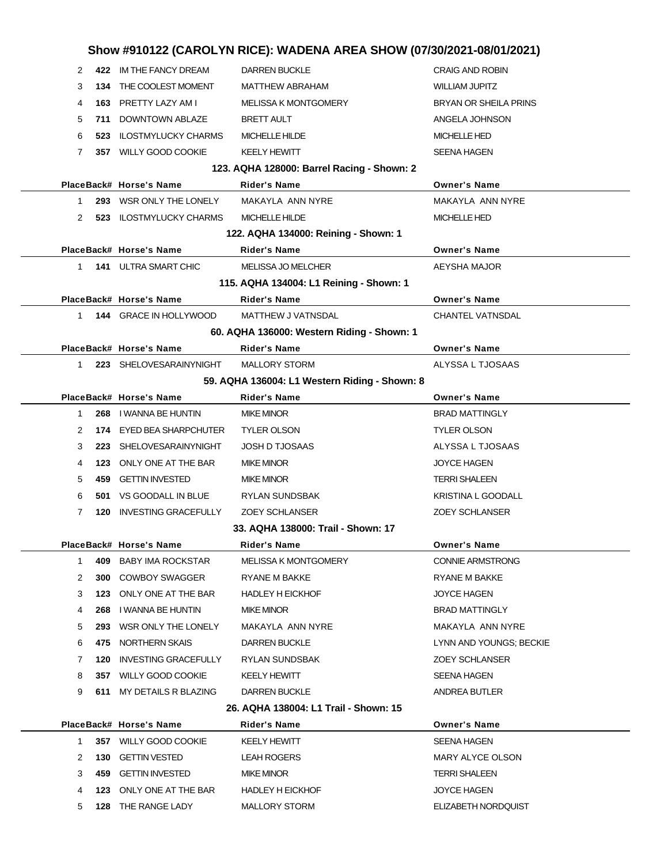|              |     |                                            | Show #910122 (CAROLYN RICE): WADENA AREA SHOW (07/30/2021-08/01/2021) |                                     |
|--------------|-----|--------------------------------------------|-----------------------------------------------------------------------|-------------------------------------|
| 2            |     | 422 IM THE FANCY DREAM                     | <b>DARREN BUCKLE</b>                                                  | <b>CRAIG AND ROBIN</b>              |
| 3            | 134 | THE COOLEST MOMENT                         | <b>MATTHEW ABRAHAM</b>                                                | <b>WILLIAM JUPITZ</b>               |
| 4            |     | 163 PRETTY LAZY AM I                       | <b>MELISSA K MONTGOMERY</b>                                           | BRYAN OR SHEILA PRINS               |
| 5            | 711 | DOWNTOWN ABLAZE                            | BRETT AULT                                                            | ANGELA JOHNSON                      |
| 6            | 523 | <b>ILOSTMYLUCKY CHARMS</b>                 | <b>MICHELLE HILDE</b>                                                 | <b>MICHELLE HED</b>                 |
| 7            |     | 357 WILLY GOOD COOKIE                      | <b>KEELY HEWITT</b>                                                   | SEENA HAGEN                         |
|              |     |                                            | 123. AQHA 128000: Barrel Racing - Shown: 2                            |                                     |
|              |     | PlaceBack# Horse's Name                    | Rider's Name                                                          | <b>Owner's Name</b>                 |
| 1            |     | 293 WSR ONLY THE LONELY                    | MAKAYLA ANN NYRE                                                      | MAKAYLA ANN NYRE                    |
| 2            | 523 | ILOSTMYLUCKY CHARMS                        | MICHELLE HILDE                                                        | <b>MICHELLE HED</b>                 |
|              |     |                                            | 122. AQHA 134000: Reining - Shown: 1                                  |                                     |
|              |     | PlaceBack# Horse's Name                    | Rider's Name                                                          | <b>Owner's Name</b>                 |
| 1            |     | 141 ULTRA SMART CHIC                       | <b>MELISSA JO MELCHER</b>                                             | AEYSHA MAJOR                        |
|              |     |                                            | 115. AQHA 134004: L1 Reining - Shown: 1                               |                                     |
|              |     | PlaceBack# Horse's Name                    | <b>Rider's Name</b>                                                   | <b>Owner's Name</b>                 |
| 1            |     | <b>144 GRACE IN HOLLYWOOD</b>              | MATTHEW J VATNSDAL                                                    | <b>CHANTEL VATNSDAL</b>             |
|              |     |                                            | 60. AQHA 136000: Western Riding - Shown: 1                            |                                     |
|              |     | PlaceBack# Horse's Name                    | <b>Rider's Name</b>                                                   | <b>Owner's Name</b>                 |
| 1.           |     | 223 SHELOVESARAINYNIGHT                    | <b>MALLORY STORM</b>                                                  | ALYSSA L TJOSAAS                    |
|              |     |                                            | 59. AQHA 136004: L1 Western Riding - Shown: 8                         |                                     |
|              |     | PlaceBack# Horse's Name                    | Rider's Name                                                          | <b>Owner's Name</b>                 |
| 1            | 268 | I WANNA BE HUNTIN                          | <b>MIKE MINOR</b>                                                     | <b>BRAD MATTINGLY</b>               |
| 2            |     | 174 EYED BEA SHARPCHUTER                   | <b>TYLER OLSON</b>                                                    | <b>TYLER OLSON</b>                  |
| 3            | 223 | SHELOVESARAINYNIGHT                        | <b>JOSH D TJOSAAS</b>                                                 | ALYSSA L TJOSAAS                    |
| 4            | 123 | ONLY ONE AT THE BAR                        | <b>MIKE MINOR</b>                                                     | <b>JOYCE HAGEN</b>                  |
| 5            | 459 | <b>GETTIN INVESTED</b>                     | <b>MIKE MINOR</b>                                                     | <b>TERRI SHALEEN</b>                |
| 6            |     | 501 VS GOODALL IN BLUE                     | RYLAN SUNDSBAK                                                        | KRISTINA L GOODALL                  |
| 7            | 120 | <b>INVESTING GRACEFULLY</b>                | <b>ZOEY SCHLANSER</b>                                                 | <b>ZOEY SCHLANSER</b>               |
|              |     |                                            | 33. AQHA 138000: Trail - Shown: 17                                    |                                     |
|              |     | PlaceBack# Horse's Name                    | Rider's Name                                                          | <b>Owner's Name</b>                 |
| 1            |     | 409 BABY IMA ROCKSTAR                      | <b>MELISSA K MONTGOMERY</b>                                           | <b>CONNIE ARMSTRONG</b>             |
| 2            | 300 | COWBOY SWAGGER                             | RYANE M BAKKE                                                         | <b>RYANE M BAKKE</b>                |
| 3            |     | 123 ONLY ONE AT THE BAR                    | <b>HADLEY H EICKHOF</b>                                               | JOYCE HAGEN                         |
| 4            | 268 | I WANNA BE HUNTIN                          | <b>MIKE MINOR</b>                                                     | <b>BRAD MATTINGLY</b>               |
| 5            | 293 | WSR ONLY THE LONELY                        | MAKAYLA ANN NYRE                                                      | MAKAYLA ANN NYRE                    |
| 6            |     | 475 NORTHERN SKAIS                         | <b>DARREN BUCKLE</b>                                                  | LYNN AND YOUNGS; BECKIE             |
| 7            | 120 | INVESTING GRACEFULLY                       | <b>RYLAN SUNDSBAK</b>                                                 | <b>ZOEY SCHLANSER</b>               |
| 8            |     | 357 WILLY GOOD COOKIE                      | KEELY HEWITT                                                          | SEENA HAGEN                         |
| 9            |     | 611 MY DETAILS R BLAZING                   | <b>DARREN BUCKLE</b>                                                  | ANDREA BUTLER                       |
|              |     |                                            | 26. AQHA 138004: L1 Trail - Shown: 15                                 |                                     |
|              |     | PlaceBack# Horse's Name                    | Rider's Name                                                          | <b>Owner's Name</b>                 |
| $\mathbf{1}$ |     | 357 WILLY GOOD COOKIE                      | KEELY HEWITT                                                          | SEENA HAGEN<br>MARY ALYCE OLSON     |
| 2            | 130 | GETTIN VESTED                              | LEAH ROGERS                                                           |                                     |
| 3<br>4       | 459 | GETTIN INVESTED<br>123 ONLY ONE AT THE BAR | <b>MIKE MINOR</b><br><b>HADLEY H EICKHOF</b>                          | <b>TERRI SHALEEN</b><br>JOYCE HAGEN |
|              |     |                                            |                                                                       |                                     |
| 5            |     | 128 THE RANGE LADY                         | MALLORY STORM                                                         | ELIZABETH NORDQUIST                 |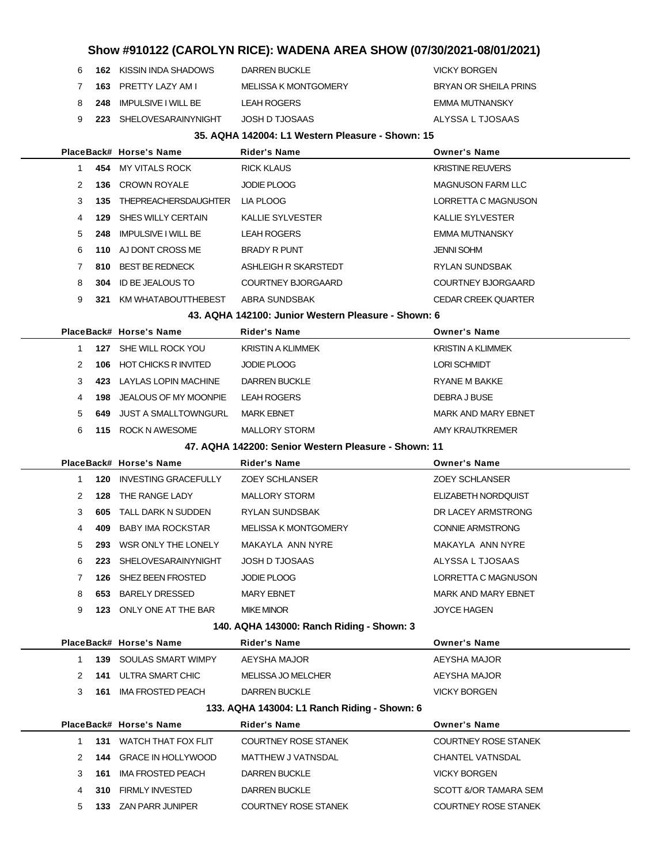|  | 9 223 SHELOVESARAINYNIGHT | JOSH D TJOSAAS       | ALYSSA L TJOSAAS      |  |  |  |
|--|---------------------------|----------------------|-----------------------|--|--|--|
|  | 8 248 IMPULSIVE I WILL BE | LEAH ROGERS          | EMMA MUTNANSKY        |  |  |  |
|  | 7 163 PRETTY LAZY AM I    | MELISSA K MONTGOMERY | BRYAN OR SHEILA PRINS |  |  |  |
|  | 6 162 KISSIN INDA SHADOWS | DARREN BUCKLE        | <b>VICKY BORGEN</b>   |  |  |  |

#### **35. AQHA 142004: L1 Western Pleasure - Shown: 15**

|              |     | PlaceBack# Horse's Name                        | <b>Rider's Name</b>                                  | <b>Owner's Name</b>                                  |
|--------------|-----|------------------------------------------------|------------------------------------------------------|------------------------------------------------------|
| $\mathbf{1}$ |     | 454 MY VITALS ROCK                             | <b>RICK KLAUS</b>                                    | <b>KRISTINE REUVERS</b>                              |
| 2            | 136 | CROWN ROYALE                                   | JODIE PLOOG                                          | <b>MAGNUSON FARM LLC</b>                             |
| 3            | 135 | THEPREACHERSDAUGHTER                           | LIA PLOOG                                            | LORRETTA C MAGNUSON                                  |
| 4            | 129 | SHES WILLY CERTAIN                             | <b>KALLIE SYLVESTER</b>                              | KALLIE SYLVESTER                                     |
| 5            | 248 | <b>IMPULSIVE I WILL BE</b>                     | <b>LEAH ROGERS</b>                                   | EMMA MUTNANSKY                                       |
| 6            |     | 110 AJ DONT CROSS ME                           | <b>BRADY R PUNT</b>                                  | <b>JENNI SOHM</b>                                    |
| 7            | 810 | <b>BEST BE REDNECK</b>                         | ASHLEIGH R SKARSTEDT                                 | RYLAN SUNDSBAK                                       |
| 8            |     | <b>304 ID BE JEALOUS TO</b>                    | COURTNEY BJORGAARD                                   | <b>COURTNEY BJORGAARD</b>                            |
| 9            |     | 321 KM WHATABOUTTHEBEST                        | ABRA SUNDSBAK                                        | <b>CEDAR CREEK QUARTER</b>                           |
|              |     |                                                | 43. AQHA 142100: Junior Western Pleasure - Shown: 6  |                                                      |
|              |     | PlaceBack# Horse's Name                        | <b>Rider's Name</b>                                  | <b>Owner's Name</b>                                  |
| $\mathbf 1$  |     | 127 SHE WILL ROCK YOU                          | <b>KRISTIN A KLIMMEK</b>                             | <b>KRISTIN A KLIMMEK</b>                             |
| 2            |     | <b>106 HOT CHICKS R INVITED</b>                | <b>JODIE PLOOG</b>                                   | <b>LORI SCHMIDT</b>                                  |
| 3            |     | 423 LAYLAS LOPIN MACHINE                       | <b>DARREN BUCKLE</b>                                 | RYANE M BAKKE                                        |
| 4            | 198 | JEALOUS OF MY MOONPIE                          | <b>LEAH ROGERS</b>                                   | DEBRA J BUSE                                         |
| 5            |     | <b>649 JUST A SMALLTOWNGURL</b>                | <b>MARK EBNET</b>                                    | <b>MARK AND MARY EBNET</b>                           |
| 6            |     | 115 ROCK N AWESOME                             | <b>MALLORY STORM</b>                                 | AMY KRAUTKREMER                                      |
|              |     |                                                | 47. AQHA 142200: Senior Western Pleasure - Shown: 11 |                                                      |
|              |     | PlaceBack# Horse's Name                        | <b>Rider's Name</b>                                  | <b>Owner's Name</b>                                  |
| 1            |     | <b>120 INVESTING GRACEFULLY</b>                | <b>ZOEY SCHLANSER</b>                                | <b>ZOEY SCHLANSER</b>                                |
| 2            | 128 | THE RANGE LADY                                 | <b>MALLORY STORM</b>                                 | ELIZABETH NORDQUIST                                  |
| 3            | 605 | TALL DARK N SUDDEN                             | RYLAN SUNDSBAK                                       | DR LACEY ARMSTRONG                                   |
| 4            | 409 | <b>BABY IMA ROCKSTAR</b>                       | MELISSA K MONTGOMERY                                 | CONNIE ARMSTRONG                                     |
|              |     |                                                |                                                      |                                                      |
| 5            |     | 293 WSR ONLY THE LONELY                        | MAKAYLA ANN NYRE                                     | MAKAYLA ANN NYRE                                     |
| 6            | 223 | <b>SHELOVESARAINYNIGHT</b>                     | <b>JOSH D TJOSAAS</b>                                | ALYSSA L TJOSAAS                                     |
| 7            | 126 | SHEZ BEEN FROSTED                              | <b>JODIE PLOOG</b>                                   | LORRETTA C MAGNUSON                                  |
| 8            | 653 | <b>BARELY DRESSED</b>                          | <b>MARY EBNET</b>                                    | <b>MARK AND MARY EBNET</b>                           |
| 9            |     | 123 ONLY ONE AT THE BAR                        | <b>MIKE MINOR</b>                                    | <b>JOYCE HAGEN</b>                                   |
|              |     |                                                | 140. AQHA 143000: Ranch Riding - Shown: 3            |                                                      |
|              |     | PlaceBack# Horse's Name                        | <b>Rider's Name</b>                                  | <b>Owner's Name</b>                                  |
| 1            | 139 | SOULAS SMART WIMPY                             | AEYSHA MAJOR                                         | AEYSHA MAJOR                                         |
| 2            |     | 141 ULTRA SMART CHIC                           | MELISSA JO MELCHER                                   | AEYSHA MAJOR                                         |
| 3            | 161 | <b>IMA FROSTED PEACH</b>                       | <b>DARREN BUCKLE</b>                                 | <b>VICKY BORGEN</b>                                  |
|              |     |                                                | 133. AQHA 143004: L1 Ranch Riding - Shown: 6         |                                                      |
|              |     | PlaceBack# Horse's Name                        | Rider's Name                                         | <b>Owner's Name</b>                                  |
| 1            |     | 131 WATCH THAT FOX FLIT                        | <b>COURTNEY ROSE STANEK</b>                          | <b>COURTNEY ROSE STANEK</b>                          |
| 2            | 144 | <b>GRACE IN HOLLYWOOD</b>                      | <b>MATTHEW J VATNSDAL</b>                            | <b>CHANTEL VATNSDAL</b>                              |
| 3            | 161 | <b>IMA FROSTED PEACH</b>                       | <b>DARREN BUCKLE</b>                                 | <b>VICKY BORGEN</b>                                  |
| 4            | 310 | <b>FIRMLY INVESTED</b><br>133 ZAN PARR JUNIPER | <b>DARREN BUCKLE</b><br><b>COURTNEY ROSE STANEK</b>  | SCOTT &/OR TAMARA SEM<br><b>COURTNEY ROSE STANEK</b> |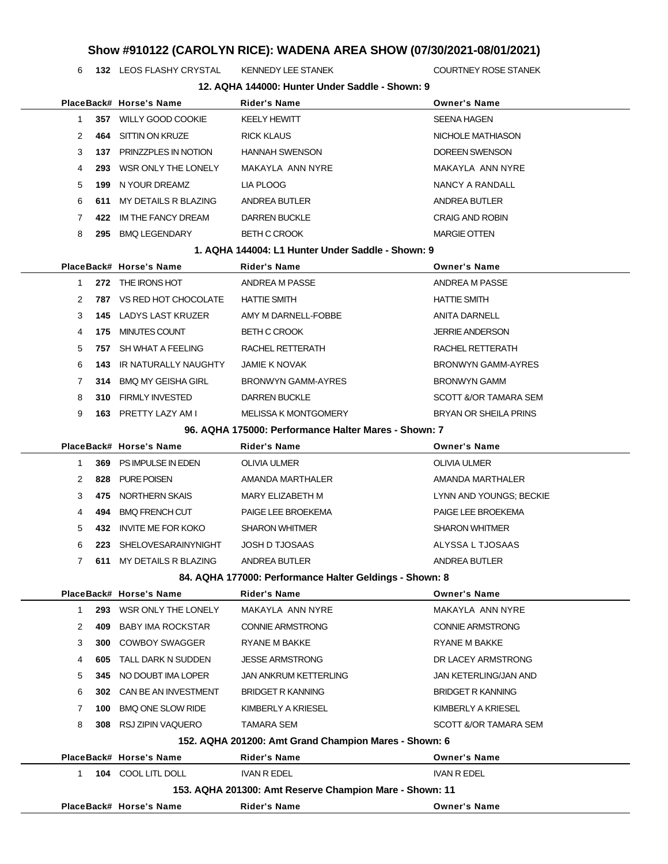**132** LEOS FLASHY CRYSTAL KENNEDY LEE STANEK **COURTNEY ROSE STANEK** 

| 6            |      | 132 LEOS FLASHY CRYSTAL         | <b>KENNEDY LEE STANEK</b>                               | COURTNEY ROSE STANEK         |
|--------------|------|---------------------------------|---------------------------------------------------------|------------------------------|
|              |      |                                 | 12. AQHA 144000: Hunter Under Saddle - Shown: 9         |                              |
|              |      | PlaceBack# Horse's Name         | Rider's Name                                            | <b>Owner's Name</b>          |
| $\mathbf{1}$ |      | 357 WILLY GOOD COOKIE           | <b>KEELY HEWITT</b>                                     | <b>SEENA HAGEN</b>           |
| 2            | 464  | SITTIN ON KRUZE                 | <b>RICK KLAUS</b>                                       | NICHOLE MATHIASON            |
| 3            |      | 137 PRINZZPLES IN NOTION        | <b>HANNAH SWENSON</b>                                   | DOREEN SWENSON               |
| 4            | 293  | WSR ONLY THE LONELY             | MAKAYLA ANN NYRE                                        | MAKAYLA ANN NYRE             |
| 5            | 199  | N YOUR DREAMZ                   | LIA PLOOG                                               | NANCY A RANDALL              |
| 6            | 611  | MY DETAILS R BLAZING            | ANDREA BUTLER                                           | ANDREA BUTLER                |
| 7            | 422. | IM THE FANCY DREAM              | DARREN BUCKLE                                           | <b>CRAIG AND ROBIN</b>       |
| 8            |      | 295 BMQ LEGENDARY               | <b>BETH C CROOK</b>                                     | <b>MARGIE OTTEN</b>          |
|              |      |                                 | 1. AQHA 144004: L1 Hunter Under Saddle - Shown: 9       |                              |
|              |      | PlaceBack# Horse's Name         | Rider's Name                                            | <b>Owner's Name</b>          |
| $\mathbf{1}$ |      | 272 THE IRONS HOT               | ANDREA M PASSE                                          | ANDREA M PASSE               |
| 2            |      | <b>787 VS RED HOT CHOCOLATE</b> | <b>HATTIE SMITH</b>                                     | <b>HATTIE SMITH</b>          |
| 3            |      | <b>145 LADYS LAST KRUZER</b>    | AMY M DARNELL-FOBBE                                     | ANITA DARNELL                |
| 4            | 175  | MINUTES COUNT                   | <b>BETH C CROOK</b>                                     | <b>JERRIE ANDERSON</b>       |
| 5            | 757  | SH WHAT A FEELING               | RACHEL RETTERATH                                        | RACHEL RETTERATH             |
| 6            | 143  | IR NATURALLY NAUGHTY            | <b>JAMIE K NOVAK</b>                                    | <b>BRONWYN GAMM-AYRES</b>    |
| 7            |      | 314 BMQ MY GEISHA GIRL          | BRONWYN GAMM-AYRES                                      | <b>BRONWYN GAMM</b>          |
| 8            |      | <b>310 FIRMLY INVESTED</b>      | <b>DARREN BUCKLE</b>                                    | SCOTT &/OR TAMARA SEM        |
| 9            |      | 163 PRETTY LAZY AM I            | <b>MELISSA K MONTGOMERY</b>                             | BRYAN OR SHEILA PRINS        |
|              |      |                                 | 96. AQHA 175000: Performance Halter Mares - Shown: 7    |                              |
|              |      | PlaceBack# Horse's Name         | Rider's Name                                            | <b>Owner's Name</b>          |
| 1            |      | 369 PS IMPULSE IN EDEN          | OLIVIA ULMER                                            | OLIVIA ULMER                 |
| 2            |      | 828 PURE POISEN                 | AMANDA MARTHALER                                        | AMANDA MARTHALER             |
| 3            | 475  | NORTHERN SKAIS                  | MARY ELIZABETH M                                        | LYNN AND YOUNGS; BECKIE      |
| 4            | 494  | <b>BMQ FRENCH CUT</b>           | PAIGE LEE BROEKEMA                                      | PAIGE LEE BROEKEMA           |
| 5            | 432  | <b>INVITE ME FOR KOKO</b>       | <b>SHARON WHITMER</b>                                   | <b>SHARON WHITMER</b>        |
| 6            |      | 223 SHELOVESARAINYNIGHT         | <b>JOSH D TJOSAAS</b>                                   | ALYSSA L TJOSAAS             |
| 7            |      | 611 MY DETAILS R BLAZING        | ANDREA BUTLER                                           | ANDREA BUTLER                |
|              |      |                                 | 84. AQHA 177000: Performance Halter Geldings - Shown: 8 |                              |
|              |      | PlaceBack# Horse's Name         | <b>Rider's Name</b>                                     | <b>Owner's Name</b>          |
| 1            |      | 293 WSR ONLY THE LONELY         | MAKAYLA ANN NYRE                                        | MAKAYLA ANN NYRE             |
| 2            | 409  | <b>BABY IMA ROCKSTAR</b>        | <b>CONNIE ARMSTRONG</b>                                 | <b>CONNIE ARMSTRONG</b>      |
| 3            | 300  | <b>COWBOY SWAGGER</b>           | RYANE M BAKKE                                           | <b>RYANE M BAKKE</b>         |
| 4            | 605  | TALL DARK N SUDDEN              | <b>JESSE ARMSTRONG</b>                                  | DR LACEY ARMSTRONG           |
| 5            | 345  | NO DOUBT IMA LOPER              | <b>JAN ANKRUM KETTERLING</b>                            | <b>JAN KETERLING/JAN AND</b> |
| 6            | 302  | CAN BE AN INVESTMENT            | <b>BRIDGET R KANNING</b>                                | <b>BRIDGET R KANNING</b>     |
| 7            | 100  | <b>BMQ ONE SLOW RIDE</b>        | KIMBERLY A KRIESEL                                      | KIMBERLY A KRIESEL           |
| 8            | 308  | RSJ ZIPIN VAQUERO               | TAMARA SEM                                              | SCOTT &/OR TAMARA SEM        |
|              |      |                                 | 152. AQHA 201200: Amt Grand Champion Mares - Shown: 6   |                              |
|              |      | PlaceBack# Horse's Name         | <b>Rider's Name</b>                                     | <b>Owner's Name</b>          |
| 1            |      | 104 COOL LITL DOLL              | <b>IVAN R EDEL</b>                                      | <b>IVAN R EDEL</b>           |
|              |      |                                 | 153. AQHA 201300: Amt Reserve Champion Mare - Shown: 11 |                              |
|              |      | PlaceBack# Horse's Name         | <b>Rider's Name</b>                                     | <b>Owner's Name</b>          |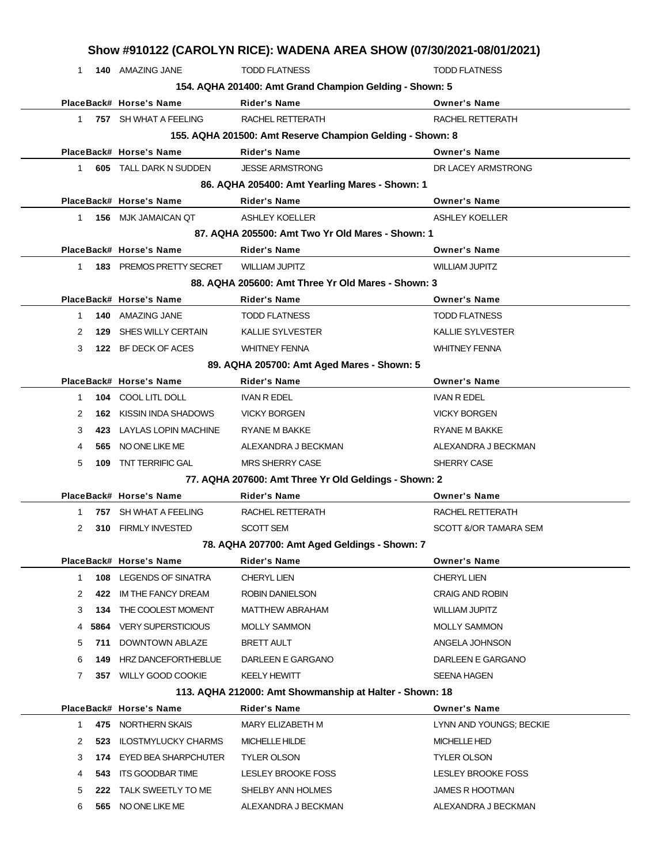|              |      |                                                         | Show #910122 (CAROLYN RICE): WADENA AREA SHOW (07/30/2021-08/01/2021) |                         |
|--------------|------|---------------------------------------------------------|-----------------------------------------------------------------------|-------------------------|
| $\mathbf{1}$ |      | <b>140 AMAZING JANE</b>                                 | <b>TODD FLATNESS</b>                                                  | <b>TODD FLATNESS</b>    |
|              |      | 154. AQHA 201400: Amt Grand Champion Gelding - Shown: 5 |                                                                       |                         |
|              |      | PlaceBack# Horse's Name                                 | <b>Rider's Name</b>                                                   | <b>Owner's Name</b>     |
| $1 \quad$    |      | 757 SH WHAT A FEELING                                   | RACHEL RETTERATH                                                      | RACHEL RETTERATH        |
|              |      |                                                         | 155. AQHA 201500: Amt Reserve Champion Gelding - Shown: 8             |                         |
|              |      | PlaceBack# Horse's Name                                 | <b>Rider's Name</b>                                                   | <b>Owner's Name</b>     |
| $1 \quad$    |      | <b>605 TALL DARK N SUDDEN</b>                           | <b>JESSE ARMSTRONG</b>                                                | DR LACEY ARMSTRONG      |
|              |      |                                                         | 86. AQHA 205400: Amt Yearling Mares - Shown: 1                        |                         |
|              |      | PlaceBack# Horse's Name                                 | Rider's Name                                                          | <b>Owner's Name</b>     |
| 1            |      | 156 MJK JAMAICAN QT                                     | <b>ASHLEY KOELLER</b>                                                 | <b>ASHLEY KOELLER</b>   |
|              |      |                                                         | 87. AQHA 205500: Amt Two Yr Old Mares - Shown: 1                      |                         |
|              |      | PlaceBack# Horse's Name                                 | Rider's Name                                                          | <b>Owner's Name</b>     |
| 1            |      | <b>183 PREMOS PRETTY SECRET</b>                         | <b>WILLIAM JUPITZ</b>                                                 | <b>WILLIAM JUPITZ</b>   |
|              |      |                                                         | 88. AQHA 205600: Amt Three Yr Old Mares - Shown: 3                    |                         |
|              |      | PlaceBack# Horse's Name                                 | Rider's Name                                                          | <b>Owner's Name</b>     |
| 1.           |      | 140 AMAZING JANE                                        | <b>TODD FLATNESS</b>                                                  | <b>TODD FLATNESS</b>    |
| 2            | 129  | <b>SHES WILLY CERTAIN</b>                               | KALLIE SYLVESTER                                                      | <b>KALLIE SYLVESTER</b> |
| 3            |      | 122 BF DECK OF ACES                                     | <b>WHITNEY FENNA</b>                                                  | <b>WHITNEY FENNA</b>    |
|              |      |                                                         | 89. AQHA 205700: Amt Aged Mares - Shown: 5                            |                         |
|              |      | PlaceBack# Horse's Name                                 | Rider's Name                                                          | <b>Owner's Name</b>     |
| 1            |      | 104 COOL LITL DOLL                                      | <b>IVAN R EDEL</b>                                                    | <b>IVAN R EDEL</b>      |
| 2            |      | <b>162 KISSIN INDA SHADOWS</b>                          | <b>VICKY BORGEN</b>                                                   | <b>VICKY BORGEN</b>     |
| 3            | 423  | LAYLAS LOPIN MACHINE                                    | RYANE M BAKKE                                                         | RYANE M BAKKE           |
| 4            | 565  | NO ONE LIKE ME                                          | ALEXANDRA J BECKMAN                                                   | ALEXANDRA J BECKMAN     |
| 5            | 109  | TNT TERRIFIC GAL                                        | <b>MRS SHERRY CASE</b>                                                | SHERRY CASE             |
|              |      |                                                         | 77. AQHA 207600: Amt Three Yr Old Geldings - Shown: 2                 |                         |
|              |      | PlaceBack# Horse's Name                                 | Rider's Name                                                          | <b>Owner's Name</b>     |
| 1            |      | 757 SH WHAT A FEELING                                   | RACHEL RETTERATH                                                      | RACHEL RETTERATH        |
| 2            |      | 310 FIRMLY INVESTED                                     | <b>SCOTT SEM</b>                                                      | SCOTT &/OR TAMARA SEM   |
|              |      |                                                         | 78. AQHA 207700: Amt Aged Geldings - Shown: 7                         |                         |
|              |      | PlaceBack# Horse's Name                                 | Rider's Name                                                          | <b>Owner's Name</b>     |
| 1            | 108  | LEGENDS OF SINATRA                                      | <b>CHERYL LIEN</b>                                                    | CHERYL LIEN             |
| 2            | 422  | IM THE FANCY DREAM                                      | ROBIN DANIELSON                                                       | <b>CRAIG AND ROBIN</b>  |
| 3            | 134  | THE COOLEST MOMENT                                      | <b>MATTHEW ABRAHAM</b>                                                | <b>WILLIAM JUPITZ</b>   |
| 4            | 5864 | <b>VERY SUPERSTICIOUS</b>                               | <b>MOLLY SAMMON</b>                                                   | <b>MOLLY SAMMON</b>     |
| 5            | 711  | DOWNTOWN ABLAZE                                         | <b>BRETT AULT</b>                                                     | ANGELA JOHNSON          |
| 6            | 149  | HRZ DANCEFORTHEBLUE                                     | DARLEEN E GARGANO                                                     | DARLEEN E GARGANO       |
| 7            |      | 357 WILLY GOOD COOKIE                                   | <b>KEELY HEWITT</b>                                                   | SEENA HAGEN             |
|              |      |                                                         | 113. AQHA 212000: Amt Showmanship at Halter - Shown: 18               |                         |
|              |      | PlaceBack# Horse's Name                                 | <b>Rider's Name</b>                                                   | <b>Owner's Name</b>     |
| 1.           |      | 475 NORTHERN SKAIS                                      | MARY ELIZABETH M                                                      | LYNN AND YOUNGS; BECKIE |
| 2            | 523  | <b>ILOSTMYLUCKY CHARMS</b>                              | <b>MICHELLE HILDE</b>                                                 | <b>MICHELLE HED</b>     |
| 3            |      | 174 EYED BEA SHARPCHUTER                                | <b>TYLER OLSON</b>                                                    | <b>TYLER OLSON</b>      |
| 4            | 543  | ITS GOODBAR TIME                                        | LESLEY BROOKE FOSS                                                    | LESLEY BROOKE FOSS      |
| 5            |      | 222 TALK SWEETLY TO ME                                  | SHELBY ANN HOLMES                                                     | <b>JAMES R HOOTMAN</b>  |
| 6            |      | 565 NO ONE LIKE ME                                      | ALEXANDRA J BECKMAN                                                   | ALEXANDRA J BECKMAN     |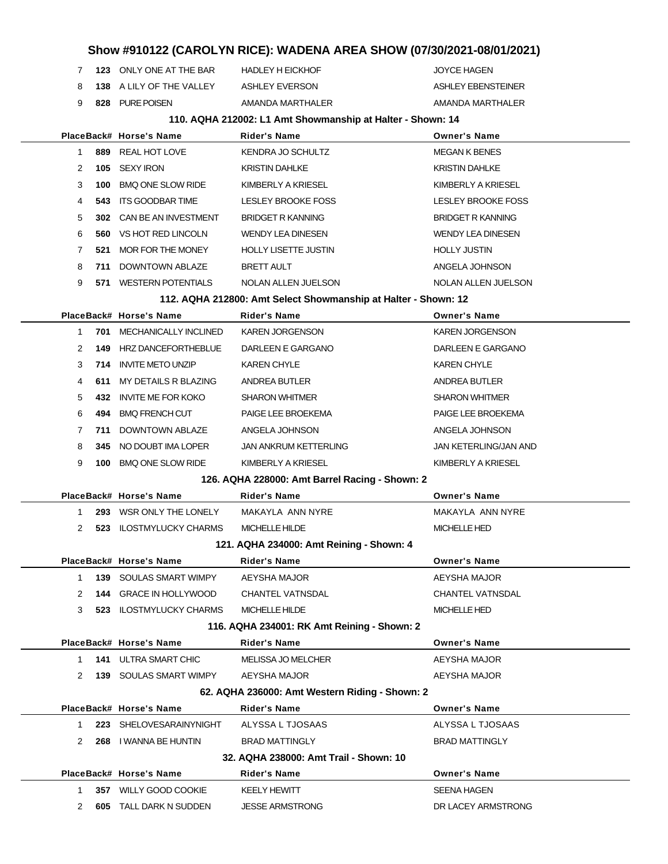**123** ONLY ONE AT THE BAR HADLEY H EICKHOF JOYCE HAGEN **138** A LILY OF THE VALLEY ASHLEY EVERSON ASHLEY ASHLEY EBENSTEINER **828** PURE POISEN AMANDA MARTHALER AMANDA MARTHALER

#### **110. AQHA 212002: L1 Amt Showmanship at Halter - Shown: 14**

|                      | PlaceBack# Horse's Name           | <b>Rider's Name</b>                                            | <b>Owner's Name</b>      |
|----------------------|-----------------------------------|----------------------------------------------------------------|--------------------------|
| $\mathbf{1}$         | 889<br>REAL HOT LOVE              | KENDRA JO SCHULTZ                                              | <b>MEGAN K BENES</b>     |
| 2                    | <b>SEXY IRON</b><br>105           | <b>KRISTIN DAHLKE</b>                                          | <b>KRISTIN DAHLKE</b>    |
| 3                    | <b>BMQ ONE SLOW RIDE</b><br>100   | KIMBERLY A KRIESEL                                             | KIMBERLY A KRIESEL       |
| 4                    | 543<br>ITS GOODBAR TIME           | <b>LESLEY BROOKE FOSS</b>                                      | LESLEY BROOKE FOSS       |
| 5                    | 302 CAN BE AN INVESTMENT          | <b>BRIDGET R KANNING</b>                                       | <b>BRIDGET R KANNING</b> |
| 6                    | VS HOT RED LINCOLN<br>560         | WENDY LEA DINESEN                                              | <b>WENDY LEA DINESEN</b> |
| 7                    | MOR FOR THE MONEY<br>521          | <b>HOLLY LISETTE JUSTIN</b>                                    | HOLLY JUSTIN             |
| 8                    | DOWNTOWN ABLAZE<br>711            | BRETT AULT                                                     | ANGELA JOHNSON           |
| 9                    | 571 WESTERN POTENTIALS            | NOLAN ALLEN JUELSON                                            | NOLAN ALLEN JUELSON      |
|                      |                                   | 112. AQHA 212800: Amt Select Showmanship at Halter - Shown: 12 |                          |
|                      | PlaceBack# Horse's Name           | <b>Rider's Name</b>                                            | <b>Owner's Name</b>      |
| $\mathbf{1}$         | MECHANICALLY INCLINED<br>701      | <b>KAREN JORGENSON</b>                                         | <b>KAREN JORGENSON</b>   |
| 2                    | HRZ DANCEFORTHEBLUE<br>149        | DARLEEN E GARGANO                                              | DARLEEN E GARGANO        |
| 3                    | <b>INVITE METO UNZIP</b><br>714   | KAREN CHYLE                                                    | <b>KAREN CHYLE</b>       |
| 4                    | MY DETAILS R BLAZING<br>611       | ANDREA BUTLER                                                  | ANDREA BUTLER            |
| 5                    | 432<br>INVITE ME FOR KOKO         | SHARON WHITMER                                                 | <b>SHARON WHITMER</b>    |
| 6                    | 494<br><b>BMQ FRENCH CUT</b>      | PAIGE LEE BROEKEMA                                             | PAIGE LEE BROEKEMA       |
| 7                    | DOWNTOWN ABLAZE<br>711            | ANGELA JOHNSON                                                 | ANGELA JOHNSON           |
| 8                    | NO DOUBT IMA LOPER<br>345         | <b>JAN ANKRUM KETTERLING</b>                                   | JAN KETERLING/JAN AND    |
| 9                    | 100 BMQ ONE SLOW RIDE             | KIMBERLY A KRIESEL                                             | KIMBERLY A KRIESEL       |
|                      |                                   | 126. AQHA 228000: Amt Barrel Racing - Shown: 2                 |                          |
|                      | PlaceBack# Horse's Name           | <b>Rider's Name</b>                                            | <b>Owner's Name</b>      |
| 1                    | 293 WSR ONLY THE LONELY           | MAKAYLA ANN NYRE                                               | MAKAYLA ANN NYRE         |
| $\mathbf{2}^{\circ}$ | 523 ILOSTMYLUCKY CHARMS           | MICHELLE HILDE                                                 | MICHELLE HED             |
|                      |                                   | 121. AQHA 234000: Amt Reining - Shown: 4                       |                          |
|                      | PlaceBack# Horse's Name           | <b>Rider's Name</b>                                            | <b>Owner's Name</b>      |
| $\mathbf{1}$         | <b>139 SOULAS SMART WIMPY</b>     | AEYSHA MAJOR                                                   | AEYSHA MAJOR             |
| 2                    | <b>144 GRACE IN HOLLYWOOD</b>     | <b>CHANTEL VATNSDAL</b>                                        | <b>CHANTEL VATNSDAL</b>  |
| 3                    | 523<br><b>ILOSTMYLUCKY CHARMS</b> | MICHELLE HILDE                                                 | <b>MICHELLE HED</b>      |
|                      |                                   | 116. AQHA 234001: RK Amt Reining - Shown: 2                    |                          |
|                      | PlaceBack# Horse's Name           | <b>Rider's Name</b>                                            | <b>Owner's Name</b>      |
| $\mathbf{1}$         | <b>141 ULTRA SMART CHIC</b>       | <b>MELISSA JO MELCHER</b>                                      | AEYSHA MAJOR             |
| 2                    | <b>139 SOULAS SMART WIMPY</b>     | AEYSHA MAJOR                                                   | AEYSHA MAJOR             |
|                      |                                   | 62. AQHA 236000: Amt Western Riding - Shown: 2                 |                          |
|                      | PlaceBack# Horse's Name           | <b>Rider's Name</b>                                            | <b>Owner's Name</b>      |
| 1                    | SHELOVESARAINYNIGHT<br>223        | ALYSSA L TJOSAAS                                               | ALYSSA L TJOSAAS         |
| 2                    | 268 I WANNA BE HUNTIN             | <b>BRAD MATTINGLY</b>                                          | <b>BRAD MATTINGLY</b>    |
|                      |                                   | 32. AQHA 238000: Amt Trail - Shown: 10                         |                          |
|                      | PlaceBack# Horse's Name           | <b>Rider's Name</b>                                            | <b>Owner's Name</b>      |
|                      |                                   |                                                                |                          |
| 1                    | 357 WILLY GOOD COOKIE             | KEELY HEWITT                                                   | <b>SEENA HAGEN</b>       |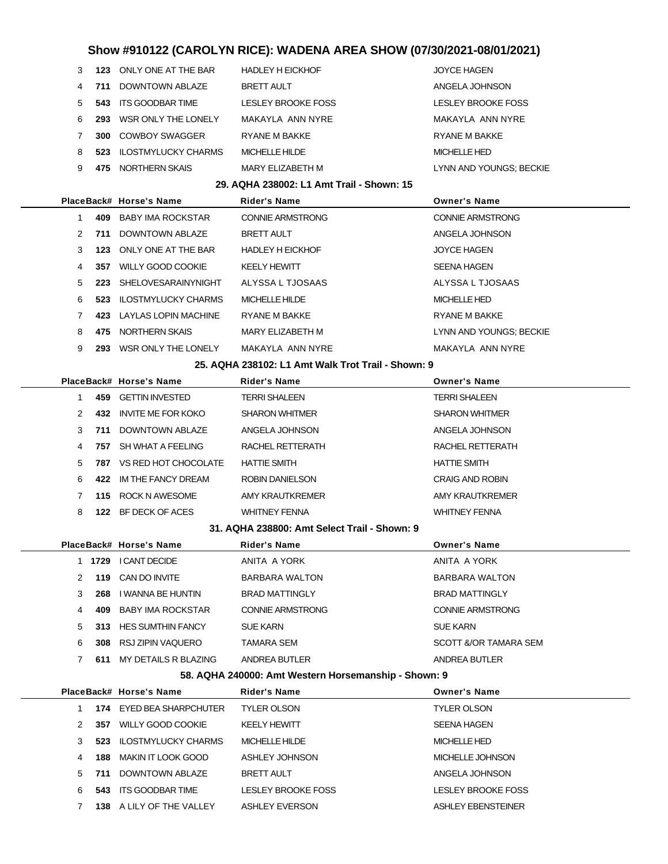| 3 | 123 | ONLY ONE AT THE BAR        | <b>HADLEY H EICKHOF</b>                   | <b>JOYCE HAGEN</b>        |
|---|-----|----------------------------|-------------------------------------------|---------------------------|
| 4 |     | 711 DOWNTOWN ABLAZE        | <b>BRETT AULT</b>                         | ANGELA JOHNSON            |
| 5 |     | 543 ITS GOODBAR TIME       | <b>LESLEY BROOKE FOSS</b>                 | <b>LESLEY BROOKE FOSS</b> |
| 6 | 293 | WSR ONLY THE LONELY        | MAKAYLA ANN NYRE                          | MAKAYLA ANN NYRE          |
| 7 | 300 | <b>COWBOY SWAGGER</b>      | <b>RYANE M BAKKE</b>                      | <b>RYANE M BAKKE</b>      |
| 8 | 523 | <b>ILOSTMYLUCKY CHARMS</b> | <b>MICHELLE HILDE</b>                     | <b>MICHELLE HED</b>       |
| 9 | 475 | NORTHERN SKAIS             | MARY ELIZABETH M                          | LYNN AND YOUNGS; BECKIE   |
|   |     |                            | 29. AQHA 238002: L1 Amt Trail - Shown: 15 |                           |
|   |     | PlaceBack# Horse's Name    | <b>Rider's Name</b>                       | <b>Owner's Name</b>       |
| 1 | 409 | BABY IMA ROCKSTAR          | <b>CONNIE ARMSTRONG</b>                   | <b>CONNIE ARMSTRONG</b>   |
| 2 | 711 | DOWNTOWN ABLAZE            | <b>BRETT AULT</b>                         | ANGELA JOHNSON            |
| 3 | 123 | ONLY ONE AT THE BAR        | <b>HADLEY H EICKHOF</b>                   | <b>JOYCE HAGEN</b>        |
| 4 | 357 | <b>WILLY GOOD COOKIE</b>   | <b>KEELY HEWITT</b>                       | <b>SEENA HAGEN</b>        |
| 5 | 223 | SHELOVESARAINYNIGHT        | ALYSSA L TJOSAAS                          | ALYSSA L TJOSAAS          |
| 6 | 523 | <b>ILOSTMYLUCKY CHARMS</b> | MICHELLE HILDE                            | <b>MICHELLE HED</b>       |
| 7 | 423 | LAYLAS LOPIN MACHINE       | <b>RYANE M BAKKE</b>                      | <b>RYANE M BAKKE</b>      |
| 8 | 475 | NORTHERN SKAIS             | MARY ELIZABETH M                          | LYNN AND YOUNGS; BECKIE   |
| 9 | 293 | WSR ONLY THE LONELY        | MAKAYLA ANN NYRE                          | MAKAYLA ANN NYRE          |
|   |     |                            |                                           |                           |

#### **25. AQHA 238102: L1 Amt Walk Trot Trail - Shown: 9**

|               |     | PlaceBack# Horse's Name | <b>Rider's Name</b>   | <b>Owner's Name</b>    |
|---------------|-----|-------------------------|-----------------------|------------------------|
|               | 459 | GETTIN INVESTED         | <b>TERRI SHALEEN</b>  | <b>TERRI SHALEEN</b>   |
| $\mathcal{P}$ | 432 | INVITE ME FOR KOKO      | <b>SHARON WHITMER</b> | <b>SHARON WHITMER</b>  |
| 3             | 711 | DOWNTOWN ABLAZE         | ANGELA JOHNSON        | ANGELA JOHNSON         |
| 4             | 757 | SH WHAT A FEELING       | RACHEL RETTERATH      | RACHEL RETTERATH       |
| 5             | 787 | VS RED HOT CHOCOLATE    | <b>HATTIE SMITH</b>   | <b>HATTIE SMITH</b>    |
| 6             | 422 | IM THE FANCY DREAM      | ROBIN DANIELSON       | <b>CRAIG AND ROBIN</b> |
|               | 115 | ROCK N AWESOME          | AMY KRAUTKREMER       | AMY KRAUTKREMER        |
| 8             | 122 | BF DECK OF ACES         | <b>WHITNEY FENNA</b>  | <b>WHITNEY FENNA</b>   |

### **31. AQHA 238800: Amt Select Trail - Shown: 9**

|   |      | PlaceBack# Horse's Name  | <b>Rider's Name</b>     | <b>Owner's Name</b>     |
|---|------|--------------------------|-------------------------|-------------------------|
|   | 1729 | <b>I CANT DECIDE</b>     | ANITA A YORK            | ANITA A YORK            |
| 2 | 119  | CAN DO INVITE            | BARBARA WALTON          | BARBARA WALTON          |
| 3 | 268  | I WANNA BE HUNTIN        | <b>BRAD MATTINGLY</b>   | <b>BRAD MATTINGLY</b>   |
| 4 | 409  | BABY IMA ROCKSTAR        | <b>CONNIE ARMSTRONG</b> | <b>CONNIE ARMSTRONG</b> |
| 5 | 313  | <b>HES SUMTHIN FANCY</b> | <b>SUE KARN</b>         | <b>SUE KARN</b>         |
| 6 | 308  | RSJ ZIPIN VAQUERO        | TAMARA SEM              | SCOTT &/OR TAMARA SEM   |
|   | 611  | MY DETAILS R BLAZING     | ANDREA BUTLER           | ANDREA BUTLER           |

### **58. AQHA 240000: Amt Western Horsemanship - Shown: 9**

|   |      | PlaceBack# Horse's Name  | <b>Rider's Name</b>       | <b>Owner's Name</b>       |
|---|------|--------------------------|---------------------------|---------------------------|
|   |      | 174 EYED BEA SHARPCHUTER | <b>TYLER OLSON</b>        | <b>TYLER OLSON</b>        |
|   | 357  | WILLY GOOD COOKIE        | <b>KEELY HEWITT</b>       | <b>SEENA HAGEN</b>        |
| 3 | 523  | ILOSTMYLUCKY CHARMS      | MICHELLE HILDE            | <b>MICHELLE HED</b>       |
| 4 | 188  | MAKIN IT LOOK GOOD       | ASHLEY JOHNSON            | MICHELLE JOHNSON          |
| 5 | 711  | DOWNTOWN ABLAZE          | <b>BRETT AULT</b>         | ANGELA JOHNSON            |
| 6 | 543  | ITS GOODBAR TIME         | <b>LESLEY BROOKE FOSS</b> | <b>LESLEY BROOKE FOSS</b> |
|   | 138. | A LILY OF THE VALLEY     | <b>ASHLEY EVERSON</b>     | ASHLEY EBENSTEINER        |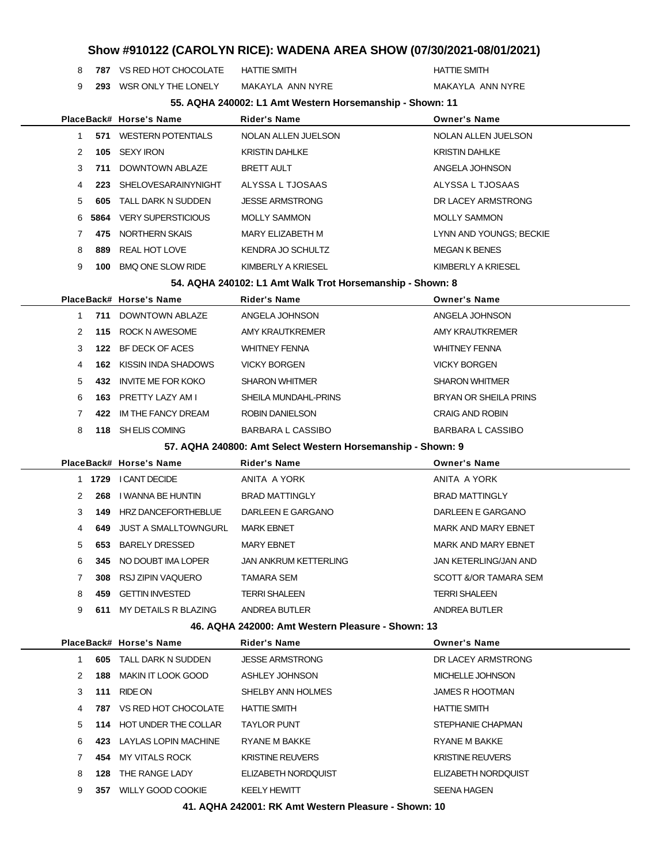**787** VS RED HOT CHOCOLATE HATTIE SMITH **HATTIE SMITH** HATTIE SMITH

**293** WSR ONLY THE LONELY MAKAYLA ANN NYRE MAKAYLA ANN NYRE

|  |  | 55. AQHA 240002: L1 Amt Western Horsemanship - Shown: 11 |  |
|--|--|----------------------------------------------------------|--|

|    |      | PlaceBack# Horse's Name   | <b>Rider's Name</b>      | <b>Owner's Name</b>     |
|----|------|---------------------------|--------------------------|-------------------------|
|    | 571  | <b>WESTERN POTENTIALS</b> | NOLAN ALLEN JUELSON      | NOLAN ALLEN JUELSON     |
| 2  | 105  | SEXY IRON                 | <b>KRISTIN DAHLKE</b>    | <b>KRISTIN DAHLKE</b>   |
| 3  | 711  | DOWNTOWN ABI AZE          | <b>BRETT AULT</b>        | ANGELA JOHNSON          |
| 4  | 223  | SHEI OVESARAINYNIGHT      | ALYSSA L TJOSAAS         | ALYSSA L TJOSAAS        |
| 5  | 605  | TALL DARK N SUDDEN        | <b>JESSE ARMSTRONG</b>   | DR LACEY ARMSTRONG      |
| 6. | 5864 | <b>VERY SUPERSTICIOUS</b> | <b>MOLLY SAMMON</b>      | <b>MOLLY SAMMON</b>     |
|    | 475  | NORTHERN SKAIS            | MARY FI IZABETH M        | LYNN AND YOUNGS; BECKIE |
| 8  | 889  | REAL HOT LOVE             | <b>KENDRA JO SCHULTZ</b> | <b>MEGAN K BENES</b>    |
| 9  | 100  | <b>BMO ONE SLOW RIDE</b>  | KIMBERLY A KRIESEL       | KIMBERLY A KRIESEL      |

**54. AQHA 240102: L1 Amt Walk Trot Horsemanship - Shown: 8**

|               |     | PlaceBack# Horse's Name   | <b>Rider's Name</b>    | <b>Owner's Name</b>      |
|---------------|-----|---------------------------|------------------------|--------------------------|
|               | 711 | DOWNTOWN ABI AZE          | ANGELA JOHNSON         | ANGELA JOHNSON           |
| $\mathcal{P}$ | 115 | ROCK N AWESOME            | AMY KRAUTKREMER        | AMY KRAUTKREMER          |
| 3             | 122 | BF DECK OF ACES           | <b>WHITNEY FENNA</b>   | <b>WHITNEY FENNA</b>     |
| 4             | 162 | KISSIN INDA SHADOWS       | <b>VICKY BORGEN</b>    | <b>VICKY BORGEN</b>      |
| 5             | 432 | <b>INVITE ME FOR KOKO</b> | <b>SHARON WHITMER</b>  | <b>SHARON WHITMER</b>    |
| 6             | 163 | PRETTY LAZY AM L          | SHEILA MUNDAHL-PRINS   | BRYAN OR SHEILA PRINS    |
|               | 422 | IM THE FANCY DREAM        | <b>ROBIN DANIELSON</b> | <b>CRAIG AND ROBIN</b>   |
| 8             | 118 | SH ELIS COMING            | BARBARA L CASSIBO      | <b>BARBARA L CASSIBO</b> |
|               |     |                           |                        |                          |

**57. AQHA 240800: Amt Select Western Horsemanship - Shown: 9**

|   |      | PlaceBack# Horse's Name    | <b>Rider's Name</b>          | <b>Owner's Name</b>              |
|---|------|----------------------------|------------------------------|----------------------------------|
|   | 1729 | <b>I CANT DECIDE</b>       | ANITA A YORK                 | ANITA A YORK                     |
| 2 | 268  | I WANNA BE HUNTIN          | <b>BRAD MATTINGLY</b>        | <b>BRAD MATTINGLY</b>            |
| 3 | 149  | <b>HRZ DANCEFORTHEBLUE</b> | DARLEEN E GARGANO            | DARLEEN E GARGANO                |
| 4 | 649  | JUST A SMALLTOWNGURL       | <b>MARK EBNET</b>            | <b>MARK AND MARY EBNET</b>       |
| 5 | 653  | <b>BARELY DRESSED</b>      | <b>MARY EBNET</b>            | <b>MARK AND MARY EBNET</b>       |
| 6 | 345  | NO DOUBT IMA LOPER         | <b>JAN ANKRUM KETTERLING</b> | JAN KETERLING/JAN AND            |
|   | 308  | RSJ ZIPIN VAQUERO          | <b>TAMARA SEM</b>            | <b>SCOTT &amp;/OR TAMARA SEM</b> |
| 8 | 459  | <b>GETTIN INVESTED</b>     | <b>TERRI SHALEEN</b>         | TERRI SHALEEN                    |
| 9 | 611  | MY DETAILS R BLAZING       | ANDREA BUTLER                | ANDREA BUTLER                    |
|   |      |                            |                              |                                  |

**46. AQHA 242000: Amt Western Pleasure - Shown: 13**

|   |     | PlaceBack# Horse's Name | <b>Rider's Name</b>     | <b>Owner's Name</b>     |
|---|-----|-------------------------|-------------------------|-------------------------|
|   | 605 | TALL DARK N SUDDEN      | <b>JESSE ARMSTRONG</b>  | DR LACEY ARMSTRONG      |
| 2 | 188 | MAKIN IT LOOK GOOD      | ASHLEY JOHNSON          | MICHELLE JOHNSON        |
| 3 | 111 | RIDE ON                 | SHELBY ANN HOLMES       | <b>JAMES R HOOTMAN</b>  |
| 4 | 787 | VS RED HOT CHOCOLATE    | <b>HATTIE SMITH</b>     | <b>HATTIE SMITH</b>     |
| 5 | 114 | HOT UNDER THE COLLAR    | <b>TAYLOR PUNT</b>      | STEPHANIE CHAPMAN       |
| 6 | 423 | LAYLAS LOPIN MACHINE    | <b>RYANE M BAKKE</b>    | <b>RYANE M BAKKE</b>    |
|   | 454 | <b>MY VITALS ROCK</b>   | <b>KRISTINE REUVERS</b> | <b>KRISTINE REUVERS</b> |
| 8 | 128 | THE RANGE LADY          | ELIZABETH NORDOUIST     | ELIZABETH NORDOUIST     |
| 9 | 357 | WILLY GOOD COOKIE       | <b>KEELY HEWITT</b>     | <b>SEENA HAGEN</b>      |
|   |     |                         |                         |                         |

**41. AQHA 242001: RK Amt Western Pleasure - Shown: 10**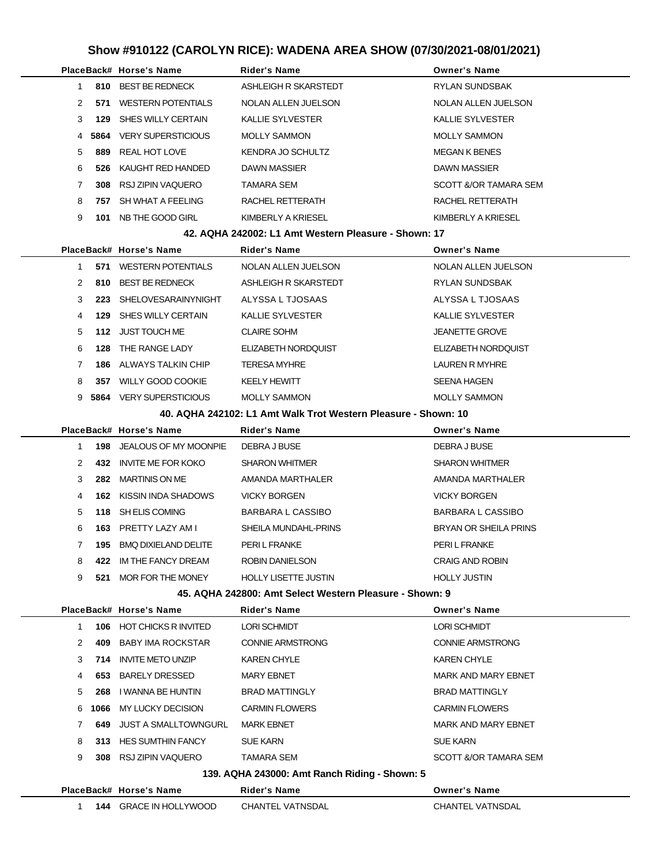|               |       | PlaceBack# Horse's Name   | <b>Rider's Name</b>     | <b>Owner's Name</b>     |
|---------------|-------|---------------------------|-------------------------|-------------------------|
|               | 810   | <b>BEST BE REDNECK</b>    | ASHLEIGH R SKARSTEDT    | <b>RYLAN SUNDSBAK</b>   |
| $\mathcal{P}$ | 571   | <b>WESTERN POTENTIALS</b> | NOLAN ALLEN JUELSON     | NOLAN ALLEN JUELSON     |
| 3             | 129   | SHES WILLY CERTAIN        | <b>KALLIE SYLVESTER</b> | <b>KALLIE SYLVESTER</b> |
|               | 45864 | <b>VERY SUPERSTICIOUS</b> | <b>MOLLY SAMMON</b>     | <b>MOLLY SAMMON</b>     |
| 5             | 889   | REAL HOT LOVE             | KENDRA JO SCHULTZ       | <b>MEGAN K BENES</b>    |
| 6             | 526   | KAUGHT RED HANDED         | <b>DAWN MASSIER</b>     | <b>DAWN MASSIER</b>     |
|               | 308   | RSJ ZIPIN VAQUERO         | <b>TAMARA SEM</b>       | SCOTT &/OR TAMARA SEM   |
| 8             | 757   | SH WHAT A FEELING         | RACHEL RETTERATH        | RACHEL RETTERATH        |
| 9             | 101   | NB THE GOOD GIRL          | KIMBERLY A KRIESEL      | KIMBERLY A KRIESEL      |
|               |       |                           |                         |                         |

#### **42. AQHA 242002: L1 Amt Western Pleasure - Shown: 17**

|               |      | PlaceBack# Horse's Name   | <b>Rider's Name</b>     | <b>Owner's Name</b>        |
|---------------|------|---------------------------|-------------------------|----------------------------|
|               | 571  | <b>WESTERN POTENTIALS</b> | NOLAN ALLEN JUELSON     | NOLAN ALLEN JUELSON        |
| $\mathcal{P}$ | 810  | <b>BEST BE REDNECK</b>    | ASHLEIGH R SKARSTEDT    | RYLAN SUNDSBAK             |
| 3             | 223  | SHELOVESARAINYNIGHT       | ALYSSA L TJOSAAS        | ALYSSA L TJOSAAS           |
| 4             | 129  | SHES WILLY CERTAIN        | <b>KALLIE SYLVESTER</b> | <b>KALLIE SYLVESTER</b>    |
| 5             | 112  | JUST TOUCH ME             | <b>CLAIRE SOHM</b>      | <b>JEANETTE GROVE</b>      |
| 6             | 128  | THE RANGE LADY            | ELIZABETH NORDOUIST     | <b>ELIZABETH NORDOUIST</b> |
|               | 186  | ALWAYS TALKIN CHIP        | <b>TERESA MYHRE</b>     | LAUREN R MYHRE             |
| 8             | 357  | WILLY GOOD COOKIE         | <b>KEELY HEWITT</b>     | <b>SEENA HAGEN</b>         |
| 9.            | 5864 | <b>VERY SUPERSTICIOUS</b> | <b>MOLLY SAMMON</b>     | <b>MOLLY SAMMON</b>        |
|               |      |                           |                         |                            |

### **40. AQHA 242102: L1 Amt Walk Trot Western Pleasure - Shown: 10**

|               |     | PlaceBack# Horse's Name     | <b>Rider's Name</b>         | <b>Owner's Name</b>    |
|---------------|-----|-----------------------------|-----------------------------|------------------------|
|               | 198 | JEALOUS OF MY MOONPIE       | DEBRA J BUSE                | DEBRA J BUSE           |
| $\mathcal{P}$ | 432 | <b>INVITE ME FOR KOKO</b>   | <b>SHARON WHITMER</b>       | <b>SHARON WHITMER</b>  |
| 3             | 282 | MARTINIS ON ME              | AMANDA MARTHALER            | AMANDA MARTHALER       |
| 4             | 162 | KISSIN INDA SHADOWS         | <b>VICKY BORGEN</b>         | <b>VICKY BORGEN</b>    |
| 5             |     | 118 SH ELIS COMING          | BARBARA L CASSIBO           | BARBARA L CASSIBO      |
| 6             | 163 | PRETTY LAZY AM I            | SHEILA MUNDAHL-PRINS        | BRYAN OR SHEILA PRINS  |
|               | 195 | <b>BMO DIXIELAND DELITE</b> | PERI L FRANKE               | PERI L FRANKE          |
| 8             | 422 | IM THE FANCY DREAM          | <b>ROBIN DANIELSON</b>      | <b>CRAIG AND ROBIN</b> |
| 9             | 521 | MOR FOR THE MONEY           | <b>HOLLY LISETTE JUSTIN</b> | <b>HOLLY JUSTIN</b>    |
|               |     |                             |                             |                        |

### **45. AQHA 242800: Amt Select Western Pleasure - Shown: 9**

|   |     | PlaceBack# Horse's Name       | <b>Rider's Name</b>                           | <b>Owner's Name</b>        |
|---|-----|-------------------------------|-----------------------------------------------|----------------------------|
|   |     | 106 HOT CHICKS R INVITED      | <b>LORI SCHMIDT</b>                           | <b>LORI SCHMIDT</b>        |
| 2 | 409 | BABY IMA ROCKSTAR             | <b>CONNIE ARMSTRONG</b>                       | <b>CONNIE ARMSTRONG</b>    |
| 3 | 714 | <b>INVITE METO UNZIP</b>      | <b>KAREN CHYLE</b>                            | <b>KAREN CHYLE</b>         |
| 4 |     | 653 BARELY DRESSED            | <b>MARY EBNET</b>                             | <b>MARK AND MARY EBNET</b> |
| 5 | 268 | I WANNA BE HUNTIN             | <b>BRAD MATTINGLY</b>                         | <b>BRAD MATTINGLY</b>      |
| 6 |     | 1066 MY LUCKY DECISION        | <b>CARMIN FLOWERS</b>                         | <b>CARMIN FLOWERS</b>      |
|   | 649 | JUST A SMALLTOWNGURL          | <b>MARK EBNET</b>                             | MARK AND MARY EBNET        |
| 8 |     | 313 HES SUMTHIN FANCY         | <b>SUE KARN</b>                               | <b>SUE KARN</b>            |
| 9 |     | 308 RSJ ZIPIN VAQUERO         | TAMARA SEM                                    | SCOTT &/OR TAMARA SEM      |
|   |     |                               | 139. AQHA 243000: Amt Ranch Riding - Shown: 5 |                            |
|   |     | PlaceBack# Horse's Name       | <b>Rider's Name</b>                           | <b>Owner's Name</b>        |
|   |     | <b>144 GRACE IN HOLLYWOOD</b> | <b>CHANTEL VATNSDAL</b>                       | <b>CHANTEL VATNSDAL</b>    |

|  | <b>144 GRACE IN HOLLYWOOD</b> | CHANTEL VATNSDAL | <b>CHANTI</b> |
|--|-------------------------------|------------------|---------------|
|  |                               |                  |               |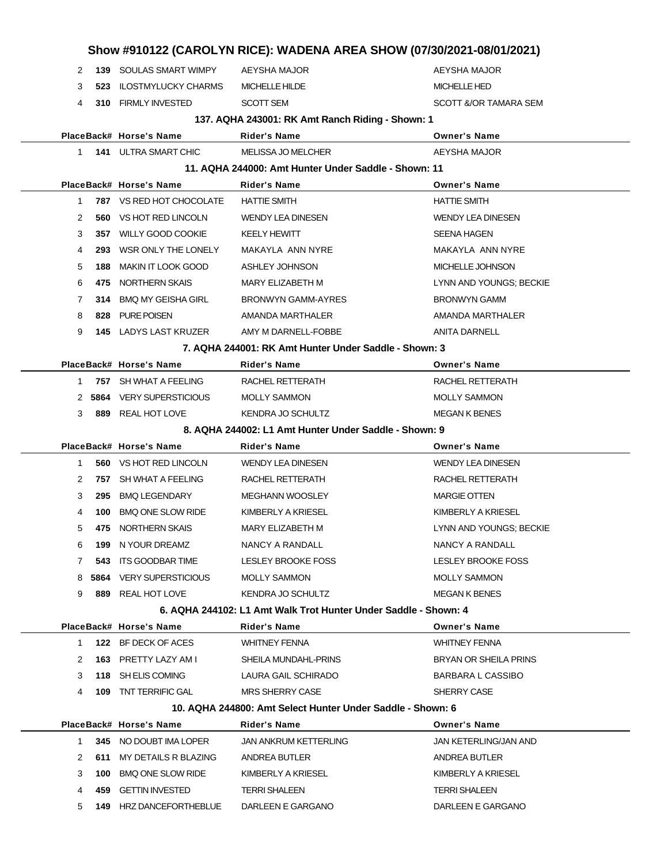| 2 |      | <b>139 SOULAS SMART WIMPY</b>  | AEYSHA MAJOR                                                    | AEYSHA MAJOR                     |
|---|------|--------------------------------|-----------------------------------------------------------------|----------------------------------|
| 3 | 523  | <b>ILOSTMYLUCKY CHARMS</b>     | <b>MICHELLE HILDE</b>                                           | <b>MICHELLE HED</b>              |
| 4 | 310  | <b>FIRMLY INVESTED</b>         | <b>SCOTT SEM</b>                                                | <b>SCOTT &amp;/OR TAMARA SEM</b> |
|   |      |                                | 137. AQHA 243001: RK Amt Ranch Riding - Shown: 1                |                                  |
|   |      | PlaceBack# Horse's Name        | Rider's Name                                                    | <b>Owner's Name</b>              |
| 1 |      | <b>141 ULTRA SMART CHIC</b>    | <b>MELISSA JO MELCHER</b>                                       | AEYSHA MAJOR                     |
|   |      |                                | 11. AQHA 244000: Amt Hunter Under Saddle - Shown: 11            |                                  |
|   |      | PlaceBack# Horse's Name        | Rider's Name                                                    | <b>Owner's Name</b>              |
| 1 |      | 787 VS RED HOT CHOCOLATE       | <b>HATTIE SMITH</b>                                             | <b>HATTIE SMITH</b>              |
| 2 | 560  | VS HOT RED LINCOLN             | <b>WENDY LEA DINESEN</b>                                        | <b>WENDY LEA DINESEN</b>         |
| 3 | 357  | <b>WILLY GOOD COOKIE</b>       | <b>KEELY HEWITT</b>                                             | <b>SEENA HAGEN</b>               |
| 4 | 293  | WSR ONLY THE LONELY            | MAKAYLA ANN NYRE                                                | MAKAYLA ANN NYRE                 |
| 5 | 188  | <b>MAKIN IT LOOK GOOD</b>      | ASHLEY JOHNSON                                                  | MICHELLE JOHNSON                 |
| 6 | 475  | NORTHERN SKAIS                 | MARY ELIZABETH M                                                | LYNN AND YOUNGS; BECKIE          |
| 7 | 314  | <b>BMQ MY GEISHA GIRL</b>      | <b>BRONWYN GAMM-AYRES</b>                                       | <b>BRONWYN GAMM</b>              |
| 8 | 828  | <b>PURE POISEN</b>             | AMANDA MARTHALER                                                | AMANDA MARTHALER                 |
| 9 |      | <b>145 LADYS LAST KRUZER</b>   | AMY M DARNELL-FOBBE                                             | <b>ANITA DARNELL</b>             |
|   |      |                                | 7. AQHA 244001: RK Amt Hunter Under Saddle - Shown: 3           |                                  |
|   |      | PlaceBack# Horse's Name        | <b>Rider's Name</b>                                             | <b>Owner's Name</b>              |
| 1 |      | 757 SH WHAT A FEELING          | RACHEL RETTERATH                                                | RACHEL RETTERATH                 |
| 2 | 5864 | <b>VERY SUPERSTICIOUS</b>      | <b>MOLLY SAMMON</b>                                             | <b>MOLLY SAMMON</b>              |
| 3 |      | 889 REAL HOT LOVE              | KENDRA JO SCHULTZ                                               | <b>MEGAN K BENES</b>             |
|   |      |                                | 8. AQHA 244002: L1 Amt Hunter Under Saddle - Shown: 9           |                                  |
|   |      | PlaceBack# Horse's Name        | Rider's Name                                                    | <b>Owner's Name</b>              |
| 1 |      | <b>560 VS HOT RED LINCOLN</b>  | <b>WENDY LEA DINESEN</b>                                        | <b>WENDY LEA DINESEN</b>         |
| 2 | 757  | SH WHAT A FEELING              | RACHEL RETTERATH                                                | RACHEL RETTERATH                 |
| 3 | 295  | <b>BMQ LEGENDARY</b>           | <b>MEGHANN WOOSLEY</b>                                          | <b>MARGIE OTTEN</b>              |
| 4 | 100  | <b>BMQ ONE SLOW RIDE</b>       | KIMBERLY A KRIESEL                                              | KIMBERLY A KRIESEL               |
|   |      |                                |                                                                 |                                  |
| 5 | 475  | NORTHERN SKAIS                 | MARY ELIZABETH M                                                | LYNN AND YOUNGS; BECKIE          |
| 6 | 199  | N YOUR DREAMZ                  | NANCY A RANDALL                                                 | NANCY A RANDALL                  |
| 7 | 543  | ITS GOODBAR TIME               | LESLEY BROOKE FOSS                                              | LESLEY BROOKE FOSS               |
| 8 | 5864 | <b>VERY SUPERSTICIOUS</b>      | <b>MOLLY SAMMON</b>                                             | <b>MOLLY SAMMON</b>              |
| 9 |      | 889 REAL HOT LOVE              | KENDRA JO SCHULTZ                                               | <b>MEGAN K BENES</b>             |
|   |      |                                | 6. AQHA 244102: L1 Amt Walk Trot Hunter Under Saddle - Shown: 4 |                                  |
|   |      | PlaceBack# Horse's Name        | Rider's Name                                                    | <b>Owner's Name</b>              |
| 1 |      | 122 BF DECK OF ACES            | <b>WHITNEY FENNA</b>                                            | <b>WHITNEY FENNA</b>             |
| 2 |      | 163 PRETTY LAZY AM I           | SHEILA MUNDAHL-PRINS                                            | BRYAN OR SHEILA PRINS            |
| 3 |      | 118 SH ELIS COMING             | LAURA GAIL SCHIRADO                                             | <b>BARBARA L CASSIBO</b>         |
| 4 |      | <b>109 TNT TERRIFIC GAL</b>    | <b>MRS SHERRY CASE</b>                                          | SHERRY CASE                      |
|   |      |                                | 10. AQHA 244800: Amt Select Hunter Under Saddle - Shown: 6      |                                  |
|   |      | PlaceBack# Horse's Name        | <b>Rider's Name</b>                                             | <b>Owner's Name</b>              |
| 1 |      | 345 NO DOUBT IMA LOPER         | JAN ANKRUM KETTERLING                                           | JAN KETERLING/JAN AND            |
| 2 | 611  | MY DETAILS R BLAZING           | ANDREA BUTLER                                                   | ANDREA BUTLER                    |
| 3 | 100  | <b>BMQ ONE SLOW RIDE</b>       | KIMBERLY A KRIESEL                                              | KIMBERLY A KRIESEL               |
| 4 | 459  | <b>GETTIN INVESTED</b>         | <b>TERRI SHALEEN</b>                                            | <b>TERRI SHALEEN</b>             |
| 5 |      | <b>149 HRZ DANCEFORTHEBLUE</b> | DARLEEN E GARGANO                                               | DARLEEN E GARGANO                |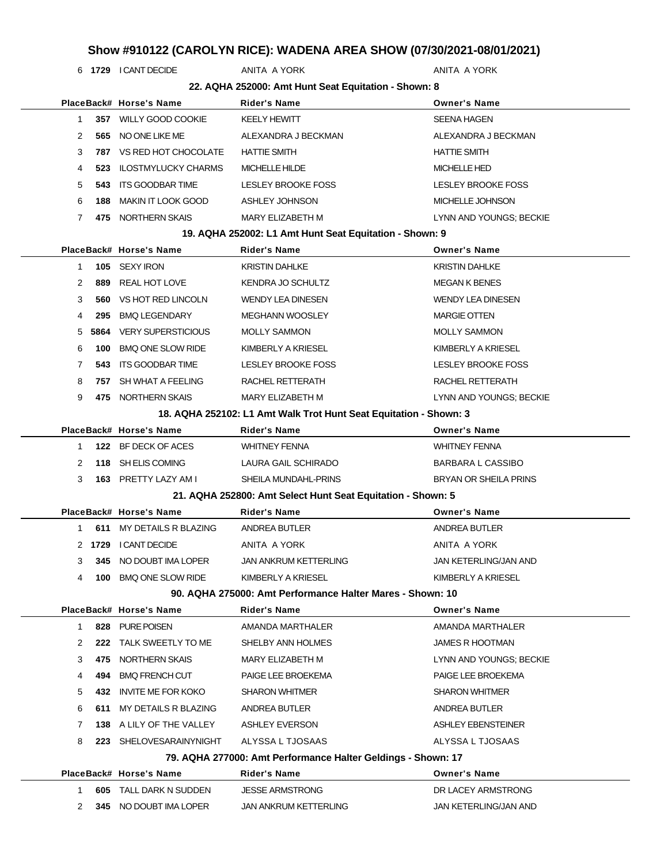**1729** I CANT DECIDE ANITA A YORK ANITA A YORK ANITA A YORK

|    |      |                           | 22. AQHA 252000: Amt Hunt Seat Equitation - Shown: 8              |                              |
|----|------|---------------------------|-------------------------------------------------------------------|------------------------------|
|    |      | PlaceBack# Horse's Name   | <b>Rider's Name</b>                                               | <b>Owner's Name</b>          |
| 1  | 357  | <b>WILLY GOOD COOKIE</b>  | <b>KEELY HEWITT</b>                                               | <b>SEENA HAGEN</b>           |
| 2  | 565  | NO ONE LIKE ME            | ALEXANDRA J BECKMAN                                               | ALEXANDRA J BECKMAN          |
| 3  | 787  | VS RED HOT CHOCOLATE      | <b>HATTIE SMITH</b>                                               | <b>HATTIE SMITH</b>          |
| 4  | 523  | ILOSTMYLUCKY CHARMS       | <b>MICHELLE HILDE</b>                                             | <b>MICHELLE HED</b>          |
| 5  | 543  | <b>ITS GOODBAR TIME</b>   | <b>LESLEY BROOKE FOSS</b>                                         | <b>LESLEY BROOKE FOSS</b>    |
| 6  | 188  | <b>MAKIN IT LOOK GOOD</b> | ASHLEY JOHNSON                                                    | MICHELLE JOHNSON             |
| 7  | 475  | NORTHERN SKAIS            | MARY ELIZABETH M                                                  | LYNN AND YOUNGS; BECKIE      |
|    |      |                           | 19. AQHA 252002: L1 Amt Hunt Seat Equitation - Shown: 9           |                              |
|    |      | PlaceBack# Horse's Name   | <b>Rider's Name</b>                                               | <b>Owner's Name</b>          |
| 1  | 105  | <b>SEXY IRON</b>          | <b>KRISTIN DAHLKE</b>                                             | <b>KRISTIN DAHLKE</b>        |
| 2  | 889  | <b>REAL HOT LOVE</b>      | <b>KENDRA JO SCHULTZ</b>                                          | <b>MEGAN K BENES</b>         |
| 3  | 560  | VS HOT RED LINCOLN        | <b>WENDY LEA DINESEN</b>                                          | <b>WENDY LEA DINESEN</b>     |
| 4  | 295  | <b>BMQ LEGENDARY</b>      | <b>MEGHANN WOOSLEY</b>                                            | <b>MARGIE OTTEN</b>          |
| 5  | 5864 | <b>VERY SUPERSTICIOUS</b> | <b>MOLLY SAMMON</b>                                               | <b>MOLLY SAMMON</b>          |
| 6  | 100  | <b>BMQ ONE SLOW RIDE</b>  | KIMBERLY A KRIESEL                                                | KIMBERLY A KRIESEL           |
| 7  | 543  | ITS GOODBAR TIME          | LESLEY BROOKE FOSS                                                | <b>LESLEY BROOKE FOSS</b>    |
| 8  | 757  | SH WHAT A FEELING         | RACHEL RETTERATH                                                  | RACHEL RETTERATH             |
| 9  |      | 475 NORTHERN SKAIS        | <b>MARY ELIZABETH M</b>                                           | LYNN AND YOUNGS; BECKIE      |
|    |      |                           | 18. AQHA 252102: L1 Amt Walk Trot Hunt Seat Equitation - Shown: 3 |                              |
|    |      | PlaceBack# Horse's Name   | Rider's Name                                                      | <b>Owner's Name</b>          |
| 1  | 122  | BF DECK OF ACES           | <b>WHITNEY FENNA</b>                                              | <b>WHITNEY FENNA</b>         |
| 2  | 118  | <b>SH ELIS COMING</b>     | LAURA GAIL SCHIRADO                                               | <b>BARBARA L CASSIBO</b>     |
| 3  |      | 163 PRETTY LAZY AM I      | SHEILA MUNDAHL-PRINS                                              | <b>BRYAN OR SHEILA PRINS</b> |
|    |      |                           | 21. AQHA 252800: Amt Select Hunt Seat Equitation - Shown: 5       |                              |
|    |      | PlaceBack# Horse's Name   | <b>Rider's Name</b>                                               | <b>Owner's Name</b>          |
| 1  | 611  | MY DETAILS R BLAZING      | ANDREA BUTLER                                                     | ANDREA BUTLER                |
| 2  | 1729 | I CANT DECIDE             | ANITA A YORK                                                      | ANITA A YORK                 |
| 3  |      | 345 NO DOUBT IMA LOPER    | JAN ANKRUM KETTERLING                                             | JAN KETERLING/JAN AND        |
| 4  |      | 100 BMQ ONE SLOW RIDE     | <b>KIMBERLY A KRIESEL</b>                                         | KIMBERLY A KRIESEL           |
|    |      |                           | 90. AQHA 275000: Amt Performance Halter Mares - Shown: 10         |                              |
|    |      | PlaceBack# Horse's Name   | Rider's Name                                                      | <b>Owner's Name</b>          |
| 1. |      | 828 PURE POISEN           | AMANDA MARTHALER                                                  | AMANDA MARTHALER             |
| 2  | 222  | TALK SWEETLY TO ME        | SHELBY ANN HOLMES                                                 | JAMES R HOOTMAN              |
| 3  | 475  | NORTHERN SKAIS            | MARY ELIZABETH M                                                  | LYNN AND YOUNGS; BECKIE      |
|    | 494  | <b>BMQ FRENCH CUT</b>     | PAIGE LEE BROEKEMA                                                | PAIGE LEE BROEKEMA           |
| 4  |      | <b>INVITE ME FOR KOKO</b> | <b>SHARON WHITMER</b>                                             | <b>SHARON WHITMER</b>        |
| 5  | 432  |                           |                                                                   |                              |
| 6  | 611  | MY DETAILS R BLAZING      | ANDREA BUTLER                                                     | ANDREA BUTLER                |
| 7  | 138  | A LILY OF THE VALLEY      | <b>ASHLEY EVERSON</b>                                             | ASHLEY EBENSTEINER           |
| 8  |      | 223 SHELOVESARAINYNIGHT   | ALYSSA L TJOSAAS                                                  | ALYSSA L TJOSAAS             |
|    |      |                           | 79. AQHA 277000: Amt Performance Halter Geldings - Shown: 17      |                              |
|    |      | PlaceBack# Horse's Name   | <b>Rider's Name</b>                                               | <b>Owner's Name</b>          |
| 1. | 605  | TALL DARK N SUDDEN        | <b>JESSE ARMSTRONG</b>                                            | DR LACEY ARMSTRONG           |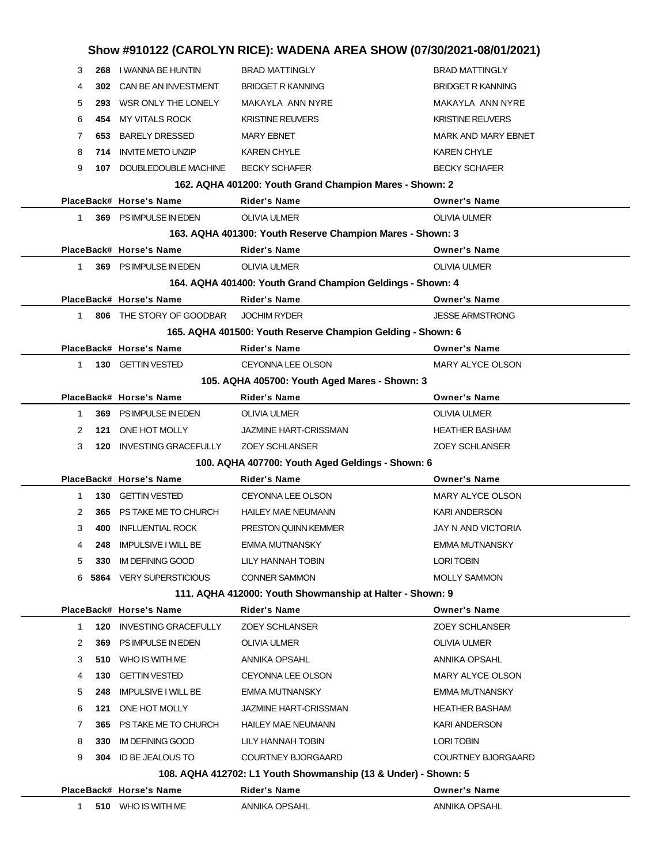|              |     |                                                    | Show #910122 (CAROLYN RICE): WADENA AREA SHOW (07/30/2021-08/01/2021)                 |                                               |
|--------------|-----|----------------------------------------------------|---------------------------------------------------------------------------------------|-----------------------------------------------|
| 3            |     | 268 I WANNA BE HUNTIN                              | <b>BRAD MATTINGLY</b>                                                                 | <b>BRAD MATTINGLY</b>                         |
| 4            | 302 | CAN BE AN INVESTMENT                               | <b>BRIDGET R KANNING</b>                                                              | <b>BRIDGET R KANNING</b>                      |
| 5            |     | 293 WSR ONLY THE LONELY                            | MAKAYLA ANN NYRE                                                                      | MAKAYLA ANN NYRE                              |
| 6            | 454 | <b>MY VITALS ROCK</b>                              | <b>KRISTINE REUVERS</b>                                                               | <b>KRISTINE REUVERS</b>                       |
| 7            | 653 | <b>BARELY DRESSED</b>                              | <b>MARY EBNET</b>                                                                     | <b>MARK AND MARY EBNET</b>                    |
| 8            | 714 | <b>INVITE METO UNZIP</b>                           | <b>KAREN CHYLE</b>                                                                    | <b>KAREN CHYLE</b>                            |
| 9            |     | 107 DOUBLEDOUBLE MACHINE                           | <b>BECKY SCHAFER</b>                                                                  | <b>BECKY SCHAFER</b>                          |
|              |     |                                                    | 162. AQHA 401200: Youth Grand Champion Mares - Shown: 2                               |                                               |
|              |     | PlaceBack# Horse's Name                            | Rider's Name                                                                          | <b>Owner's Name</b>                           |
| $\mathbf 1$  |     | 369 PS IMPULSE IN EDEN                             | <b>OLIVIA ULMER</b>                                                                   | <b>OLIVIA ULMER</b>                           |
|              |     |                                                    | 163. AQHA 401300: Youth Reserve Champion Mares - Shown: 3                             |                                               |
|              |     | PlaceBack# Horse's Name                            | <b>Rider's Name</b>                                                                   | <b>Owner's Name</b>                           |
| $\mathbf{1}$ |     | 369 PS IMPULSE IN EDEN                             | <b>OLIVIA ULMER</b>                                                                   | <b>OLIVIA ULMER</b>                           |
|              |     |                                                    | 164. AQHA 401400: Youth Grand Champion Geldings - Shown: 4                            |                                               |
|              |     | PlaceBack# Horse's Name                            | <b>Rider's Name</b>                                                                   | <b>Owner's Name</b>                           |
| $\mathbf 1$  |     | 806 THE STORY OF GOODBAR                           | <b>JOCHIM RYDER</b>                                                                   | <b>JESSE ARMSTRONG</b>                        |
|              |     |                                                    | 165. AQHA 401500: Youth Reserve Champion Gelding - Shown: 6                           |                                               |
|              |     | PlaceBack# Horse's Name                            | <b>Rider's Name</b>                                                                   | <b>Owner's Name</b>                           |
| $\mathbf{1}$ |     | 130 GETTIN VESTED                                  | <b>CEYONNA LEE OLSON</b>                                                              | MARY ALYCE OLSON                              |
|              |     |                                                    | 105. AQHA 405700: Youth Aged Mares - Shown: 3                                         |                                               |
|              |     | PlaceBack# Horse's Name                            | Rider's Name                                                                          | <b>Owner's Name</b>                           |
| 1            | 369 | PS IMPULSE IN EDEN                                 | OLIVIA ULMER                                                                          | OLIVIA ULMER                                  |
| 2            | 121 | ONE HOT MOLLY                                      | <b>JAZMINE HART-CRISSMAN</b>                                                          | <b>HEATHER BASHAM</b>                         |
| 3            |     | 120 INVESTING GRACEFULLY                           | <b>ZOEY SCHLANSER</b>                                                                 | <b>ZOEY SCHLANSER</b>                         |
|              |     |                                                    | 100. AQHA 407700: Youth Aged Geldings - Shown: 6                                      |                                               |
|              |     | PlaceBack# Horse's Name                            | <b>Rider's Name</b>                                                                   | <b>Owner's Name</b>                           |
| 1            |     | 130 GETTIN VESTED                                  | <b>CEYONNA LEE OLSON</b>                                                              | <b>MARY ALYCE OLSON</b>                       |
| 2            | 365 | PS TAKE ME TO CHURCH                               | <b>HAILEY MAE NEUMANN</b>                                                             | <b>KARI ANDERSON</b>                          |
| 3            | 400 | <b>INFLUENTIAL ROCK</b>                            | PRESTON QUINN KEMMER                                                                  | JAY N AND VICTORIA                            |
| 4            | 248 | <b>IMPULSIVE I WILL BE</b>                         | <b>EMMA MUTNANSKY</b>                                                                 | <b>EMMA MUTNANSKY</b>                         |
| 5            | 330 | <b>IM DEFINING GOOD</b>                            | LILY HANNAH TOBIN                                                                     | LORI TOBIN                                    |
|              |     | 6 5864 VERY SUPERSTICIOUS                          | <b>CONNER SAMMON</b>                                                                  | <b>MOLLY SAMMON</b>                           |
|              |     |                                                    | 111. AQHA 412000: Youth Showmanship at Halter - Shown: 9                              |                                               |
|              |     | PlaceBack# Horse's Name                            | <b>Rider's Name</b>                                                                   | <b>Owner's Name</b>                           |
| 1            | 120 | <b>INVESTING GRACEFULLY</b>                        | <b>ZOEY SCHLANSER</b>                                                                 | <b>ZOEY SCHLANSER</b>                         |
| 2            | 369 | PS IMPULSE IN EDEN<br>510 WHO IS WITH ME           | OLIVIA ULMER                                                                          | OLIVIA ULMER                                  |
| 3            |     |                                                    | ANNIKA OPSAHL<br>CEYONNA LEE OLSON                                                    | ANNIKA OPSAHL                                 |
| 4<br>5       | 130 | <b>GETTIN VESTED</b><br><b>IMPULSIVE I WILL BE</b> |                                                                                       | MARY ALYCE OLSON<br>EMMA MUTNANSKY            |
|              | 248 |                                                    | EMMA MUTNANSKY                                                                        |                                               |
| 6<br>7       | 121 | ONE HOT MOLLY<br>365 PS TAKE ME TO CHURCH          | <b>JAZMINE HART-CRISSMAN</b><br><b>HAILEY MAE NEUMANN</b>                             | <b>HEATHER BASHAM</b><br><b>KARI ANDERSON</b> |
|              |     |                                                    | LILY HANNAH TOBIN                                                                     | LORI TOBIN                                    |
| 8<br>9       | 330 | IM DEFINING GOOD<br>304 ID BE JEALOUS TO           | COURTNEY BJORGAARD                                                                    | <b>COURTNEY BJORGAARD</b>                     |
|              |     |                                                    |                                                                                       |                                               |
|              |     | PlaceBack# Horse's Name                            | 108. AQHA 412702: L1 Youth Showmanship (13 & Under) - Shown: 5<br><b>Rider's Name</b> | <b>Owner's Name</b>                           |
| 1            |     | 510 WHO IS WITH ME                                 | ANNIKA OPSAHL                                                                         | ANNIKA OPSAHL                                 |
|              |     |                                                    |                                                                                       |                                               |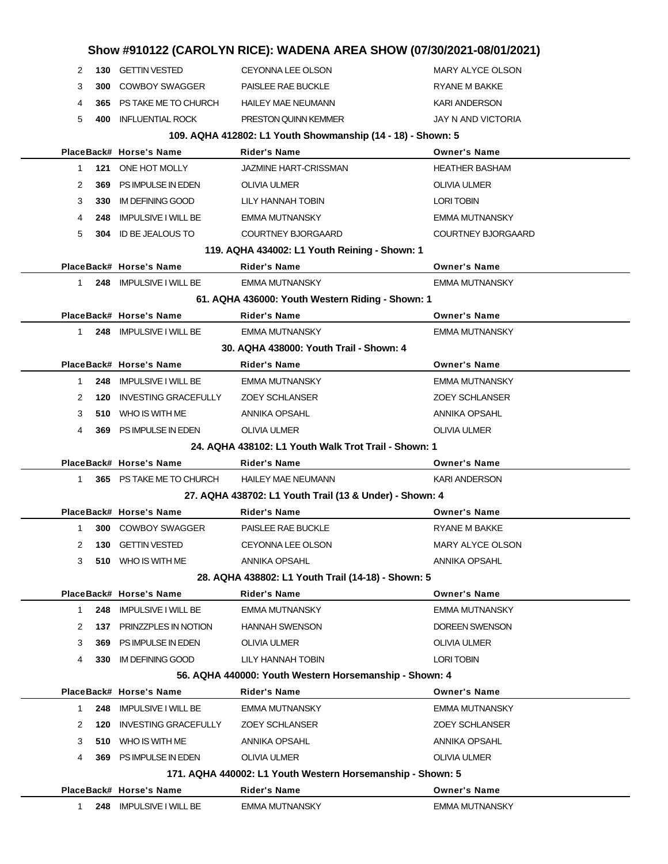|              |     |                             | Show #910122 (CAROLYN RICE): WADENA AREA SHOW (07/30/2021-08/01/2021) |                           |
|--------------|-----|-----------------------------|-----------------------------------------------------------------------|---------------------------|
| 2            |     | 130 GETTIN VESTED           | <b>CEYONNA LEE OLSON</b>                                              | MARY ALYCE OLSON          |
| 3            | 300 | <b>COWBOY SWAGGER</b>       | PAISLEE RAE BUCKLE                                                    | RYANE M BAKKE             |
| 4            |     | 365 PS TAKE ME TO CHURCH    | <b>HAILEY MAE NEUMANN</b>                                             | <b>KARI ANDERSON</b>      |
| 5            | 400 | <b>INFLUENTIAL ROCK</b>     | PRESTON QUINN KEMMER                                                  | <b>JAY N AND VICTORIA</b> |
|              |     |                             | 109. AQHA 412802: L1 Youth Showmanship (14 - 18) - Shown: 5           |                           |
|              |     | PlaceBack# Horse's Name     | Rider's Name                                                          | <b>Owner's Name</b>       |
| $\mathbf 1$  |     | 121 ONE HOT MOLLY           | <b>JAZMINE HART-CRISSMAN</b>                                          | <b>HEATHER BASHAM</b>     |
| 2            | 369 | PS IMPULSE IN EDEN          | <b>OLIVIA ULMER</b>                                                   | <b>OLIVIA ULMER</b>       |
| 3            | 330 | IM DEFINING GOOD            | LILY HANNAH TOBIN                                                     | <b>LORI TOBIN</b>         |
| 4            | 248 | <b>IMPULSIVE I WILL BE</b>  | <b>EMMA MUTNANSKY</b>                                                 | <b>EMMA MUTNANSKY</b>     |
| 5            |     | 304 ID BE JEALOUS TO        | <b>COURTNEY BJORGAARD</b>                                             | <b>COURTNEY BJORGAARD</b> |
|              |     |                             | 119. AQHA 434002: L1 Youth Reining - Shown: 1                         |                           |
|              |     | PlaceBack# Horse's Name     | Rider's Name                                                          | <b>Owner's Name</b>       |
| $\mathbf{1}$ |     | 248 IMPULSIVE I WILL BE     | <b>EMMA MUTNANSKY</b>                                                 | <b>EMMA MUTNANSKY</b>     |
|              |     |                             | 61. AQHA 436000: Youth Western Riding - Shown: 1                      |                           |
|              |     | PlaceBack# Horse's Name     | <b>Rider's Name</b>                                                   | <b>Owner's Name</b>       |
| $\mathbf{1}$ |     | 248 IMPULSIVE I WILL BE     | <b>EMMA MUTNANSKY</b>                                                 | <b>EMMA MUTNANSKY</b>     |
|              |     |                             | 30. AQHA 438000: Youth Trail - Shown: 4                               |                           |
|              |     | PlaceBack# Horse's Name     | Rider's Name                                                          | <b>Owner's Name</b>       |
| 1            |     | 248 IMPULSIVE I WILL BE     | EMMA MUTNANSKY                                                        | <b>EMMA MUTNANSKY</b>     |
| 2            | 120 | <b>INVESTING GRACEFULLY</b> | <b>ZOEY SCHLANSER</b>                                                 | <b>ZOEY SCHLANSER</b>     |
| 3            |     | 510 WHO IS WITH ME          | ANNIKA OPSAHL                                                         | ANNIKA OPSAHL             |
| 4            |     | 369 PS IMPULSE IN EDEN      | <b>OLIVIA ULMER</b>                                                   | <b>OLIVIA ULMER</b>       |
|              |     |                             | 24. AQHA 438102: L1 Youth Walk Trot Trail - Shown: 1                  |                           |
|              |     | PlaceBack# Horse's Name     | Rider's Name                                                          | <b>Owner's Name</b>       |
| 1            |     | 365 PS TAKE ME TO CHURCH    | <b>HAILEY MAE NEUMANN</b>                                             | <b>KARI ANDERSON</b>      |
|              |     |                             | 27. AQHA 438702: L1 Youth Trail (13 & Under) - Shown: 4               |                           |
|              |     | PlaceBack# Horse's Name     | Rider's Name                                                          | <b>Owner's Name</b>       |
| $\mathbf{1}$ |     | <b>300 COWBOY SWAGGER</b>   | PAISLEE RAE BUCKLE                                                    | <b>RYANE M BAKKE</b>      |
| 2            | 130 | <b>GETTIN VESTED</b>        | CEYONNA LEE OLSON                                                     | MARY ALYCE OLSON          |
| 3            |     | 510 WHO IS WITH ME          | ANNIKA OPSAHL                                                         | ANNIKA OPSAHL             |
|              |     |                             | 28. AQHA 438802: L1 Youth Trail (14-18) - Shown: 5                    |                           |
|              |     | PlaceBack# Horse's Name     | <b>Rider's Name</b>                                                   | <b>Owner's Name</b>       |
| 1            |     | 248 IMPULSIVE I WILL BE     | <b>EMMA MUTNANSKY</b>                                                 | <b>EMMA MUTNANSKY</b>     |
| 2            | 137 | PRINZZPLES IN NOTION        | <b>HANNAH SWENSON</b>                                                 | DOREEN SWENSON            |
| 3            | 369 | PS IMPULSE IN EDEN          | <b>OLIVIA ULMER</b>                                                   | <b>OLIVIA ULMER</b>       |
| 4            |     | 330 IM DEFINING GOOD        | LILY HANNAH TOBIN                                                     | <b>LORI TOBIN</b>         |
|              |     |                             | 56. AQHA 440000: Youth Western Horsemanship - Shown: 4                |                           |
|              |     | PlaceBack# Horse's Name     | Rider's Name                                                          | <b>Owner's Name</b>       |
| 1            | 248 | <b>IMPULSIVE I WILL BE</b>  | <b>EMMA MUTNANSKY</b>                                                 | <b>EMMA MUTNANSKY</b>     |
| 2            | 120 | <b>INVESTING GRACEFULLY</b> | <b>ZOEY SCHLANSER</b>                                                 | <b>ZOEY SCHLANSER</b>     |
| 3            |     | 510 WHO IS WITH ME          | ANNIKA OPSAHL                                                         | ANNIKA OPSAHL             |
| 4            |     | 369 PS IMPULSE IN EDEN      | <b>OLIVIA ULMER</b>                                                   | <b>OLIVIA ULMER</b>       |
|              |     |                             | 171. AQHA 440002: L1 Youth Western Horsemanship - Shown: 5            |                           |
|              |     | PlaceBack# Horse's Name     | <b>Rider's Name</b>                                                   | <b>Owner's Name</b>       |
| 1            |     | 248 IMPULSIVE I WILL BE     | <b>EMMA MUTNANSKY</b>                                                 | <b>EMMA MUTNANSKY</b>     |
|              |     |                             |                                                                       |                           |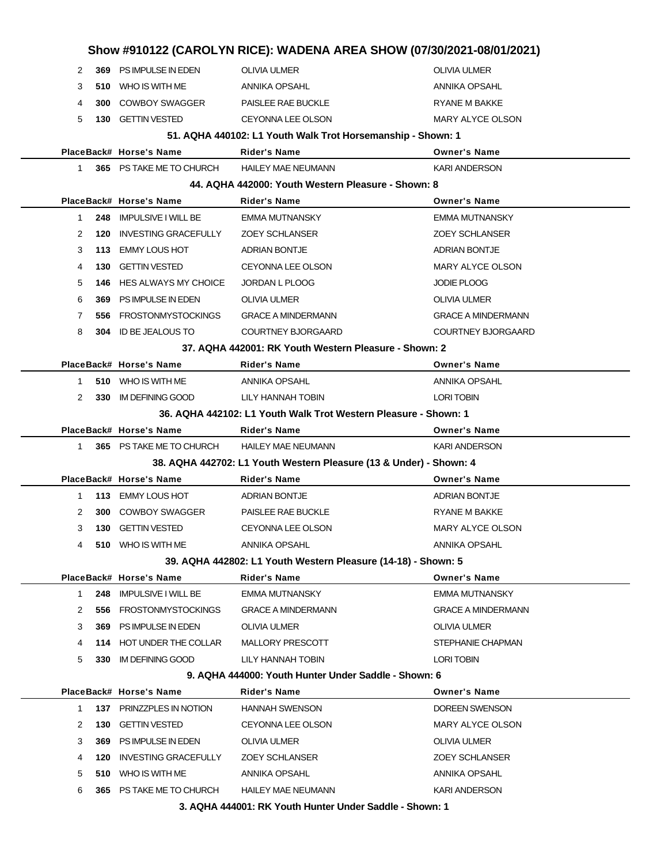|              |     |                             |                                                                    | Show #910122 (CAROLYN RICE): WADENA AREA SHOW (07/30/2021-08/01/2021) |  |  |  |  |
|--------------|-----|-----------------------------|--------------------------------------------------------------------|-----------------------------------------------------------------------|--|--|--|--|
| 2            |     | 369 PS IMPULSE IN EDEN      | <b>OLIVIA ULMER</b>                                                | <b>OLIVIA ULMER</b>                                                   |  |  |  |  |
| 3            |     | 510 WHO IS WITH ME          | ANNIKA OPSAHL                                                      | ANNIKA OPSAHL                                                         |  |  |  |  |
| 4            |     | 300 COWBOY SWAGGER          | PAISLEE RAE BUCKLE                                                 | RYANE M BAKKE                                                         |  |  |  |  |
| 5            |     | 130 GETTIN VESTED           | <b>CEYONNA LEE OLSON</b>                                           | MARY ALYCE OLSON                                                      |  |  |  |  |
|              |     |                             | 51. AQHA 440102: L1 Youth Walk Trot Horsemanship - Shown: 1        |                                                                       |  |  |  |  |
|              |     | PlaceBack# Horse's Name     | Rider's Name                                                       | <b>Owner's Name</b>                                                   |  |  |  |  |
| 1.           |     | 365 PS TAKE ME TO CHURCH    | <b>HAILEY MAE NEUMANN</b>                                          | <b>KARI ANDERSON</b>                                                  |  |  |  |  |
|              |     |                             | 44. AQHA 442000: Youth Western Pleasure - Shown: 8                 |                                                                       |  |  |  |  |
|              |     | PlaceBack# Horse's Name     | Rider's Name                                                       | <b>Owner's Name</b>                                                   |  |  |  |  |
| 1            | 248 | <b>IMPULSIVE I WILL BE</b>  | <b>EMMA MUTNANSKY</b>                                              | <b>EMMA MUTNANSKY</b>                                                 |  |  |  |  |
| 2            | 120 | <b>INVESTING GRACEFULLY</b> | <b>ZOEY SCHLANSER</b>                                              | <b>ZOEY SCHLANSER</b>                                                 |  |  |  |  |
| 3            |     | 113 EMMY LOUS HOT           | <b>ADRIAN BONTJE</b>                                               | <b>ADRIAN BONTJE</b>                                                  |  |  |  |  |
| 4            | 130 | <b>GETTIN VESTED</b>        | <b>CEYONNA LEE OLSON</b>                                           | <b>MARY ALYCE OLSON</b>                                               |  |  |  |  |
| 5            | 146 | HES ALWAYS MY CHOICE        | JORDAN L PLOOG                                                     | <b>JODIE PLOOG</b>                                                    |  |  |  |  |
| 6            | 369 | PS IMPULSE IN EDEN          | <b>OLIVIA ULMER</b>                                                | <b>OLIVIA ULMER</b>                                                   |  |  |  |  |
| 7            | 556 | FROSTONMYSTOCKINGS          | <b>GRACE A MINDERMANN</b>                                          | <b>GRACE A MINDERMANN</b>                                             |  |  |  |  |
| 8            |     | 304 ID BE JEALOUS TO        | COURTNEY BJORGAARD                                                 | <b>COURTNEY BJORGAARD</b>                                             |  |  |  |  |
|              |     |                             | 37. AQHA 442001: RK Youth Western Pleasure - Shown: 2              |                                                                       |  |  |  |  |
|              |     | PlaceBack# Horse's Name     | Rider's Name                                                       | <b>Owner's Name</b>                                                   |  |  |  |  |
| 1.           |     | 510 WHO IS WITH ME          | ANNIKA OPSAHL                                                      | ANNIKA OPSAHL                                                         |  |  |  |  |
| 2            |     | 330 IM DEFINING GOOD        | LILY HANNAH TOBIN                                                  | <b>LORI TOBIN</b>                                                     |  |  |  |  |
|              |     |                             | 36. AQHA 442102: L1 Youth Walk Trot Western Pleasure - Shown: 1    |                                                                       |  |  |  |  |
|              |     | PlaceBack# Horse's Name     | Rider's Name                                                       | <b>Owner's Name</b>                                                   |  |  |  |  |
| $1 \quad$    |     | 365 PS TAKE ME TO CHURCH    | <b>HAILEY MAE NEUMANN</b>                                          | <b>KARI ANDERSON</b>                                                  |  |  |  |  |
|              |     |                             | 38. AQHA 442702: L1 Youth Western Pleasure (13 & Under) - Shown: 4 |                                                                       |  |  |  |  |
|              |     | PlaceBack# Horse's Name     | Rider's Name                                                       | <b>Owner's Name</b>                                                   |  |  |  |  |
| $\mathbf{1}$ |     | 113 EMMY LOUS HOT           | <b>ADRIAN BONTJE</b>                                               | <b>ADRIAN BONTJE</b>                                                  |  |  |  |  |
| 2            | 300 | COWBOY SWAGGER              | PAISLEE RAE BUCKLE                                                 | RYANE M BAKKE                                                         |  |  |  |  |
| 3            |     | 130 GETTIN VESTED           | <b>CEYONNA LEE OLSON</b>                                           | MARY ALYCE OLSON                                                      |  |  |  |  |
|              | 510 | WHO IS WITH ME              | ANNIKA OPSAHL                                                      | ANNIKA OPSAHL                                                         |  |  |  |  |
|              |     |                             | 39. AQHA 442802: L1 Youth Western Pleasure (14-18) - Shown: 5      |                                                                       |  |  |  |  |
|              |     | PlaceBack# Horse's Name     | Rider's Name                                                       | <b>Owner's Name</b>                                                   |  |  |  |  |
| 1            | 248 | IMPULSIVE I WILL BE         | <b>EMMA MUTNANSKY</b>                                              | <b>EMMA MUTNANSKY</b>                                                 |  |  |  |  |
| 2            | 556 | FROSTONMYSTOCKINGS          | <b>GRACE A MINDERMANN</b>                                          | <b>GRACE A MINDERMANN</b>                                             |  |  |  |  |
| 3            | 369 | PS IMPULSE IN EDEN          | OLIVIA ULMER                                                       | OLIVIA ULMER                                                          |  |  |  |  |
| 4            |     | 114 HOT UNDER THE COLLAR    | MALLORY PRESCOTT                                                   | STEPHANIE CHAPMAN                                                     |  |  |  |  |
| 5            |     | 330 IM DEFINING GOOD        | LILY HANNAH TOBIN                                                  | LORI TOBIN                                                            |  |  |  |  |
|              |     |                             | 9. AQHA 444000: Youth Hunter Under Saddle - Shown: 6               |                                                                       |  |  |  |  |
|              |     | PlaceBack# Horse's Name     | Rider's Name                                                       | <b>Owner's Name</b>                                                   |  |  |  |  |
| 1            |     | 137 PRINZZPLES IN NOTION    | <b>HANNAH SWENSON</b>                                              | DOREEN SWENSON                                                        |  |  |  |  |
| 2            | 130 | <b>GETTIN VESTED</b>        | CEYONNA LEE OLSON                                                  | MARY ALYCE OLSON                                                      |  |  |  |  |
| 3            | 369 | PS IMPULSE IN EDEN          | <b>OLIVIA ULMER</b>                                                | OLIVIA ULMER                                                          |  |  |  |  |
| 4            | 120 | <b>INVESTING GRACEFULLY</b> | <b>ZOEY SCHLANSER</b>                                              | <b>ZOEY SCHLANSER</b>                                                 |  |  |  |  |
| 5            |     | 510 WHO IS WITH ME          | ANNIKA OPSAHL                                                      | ANNIKA OPSAHL                                                         |  |  |  |  |
| 6            |     | 365 PS TAKE ME TO CHURCH    | <b>HAILEY MAE NEUMANN</b>                                          | <b>KARI ANDERSON</b>                                                  |  |  |  |  |
|              |     |                             | 3. AQHA 444001: RK Youth Hunter Under Saddle - Shown: 1            |                                                                       |  |  |  |  |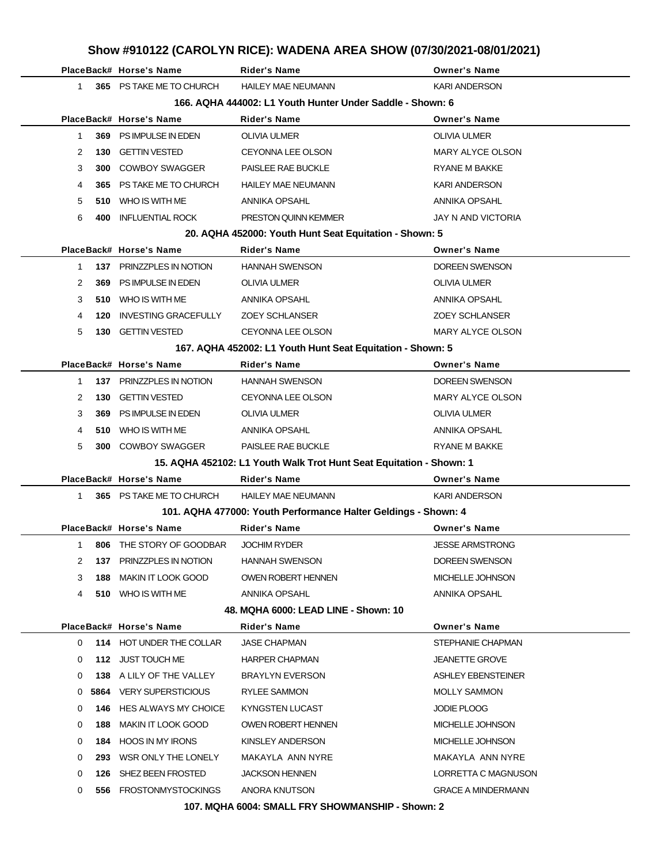|              |     | PlaceBack# Horse's Name   | <b>Rider's Name</b>                                                 | <b>Owner's Name</b>       |
|--------------|-----|---------------------------|---------------------------------------------------------------------|---------------------------|
| 1            |     | 365 PS TAKE ME TO CHURCH  | <b>HAILEY MAE NEUMANN</b>                                           | <b>KARI ANDERSON</b>      |
|              |     |                           | 166. AQHA 444002: L1 Youth Hunter Under Saddle - Shown: 6           |                           |
|              |     | PlaceBack# Horse's Name   | Rider's Name                                                        | <b>Owner's Name</b>       |
| $\mathbf{1}$ | 369 | PS IMPULSE IN EDEN        | <b>OLIVIA ULMER</b>                                                 | <b>OLIVIA ULMER</b>       |
| 2            | 130 | <b>GETTIN VESTED</b>      | <b>CEYONNA LEE OLSON</b>                                            | MARY ALYCE OLSON          |
| 3            |     | 300 COWBOY SWAGGER        | PAISLEE RAE BUCKLE                                                  | <b>RYANE M BAKKE</b>      |
| 4            |     | 365 PS TAKE ME TO CHURCH  | <b>HAILEY MAE NEUMANN</b>                                           | <b>KARI ANDERSON</b>      |
| 5            |     | 510 WHO IS WITH ME        | ANNIKA OPSAHL                                                       | ANNIKA OPSAHL             |
| 6            | 400 | <b>INFLUENTIAL ROCK</b>   | PRESTON QUINN KEMMER                                                | JAY N AND VICTORIA        |
|              |     |                           | 20. AQHA 452000: Youth Hunt Seat Equitation - Shown: 5              |                           |
|              |     | PlaceBack# Horse's Name   | Rider's Name                                                        | <b>Owner's Name</b>       |
| 1            |     | 137 PRINZZPLES IN NOTION  | <b>HANNAH SWENSON</b>                                               | <b>DOREEN SWENSON</b>     |
| 2            | 369 | PS IMPULSE IN EDEN        | <b>OLIVIA ULMER</b>                                                 | <b>OLIVIA ULMER</b>       |
| 3            |     | 510 WHO IS WITH ME        | ANNIKA OPSAHL                                                       | ANNIKA OPSAHL             |
| 4            | 120 | INVESTING GRACEFULLY      | <b>ZOEY SCHLANSER</b>                                               | <b>ZOEY SCHLANSER</b>     |
| 5            | 130 | GETTIN VESTED             | <b>CEYONNA LEE OLSON</b>                                            | MARY ALYCE OLSON          |
|              |     |                           | 167. AQHA 452002: L1 Youth Hunt Seat Equitation - Shown: 5          |                           |
|              |     | PlaceBack# Horse's Name   | <b>Rider's Name</b>                                                 | <b>Owner's Name</b>       |
| 1            |     | 137 PRINZZPLES IN NOTION  | <b>HANNAH SWENSON</b>                                               | DOREEN SWENSON            |
| 2            | 130 | <b>GETTIN VESTED</b>      | CEYONNA LEE OLSON                                                   | MARY ALYCE OLSON          |
| 3            | 369 | PS IMPULSE IN EDEN        | <b>OLIVIA ULMER</b>                                                 | <b>OLIVIA ULMER</b>       |
| 4            |     | 510 WHO IS WITH ME        | ANNIKA OPSAHL                                                       | ANNIKA OPSAHL             |
| 5            | 300 | <b>COWBOY SWAGGER</b>     | PAISLEE RAE BUCKLE                                                  | RYANE M BAKKE             |
|              |     |                           | 15. AQHA 452102: L1 Youth Walk Trot Hunt Seat Equitation - Shown: 1 |                           |
|              |     | PlaceBack# Horse's Name   | <b>Rider's Name</b>                                                 | <b>Owner's Name</b>       |
| 1            |     | 365 PS TAKE ME TO CHURCH  | <b>HAILEY MAE NEUMANN</b>                                           | <b>KARI ANDERSON</b>      |
|              |     |                           | 101. AQHA 477000: Youth Performance Halter Geldings - Shown: 4      |                           |
|              |     | PlaceBack# Horse's Name   | Rider's Name                                                        | <b>Owner's Name</b>       |
| 1            | 806 | THE STORY OF GOODBAR      | <b>JOCHIM RYDER</b>                                                 | <b>JESSE ARMSTRONG</b>    |
| 2            | 137 | PRINZZPLES IN NOTION      | <b>HANNAH SWENSON</b>                                               | DOREEN SWENSON            |
| 3            | 188 | <b>MAKIN IT LOOK GOOD</b> | OWEN ROBERT HENNEN                                                  | MICHELLE JOHNSON          |
| 4            |     | 510 WHO IS WITH ME        | ANNIKA OPSAHL                                                       | ANNIKA OPSAHL             |
|              |     |                           | 48. MQHA 6000: LEAD LINE - Shown: 10                                |                           |
|              |     | PlaceBack# Horse's Name   | <b>Rider's Name</b>                                                 | <b>Owner's Name</b>       |
| 0            |     | 114 HOT UNDER THE COLLAR  | <b>JASE CHAPMAN</b>                                                 | STEPHANIE CHAPMAN         |
| 0            |     | 112 JUST TOUCH ME         | <b>HARPER CHAPMAN</b>                                               | <b>JEANETTE GROVE</b>     |
| 0            |     | 138 A LILY OF THE VALLEY  | <b>BRAYLYN EVERSON</b>                                              | ASHLEY EBENSTEINER        |
| 0            |     | 5864 VERY SUPERSTICIOUS   | RYLEE SAMMON                                                        | <b>MOLLY SAMMON</b>       |
| 0            | 146 | HES ALWAYS MY CHOICE      | KYNGSTEN LUCAST                                                     | <b>JODIE PLOOG</b>        |
| 0            | 188 | MAKIN IT LOOK GOOD        | <b>OWEN ROBERT HENNEN</b>                                           | MICHELLE JOHNSON          |
| 0            |     | 184 HOOS IN MY IRONS      | KINSLEY ANDERSON                                                    | MICHELLE JOHNSON          |
| 0            |     | 293 WSR ONLY THE LONELY   | MAKAYLA ANN NYRE                                                    | MAKAYLA ANN NYRE          |
| 0            | 126 | SHEZ BEEN FROSTED         | <b>JACKSON HENNEN</b>                                               | LORRETTA C MAGNUSON       |
| 0            |     | 556 FROSTONMYSTOCKINGS    | ANORA KNUTSON                                                       | <b>GRACE A MINDERMANN</b> |

**107. MQHA 6004: SMALL FRY SHOWMANSHIP - Shown: 2**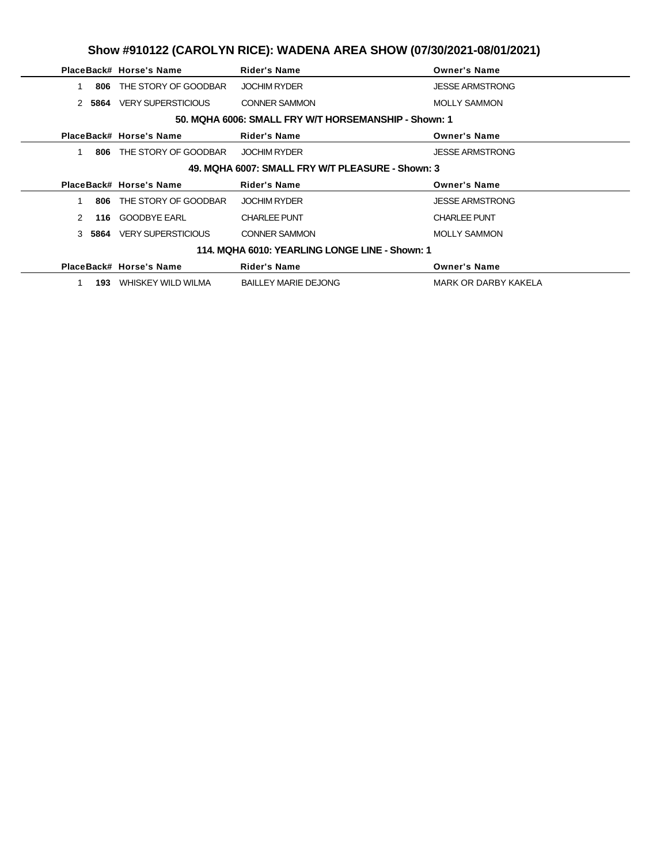|                                                  |      | PlaceBack# Horse's Name   | <b>Rider's Name</b>                                  | <b>Owner's Name</b>    |  |  |
|--------------------------------------------------|------|---------------------------|------------------------------------------------------|------------------------|--|--|
|                                                  | 806  | THE STORY OF GOODBAR      | <b>JOCHIM RYDER</b>                                  | <b>JESSE ARMSTRONG</b> |  |  |
| $\mathcal{P}$                                    | 5864 | <b>VERY SUPERSTICIOUS</b> | <b>CONNER SAMMON</b>                                 | <b>MOLLY SAMMON</b>    |  |  |
|                                                  |      |                           | 50. MQHA 6006: SMALL FRY W/T HORSEMANSHIP - Shown: 1 |                        |  |  |
|                                                  |      | PlaceBack# Horse's Name   | <b>Rider's Name</b>                                  | <b>Owner's Name</b>    |  |  |
|                                                  | 806  | THE STORY OF GOODBAR      | <b>JOCHIM RYDER</b>                                  | <b>JESSE ARMSTRONG</b> |  |  |
| 49. MQHA 6007: SMALL FRY W/T PLEASURE - Shown: 3 |      |                           |                                                      |                        |  |  |
|                                                  |      | PlaceBack# Horse's Name   | <b>Rider's Name</b>                                  | <b>Owner's Name</b>    |  |  |
|                                                  | 806  | THE STORY OF GOODBAR      | <b>JOCHIM RYDER</b>                                  | <b>JESSE ARMSTRONG</b> |  |  |
|                                                  |      |                           |                                                      |                        |  |  |
| $\mathcal{P}$                                    | 116  | <b>GOODBYE EARL</b>       | <b>CHARLEE PUNT</b>                                  | <b>CHARLEE PUNT</b>    |  |  |
| $\mathcal{S}$                                    | 5864 | <b>VERY SUPERSTICIOUS</b> | <b>CONNER SAMMON</b>                                 | <b>MOLLY SAMMON</b>    |  |  |
|                                                  |      |                           | 114. MQHA 6010: YEARLING LONGE LINE - Shown: 1       |                        |  |  |
|                                                  |      | PlaceBack# Horse's Name   | <b>Rider's Name</b>                                  | <b>Owner's Name</b>    |  |  |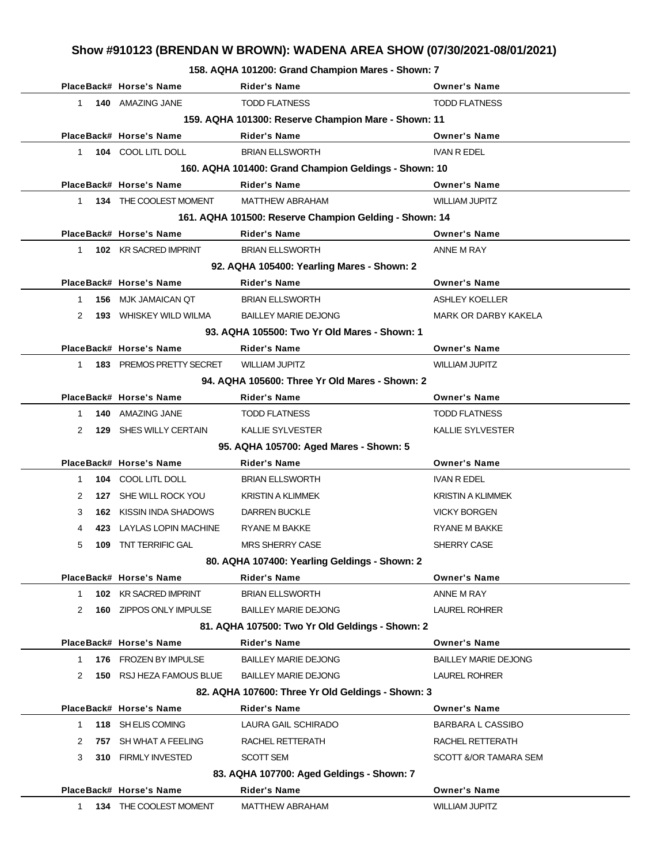**158. AQHA 101200: Grand Champion Mares - Shown: 7**

|              | PlaceBack# Horse's Name                             | <b>Rider's Name</b>                                    | <b>Owner's Name</b>         |  |  |  |  |  |
|--------------|-----------------------------------------------------|--------------------------------------------------------|-----------------------------|--|--|--|--|--|
| $\mathbf{1}$ | 140 AMAZING JANE                                    | <b>TODD FLATNESS</b>                                   | <b>TODD FLATNESS</b>        |  |  |  |  |  |
|              | 159. AQHA 101300: Reserve Champion Mare - Shown: 11 |                                                        |                             |  |  |  |  |  |
|              | PlaceBack# Horse's Name                             | <b>Rider's Name</b>                                    | <b>Owner's Name</b>         |  |  |  |  |  |
| 1            | 104 COOL LITL DOLL                                  | <b>BRIAN ELLSWORTH</b>                                 | <b>IVAN R EDEL</b>          |  |  |  |  |  |
|              |                                                     | 160. AQHA 101400: Grand Champion Geldings - Shown: 10  |                             |  |  |  |  |  |
|              | PlaceBack# Horse's Name                             | <b>Rider's Name</b>                                    | <b>Owner's Name</b>         |  |  |  |  |  |
| 1            | 134 THE COOLEST MOMENT                              | <b>MATTHEW ABRAHAM</b>                                 | <b>WILLIAM JUPITZ</b>       |  |  |  |  |  |
|              |                                                     | 161. AQHA 101500: Reserve Champion Gelding - Shown: 14 |                             |  |  |  |  |  |
|              | PlaceBack# Horse's Name                             | <b>Rider's Name</b>                                    | <b>Owner's Name</b>         |  |  |  |  |  |
| $\mathbf{1}$ | 102 KR SACRED IMPRINT                               | <b>BRIAN ELLSWORTH</b>                                 | ANNE M RAY                  |  |  |  |  |  |
|              |                                                     | 92. AQHA 105400: Yearling Mares - Shown: 2             |                             |  |  |  |  |  |
|              | PlaceBack# Horse's Name                             | <b>Rider's Name</b>                                    | <b>Owner's Name</b>         |  |  |  |  |  |
| $\mathbf{1}$ | 156 MJK JAMAICAN QT                                 | <b>BRIAN ELLSWORTH</b>                                 | <b>ASHLEY KOELLER</b>       |  |  |  |  |  |
| 2            | <b>193 WHISKEY WILD WILMA</b>                       | <b>BAILLEY MARIE DEJONG</b>                            | <b>MARK OR DARBY KAKELA</b> |  |  |  |  |  |
|              |                                                     | 93. AQHA 105500: Two Yr Old Mares - Shown: 1           |                             |  |  |  |  |  |
|              | PlaceBack# Horse's Name                             | <b>Rider's Name</b>                                    | <b>Owner's Name</b>         |  |  |  |  |  |
| 1            | 183 PREMOS PRETTY SECRET                            | <b>WILLIAM JUPITZ</b>                                  | <b>WILLIAM JUPITZ</b>       |  |  |  |  |  |
|              |                                                     | 94. AQHA 105600: Three Yr Old Mares - Shown: 2         |                             |  |  |  |  |  |
|              | PlaceBack# Horse's Name                             | <b>Rider's Name</b>                                    | <b>Owner's Name</b>         |  |  |  |  |  |
| $\mathbf{1}$ | 140 AMAZING JANE                                    | <b>TODD FLATNESS</b>                                   | <b>TODD FLATNESS</b>        |  |  |  |  |  |
| 2            | 129 SHES WILLY CERTAIN                              | <b>KALLIE SYLVESTER</b>                                | <b>KALLIE SYLVESTER</b>     |  |  |  |  |  |
|              |                                                     | 95. AQHA 105700: Aged Mares - Shown: 5                 |                             |  |  |  |  |  |
|              | PlaceBack# Horse's Name                             | Rider's Name                                           | <b>Owner's Name</b>         |  |  |  |  |  |
| $\mathbf{1}$ | 104 COOL LITL DOLL                                  | <b>BRIAN ELLSWORTH</b>                                 | <b>IVAN R EDEL</b>          |  |  |  |  |  |
| 2            | 127 SHE WILL ROCK YOU                               | <b>KRISTIN A KLIMMEK</b>                               | <b>KRISTIN A KLIMMEK</b>    |  |  |  |  |  |
| 3            | <b>162 KISSIN INDA SHADOWS</b>                      | <b>DARREN BUCKLE</b>                                   | <b>VICKY BORGEN</b>         |  |  |  |  |  |
| 4            | 423 LAYLAS LOPIN MACHINE                            | RYANE M BAKKE                                          | <b>RYANE M BAKKE</b>        |  |  |  |  |  |
| 5<br>109     | <b>TNT TERRIFIC GAL</b>                             | <b>MRS SHERRY CASE</b>                                 | SHERRY CASE                 |  |  |  |  |  |
|              |                                                     | 80. AQHA 107400: Yearling Geldings - Shown: 2          |                             |  |  |  |  |  |
|              | PlaceBack# Horse's Name                             | Rider's Name                                           | <b>Owner's Name</b>         |  |  |  |  |  |
| 1            | 102 KR SACRED IMPRINT                               | <b>BRIAN ELLSWORTH</b>                                 | ANNE M RAY                  |  |  |  |  |  |
| 2            | 160 ZIPPOS ONLY IMPULSE                             | <b>BAILLEY MARIE DEJONG</b>                            | <b>LAUREL ROHRER</b>        |  |  |  |  |  |
|              |                                                     | 81. AQHA 107500: Two Yr Old Geldings - Shown: 2        |                             |  |  |  |  |  |
|              | PlaceBack# Horse's Name                             | <b>Rider's Name</b>                                    | <b>Owner's Name</b>         |  |  |  |  |  |
| $\mathbf 1$  | 176 FROZEN BY IMPULSE                               | <b>BAILLEY MARIE DEJONG</b>                            | <b>BAILLEY MARIE DEJONG</b> |  |  |  |  |  |
| 2            | 150 RSJ HEZA FAMOUS BLUE                            | <b>BAILLEY MARIE DEJONG</b>                            | <b>LAUREL ROHRER</b>        |  |  |  |  |  |
|              |                                                     | 82. AQHA 107600: Three Yr Old Geldings - Shown: 3      |                             |  |  |  |  |  |
|              | PlaceBack# Horse's Name                             | <b>Rider's Name</b>                                    | <b>Owner's Name</b>         |  |  |  |  |  |
| $\mathbf 1$  | 118 SH ELIS COMING                                  | LAURA GAIL SCHIRADO                                    | <b>BARBARA L CASSIBO</b>    |  |  |  |  |  |
| 2            | 757 SH WHAT A FEELING                               | RACHEL RETTERATH                                       | RACHEL RETTERATH            |  |  |  |  |  |
| 3            | 310 FIRMLY INVESTED                                 | SCOTT SEM                                              | SCOTT &/OR TAMARA SEM       |  |  |  |  |  |
|              |                                                     | 83. AQHA 107700: Aged Geldings - Shown: 7              |                             |  |  |  |  |  |
|              | PlaceBack# Horse's Name                             | <b>Rider's Name</b>                                    | <b>Owner's Name</b>         |  |  |  |  |  |
| 1.           | 134 THE COOLEST MOMENT                              | <b>MATTHEW ABRAHAM</b>                                 | <b>WILLIAM JUPITZ</b>       |  |  |  |  |  |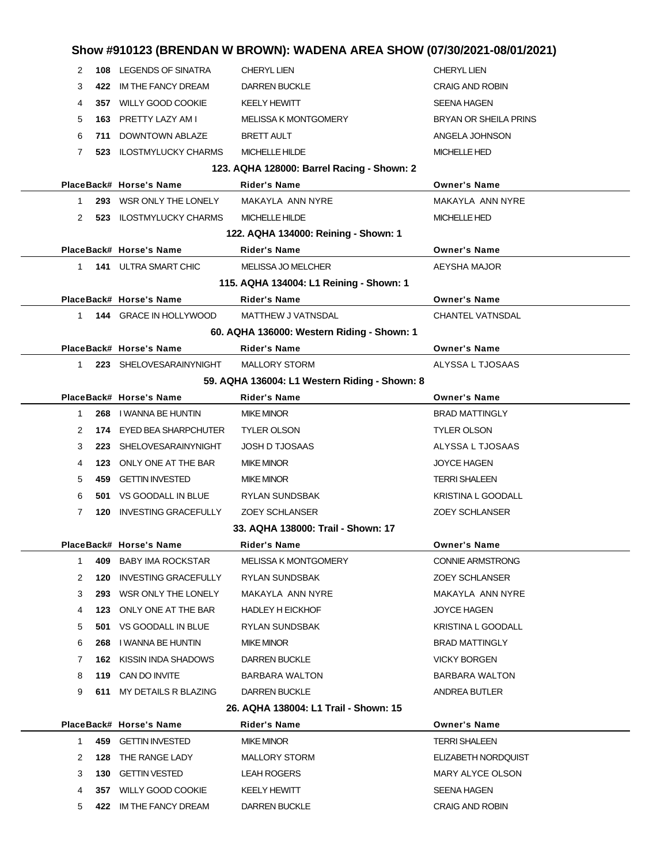|              |                                | Show #910123 (BRENDAN W BROWN): WADENA AREA SHOW (07/30/2021-08/01/2021) |                              |
|--------------|--------------------------------|--------------------------------------------------------------------------|------------------------------|
| 2            | 108 LEGENDS OF SINATRA         | <b>CHERYL LIEN</b>                                                       | <b>CHERYL LIEN</b>           |
| 3<br>422     | IM THE FANCY DREAM             | <b>DARREN BUCKLE</b>                                                     | <b>CRAIG AND ROBIN</b>       |
| 4            | 357 WILLY GOOD COOKIE          | <b>KEELY HEWITT</b>                                                      | <b>SEENA HAGEN</b>           |
| 5            | 163 PRETTY LAZY AM I           | <b>MELISSA K MONTGOMERY</b>                                              | <b>BRYAN OR SHEILA PRINS</b> |
| 6<br>711     | DOWNTOWN ABLAZE                | <b>BRETT AULT</b>                                                        | ANGELA JOHNSON               |
| 7            | 523 ILOSTMYLUCKY CHARMS        | <b>MICHELLE HILDE</b>                                                    | <b>MICHELLE HED</b>          |
|              |                                | 123. AQHA 128000: Barrel Racing - Shown: 2                               |                              |
|              | PlaceBack# Horse's Name        | <b>Rider's Name</b>                                                      | <b>Owner's Name</b>          |
| 1            | 293 WSR ONLY THE LONELY        | MAKAYLA ANN NYRE                                                         | MAKAYLA ANN NYRE             |
| 2            | 523 ILOSTMYLUCKY CHARMS        | <b>MICHELLE HILDE</b>                                                    | <b>MICHELLE HED</b>          |
|              |                                | 122. AQHA 134000: Reining - Shown: 1                                     |                              |
|              | PlaceBack# Horse's Name        | Rider's Name                                                             | <b>Owner's Name</b>          |
| $1 \quad$    | <b>141 ULTRA SMART CHIC</b>    | <b>MELISSA JO MELCHER</b>                                                | AEYSHA MAJOR                 |
|              |                                | 115. AQHA 134004: L1 Reining - Shown: 1                                  |                              |
|              | PlaceBack# Horse's Name        | <b>Rider's Name</b>                                                      | <b>Owner's Name</b>          |
| $1 \quad$    | 144 GRACE IN HOLLYWOOD         | MATTHEW J VATNSDAL                                                       | <b>CHANTEL VATNSDAL</b>      |
|              |                                | 60. AQHA 136000: Western Riding - Shown: 1                               |                              |
|              | PlaceBack# Horse's Name        | <b>Rider's Name</b>                                                      | <b>Owner's Name</b>          |
| $1 \quad$    | 223 SHELOVESARAINYNIGHT        | <b>MALLORY STORM</b>                                                     | ALYSSA L TJOSAAS             |
|              |                                | 59. AQHA 136004: L1 Western Riding - Shown: 8                            |                              |
|              | PlaceBack# Horse's Name        | Rider's Name                                                             | <b>Owner's Name</b>          |
| 1<br>268     | I WANNA BE HUNTIN              | <b>MIKE MINOR</b>                                                        | <b>BRAD MATTINGLY</b>        |
| 2            | 174 EYED BEA SHARPCHUTER       | <b>TYLER OLSON</b>                                                       | <b>TYLER OLSON</b>           |
| 3            | 223 SHELOVESARAINYNIGHT        | <b>JOSH D TJOSAAS</b>                                                    | ALYSSA L TJOSAAS             |
| 4            | 123 ONLY ONE AT THE BAR        | <b>MIKE MINOR</b>                                                        | <b>JOYCE HAGEN</b>           |
| 5<br>459     | <b>GETTIN INVESTED</b>         | <b>MIKE MINOR</b>                                                        | <b>TERRI SHALEEN</b>         |
| 6            | 501 VS GOODALL IN BLUE         | RYLAN SUNDSBAK                                                           | KRISTINA L GOODALL           |
| 7<br>120     | <b>INVESTING GRACEFULLY</b>    | <b>ZOEY SCHLANSER</b>                                                    | <b>ZOEY SCHLANSER</b>        |
|              |                                | 33. AQHA 138000: Trail - Shown: 17                                       |                              |
|              | PlaceBack# Horse's Name        | Rider's Name                                                             | <b>Owner's Name</b>          |
| $\mathbf{1}$ | 409 BABY IMA ROCKSTAR          | <b>MELISSA K MONTGOMERY</b>                                              | <b>CONNIE ARMSTRONG</b>      |
| 2<br>120     | INVESTING GRACEFULLY           | <b>RYLAN SUNDSBAK</b>                                                    | <b>ZOEY SCHLANSER</b>        |
| 3            | 293 WSR ONLY THE LONELY        | MAKAYLA ANN NYRE                                                         | MAKAYLA ANN NYRE             |
| 4            | 123 ONLY ONE AT THE BAR        | <b>HADLEY H EICKHOF</b>                                                  | <b>JOYCE HAGEN</b>           |
| 5            | 501 VS GOODALL IN BLUE         | RYLAN SUNDSBAK                                                           | KRISTINA L GOODALL           |
| 6<br>268     | I WANNA BE HUNTIN              | <b>MIKE MINOR</b>                                                        | <b>BRAD MATTINGLY</b>        |
| 7            | <b>162 KISSIN INDA SHADOWS</b> | <b>DARREN BUCKLE</b>                                                     | <b>VICKY BORGEN</b>          |
| 8            | 119 CAN DO INVITE              | <b>BARBARA WALTON</b>                                                    | <b>BARBARA WALTON</b>        |
| 9            | 611 MY DETAILS R BLAZING       | <b>DARREN BUCKLE</b>                                                     | ANDREA BUTLER                |
|              |                                | 26. AQHA 138004: L1 Trail - Shown: 15                                    |                              |
|              | PlaceBack# Horse's Name        | Rider's Name                                                             | <b>Owner's Name</b>          |
| 1            | 459 GETTIN INVESTED            | <b>MIKE MINOR</b>                                                        | <b>TERRI SHALEEN</b>         |
| 2<br>128     | THE RANGE LADY                 | <b>MALLORY STORM</b>                                                     | ELIZABETH NORDQUIST          |
| 3<br>130     | <b>GETTIN VESTED</b>           | <b>LEAH ROGERS</b>                                                       | MARY ALYCE OLSON             |
| 4            | 357 WILLY GOOD COOKIE          | <b>KEELY HEWITT</b>                                                      | SEENA HAGEN                  |
| 5            | 422 IM THE FANCY DREAM         | DARREN BUCKLE                                                            | <b>CRAIG AND ROBIN</b>       |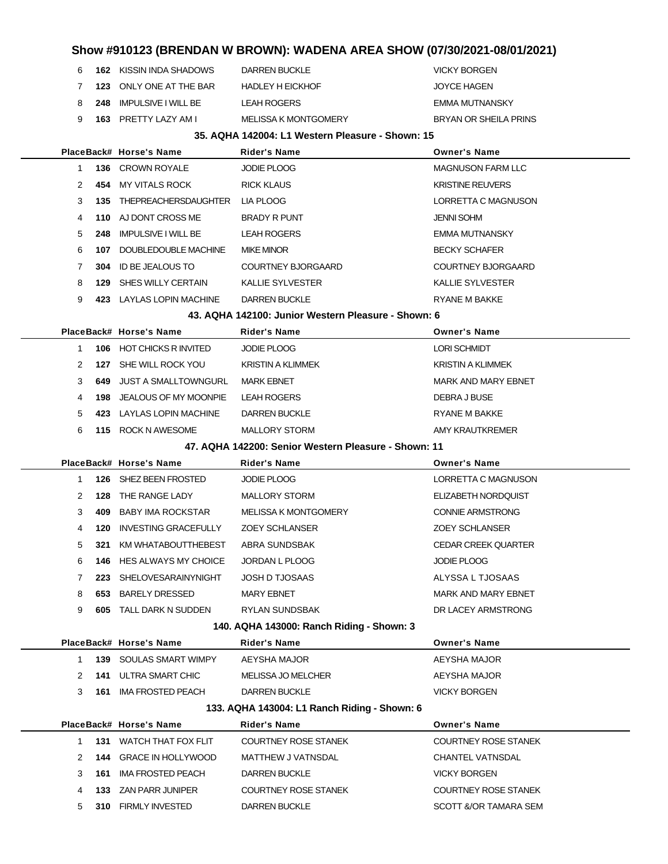| JOYCE HAGEN           |
|-----------------------|
| EMMA MUTNANSKY        |
| BRYAN OR SHEILA PRINS |
|                       |

### **35. AQHA 142004: L1 Western Pleasure - Shown: 15**

|  |                |     | PlaceBack# Horse's Name          | <b>Rider's Name</b>                                  | <b>Owner's Name</b>         |
|--|----------------|-----|----------------------------------|------------------------------------------------------|-----------------------------|
|  | 1              |     | <b>136 CROWN ROYALE</b>          | <b>JODIE PLOOG</b>                                   | <b>MAGNUSON FARM LLC</b>    |
|  | 2              |     | 454 MY VITALS ROCK               | <b>RICK KLAUS</b>                                    | <b>KRISTINE REUVERS</b>     |
|  | 3              |     | 135 THEPREACHERSDAUGHTER         | LIA PLOOG                                            | LORRETTA C MAGNUSON         |
|  | 4              |     | 110 AJ DONT CROSS ME             | <b>BRADY R PUNT</b>                                  | <b>JENNI SOHM</b>           |
|  | 5              | 248 | IMPULSIVE I WILL BE              | <b>LEAH ROGERS</b>                                   | EMMA MUTNANSKY              |
|  | 6              | 107 | DOUBLEDOUBLE MACHINE             | <b>MIKE MINOR</b>                                    | <b>BECKY SCHAFER</b>        |
|  | $\overline{7}$ | 304 | ID BE JEALOUS TO                 | <b>COURTNEY BJORGAARD</b>                            | COURTNEY BJORGAARD          |
|  | 8              |     | 129 SHES WILLY CERTAIN           | <b>KALLIE SYLVESTER</b>                              | <b>KALLIE SYLVESTER</b>     |
|  | 9              |     | 423 LAYLAS LOPIN MACHINE         | <b>DARREN BUCKLE</b>                                 | <b>RYANE M BAKKE</b>        |
|  |                |     |                                  | 43. AQHA 142100: Junior Western Pleasure - Shown: 6  |                             |
|  |                |     | PlaceBack# Horse's Name          | Rider's Name                                         | <b>Owner's Name</b>         |
|  | 1              |     | 106 HOT CHICKS R INVITED         | <b>JODIE PLOOG</b>                                   | <b>LORI SCHMIDT</b>         |
|  | 2              |     | 127 SHE WILL ROCK YOU            | <b>KRISTIN A KLIMMEK</b>                             | <b>KRISTIN A KLIMMEK</b>    |
|  | 3              | 649 | <b>JUST A SMALLTOWNGURL</b>      | <b>MARK EBNET</b>                                    | <b>MARK AND MARY EBNET</b>  |
|  | 4              |     | <b>198 JEALOUS OF MY MOONPIE</b> | <b>LEAH ROGERS</b>                                   | DEBRA J BUSE                |
|  | 5              |     | 423 LAYLAS LOPIN MACHINE         | <b>DARREN BUCKLE</b>                                 | <b>RYANE M BAKKE</b>        |
|  | 6              |     | 115 ROCK N AWESOME               | <b>MALLORY STORM</b>                                 | AMY KRAUTKREMER             |
|  |                |     |                                  | 47. AQHA 142200: Senior Western Pleasure - Shown: 11 |                             |
|  |                |     | PlaceBack# Horse's Name          | Rider's Name                                         | <b>Owner's Name</b>         |
|  | $\mathbf{1}$   |     | 126 SHEZ BEEN FROSTED            | <b>JODIE PLOOG</b>                                   | LORRETTA C MAGNUSON         |
|  | 2              |     | <b>128 THE RANGE LADY</b>        | <b>MALLORY STORM</b>                                 | ELIZABETH NORDQUIST         |
|  | 3              | 409 | <b>BABY IMA ROCKSTAR</b>         | <b>MELISSA K MONTGOMERY</b>                          | <b>CONNIE ARMSTRONG</b>     |
|  | 4              | 120 | <b>INVESTING GRACEFULLY</b>      | <b>ZOEY SCHLANSER</b>                                | <b>ZOEY SCHLANSER</b>       |
|  | 5              | 321 | KM WHATABOUTTHEBEST              | ABRA SUNDSBAK                                        | <b>CEDAR CREEK QUARTER</b>  |
|  | 6              |     | <b>146 HES ALWAYS MY CHOICE</b>  | JORDAN L PLOOG                                       | <b>JODIE PLOOG</b>          |
|  | $\overline{7}$ |     | 223 SHELOVESARAINYNIGHT          | <b>JOSH D TJOSAAS</b>                                | ALYSSA L TJOSAAS            |
|  | 8              |     | 653 BARELY DRESSED               | <b>MARY EBNET</b>                                    | <b>MARK AND MARY EBNET</b>  |
|  | 9              |     | <b>605 TALL DARK N SUDDEN</b>    | RYLAN SUNDSBAK                                       | DR LACEY ARMSTRONG          |
|  |                |     |                                  | 140. AQHA 143000: Ranch Riding - Shown: 3            |                             |
|  |                |     | PlaceBack# Horse's Name          | <b>Rider's Name</b>                                  | <b>Owner's Name</b>         |
|  | 1              | 139 | SOULAS SMART WIMPY               | AEYSHA MAJOR                                         | AEYSHA MAJOR                |
|  | 2              | 141 | ULTRA SMART CHIC                 | <b>MELISSA JO MELCHER</b>                            | AEYSHA MAJOR                |
|  | 3              | 161 | <b>IMA FROSTED PEACH</b>         | <b>DARREN BUCKLE</b>                                 | <b>VICKY BORGEN</b>         |
|  |                |     |                                  | 133. AQHA 143004: L1 Ranch Riding - Shown: 6         |                             |
|  |                |     | PlaceBack# Horse's Name          | <b>Rider's Name</b>                                  | <b>Owner's Name</b>         |
|  | 1              | 131 | WATCH THAT FOX FLIT              | <b>COURTNEY ROSE STANEK</b>                          | <b>COURTNEY ROSE STANEK</b> |
|  | 2              |     | 144 GRACE IN HOLLYWOOD           | MATTHEW J VATNSDAL                                   | <b>CHANTEL VATNSDAL</b>     |
|  | 3              | 161 | <b>IMA FROSTED PEACH</b>         | DARREN BUCKLE                                        | <b>VICKY BORGEN</b>         |
|  | 4              |     | 133 ZAN PARR JUNIPER             | <b>COURTNEY ROSE STANEK</b>                          | <b>COURTNEY ROSE STANEK</b> |
|  | 5              |     | 310 FIRMLY INVESTED              | <b>DARREN BUCKLE</b>                                 | SCOTT &/OR TAMARA SEM       |
|  |                |     |                                  |                                                      |                             |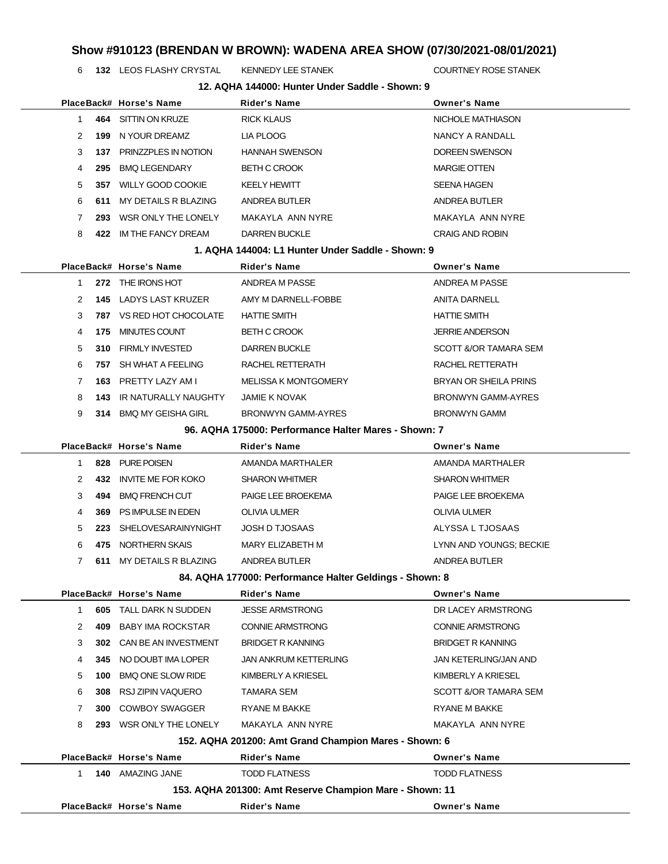**132** LEOS FLASHY CRYSTAL KENNEDY LEE STANEK **COURTNEY ROSE STANEK** 

| 12. AQHA 144000: Hunter Under Saddle - Shown: 9 |                                                      |                                                         |                                  |  |  |  |  |
|-------------------------------------------------|------------------------------------------------------|---------------------------------------------------------|----------------------------------|--|--|--|--|
|                                                 | PlaceBack# Horse's Name                              | Rider's Name                                            | <b>Owner's Name</b>              |  |  |  |  |
| 464<br>1.                                       | SITTIN ON KRUZE                                      | <b>RICK KLAUS</b>                                       | NICHOLE MATHIASON                |  |  |  |  |
| 2<br>199                                        | N YOUR DREAMZ                                        | LIA PLOOG                                               | NANCY A RANDALL                  |  |  |  |  |
| 3                                               | 137 PRINZZPLES IN NOTION                             | <b>HANNAH SWENSON</b>                                   | DOREEN SWENSON                   |  |  |  |  |
| 4<br>295                                        | <b>BMQ LEGENDARY</b>                                 | <b>BETH C CROOK</b>                                     | <b>MARGIE OTTEN</b>              |  |  |  |  |
| 5<br>357                                        | <b>WILLY GOOD COOKIE</b>                             | <b>KEELY HEWITT</b>                                     | <b>SEENA HAGEN</b>               |  |  |  |  |
| 6<br>611                                        | MY DETAILS R BLAZING                                 | ANDREA BUTLER                                           | ANDREA BUTLER                    |  |  |  |  |
| 7<br>293                                        | WSR ONLY THE LONELY                                  | MAKAYLA ANN NYRE                                        | MAKAYLA ANN NYRE                 |  |  |  |  |
| 8                                               | 422 IM THE FANCY DREAM                               | <b>DARREN BUCKLE</b>                                    | <b>CRAIG AND ROBIN</b>           |  |  |  |  |
|                                                 |                                                      | 1. AQHA 144004: L1 Hunter Under Saddle - Shown: 9       |                                  |  |  |  |  |
|                                                 | PlaceBack# Horse's Name                              | Rider's Name                                            | <b>Owner's Name</b>              |  |  |  |  |
| $\mathbf{1}$                                    | 272 THE IRONS HOT                                    | ANDREA M PASSE                                          | ANDREA M PASSE                   |  |  |  |  |
| 2                                               | <b>145 LADYS LAST KRUZER</b>                         | AMY M DARNELL-FOBBE                                     | <b>ANITA DARNELL</b>             |  |  |  |  |
| 3                                               | <b>787 VS RED HOT CHOCOLATE</b>                      | <b>HATTIE SMITH</b>                                     | <b>HATTIE SMITH</b>              |  |  |  |  |
| 4<br>175                                        | MINUTES COUNT                                        | <b>BETH C CROOK</b>                                     | <b>JERRIE ANDERSON</b>           |  |  |  |  |
| 5                                               | 310 FIRMLY INVESTED                                  | <b>DARREN BUCKLE</b>                                    | SCOTT &/OR TAMARA SEM            |  |  |  |  |
| 6                                               | 757 SH WHAT A FEELING                                | RACHEL RETTERATH                                        | RACHEL RETTERATH                 |  |  |  |  |
| $\mathbf{7}$                                    | 163 PRETTY LAZY AM I                                 | <b>MELISSA K MONTGOMERY</b>                             | <b>BRYAN OR SHEILA PRINS</b>     |  |  |  |  |
| 8<br>143                                        | IR NATURALLY NAUGHTY                                 | <b>JAMIE K NOVAK</b>                                    | <b>BRONWYN GAMM-AYRES</b>        |  |  |  |  |
| 9                                               | 314 BMQ MY GEISHA GIRL                               | <b>BRONWYN GAMM-AYRES</b>                               | <b>BRONWYN GAMM</b>              |  |  |  |  |
|                                                 | 96. AQHA 175000: Performance Halter Mares - Shown: 7 |                                                         |                                  |  |  |  |  |
|                                                 | PlaceBack# Horse's Name                              | Rider's Name                                            | <b>Owner's Name</b>              |  |  |  |  |
| 828<br>1.                                       | PURE POISEN                                          | AMANDA MARTHALER                                        | AMANDA MARTHALER                 |  |  |  |  |
| 2<br>432                                        | INVITE ME FOR KOKO                                   | <b>SHARON WHITMER</b>                                   | <b>SHARON WHITMER</b>            |  |  |  |  |
| 3<br>494                                        | <b>BMQ FRENCH CUT</b>                                | PAIGE LEE BROEKEMA                                      | PAIGE LEE BROEKEMA               |  |  |  |  |
| 4<br>369                                        | PS IMPULSE IN EDEN                                   | <b>OLIVIA ULMER</b>                                     | <b>OLIVIA ULMER</b>              |  |  |  |  |
| 5<br>223                                        | SHELOVESARAINYNIGHT                                  | <b>JOSH D TJOSAAS</b>                                   | ALYSSA L TJOSAAS                 |  |  |  |  |
| 6<br>475                                        | NORTHERN SKAIS                                       | MARY ELIZABETH M                                        | LYNN AND YOUNGS; BECKIE          |  |  |  |  |
| $\mathbf{7}$<br>611                             | MY DETAILS R BLAZING                                 | ANDREA BUTLER                                           | ANDREA BUTLER                    |  |  |  |  |
|                                                 |                                                      | 84. AQHA 177000: Performance Halter Geldings - Shown: 8 |                                  |  |  |  |  |
|                                                 | PlaceBack# Horse's Name                              | Rider's Name                                            | <b>Owner's Name</b>              |  |  |  |  |
| $\mathbf{1}$<br>605                             | TALL DARK N SUDDEN                                   | <b>JESSE ARMSTRONG</b>                                  | DR LACEY ARMSTRONG               |  |  |  |  |
| 2<br>409                                        | <b>BABY IMA ROCKSTAR</b>                             | <b>CONNIE ARMSTRONG</b>                                 | <b>CONNIE ARMSTRONG</b>          |  |  |  |  |
| 3<br>302                                        | CAN BE AN INVESTMENT                                 | <b>BRIDGET R KANNING</b>                                | <b>BRIDGET R KANNING</b>         |  |  |  |  |
| 4<br>345                                        | NO DOUBT IMA LOPER                                   | <b>JAN ANKRUM KETTERLING</b>                            | JAN KETERLING/JAN AND            |  |  |  |  |
| 5<br>100                                        | <b>BMQ ONE SLOW RIDE</b>                             | KIMBERLY A KRIESEL                                      | KIMBERLY A KRIESEL               |  |  |  |  |
| 6<br>308                                        | RSJ ZIPIN VAQUERO                                    | <b>TAMARA SEM</b>                                       | <b>SCOTT &amp;/OR TAMARA SEM</b> |  |  |  |  |
| 7<br>300                                        | <b>COWBOY SWAGGER</b>                                | RYANE M BAKKE                                           | RYANE M BAKKE                    |  |  |  |  |
| 8<br>293                                        | WSR ONLY THE LONELY                                  | MAKAYLA ANN NYRE                                        | MAKAYLA ANN NYRE                 |  |  |  |  |
|                                                 |                                                      | 152. AQHA 201200: Amt Grand Champion Mares - Shown: 6   |                                  |  |  |  |  |
|                                                 | PlaceBack# Horse's Name                              | <b>Rider's Name</b>                                     | <b>Owner's Name</b>              |  |  |  |  |
| 1.                                              | 140 AMAZING JANE                                     | <b>TODD FLATNESS</b>                                    | <b>TODD FLATNESS</b>             |  |  |  |  |
|                                                 |                                                      | 153. AQHA 201300: Amt Reserve Champion Mare - Shown: 11 |                                  |  |  |  |  |
|                                                 | PlaceBack# Horse's Name                              | <b>Rider's Name</b>                                     | <b>Owner's Name</b>              |  |  |  |  |
|                                                 |                                                      |                                                         |                                  |  |  |  |  |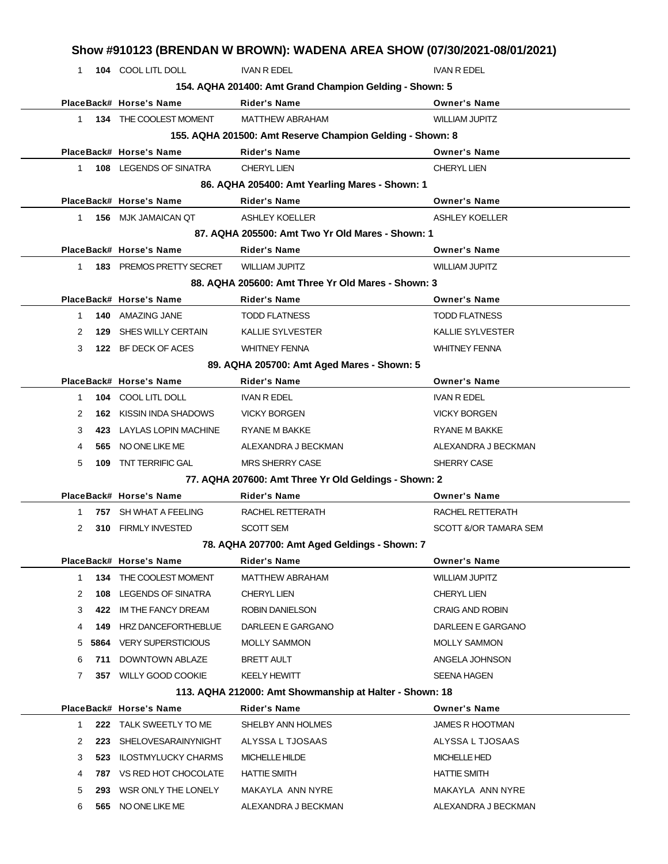|              |      |                            | Show #910123 (BRENDAN W BROWN): WADENA AREA SHOW (07/30/2021-08/01/2021) |                         |  |  |  |
|--------------|------|----------------------------|--------------------------------------------------------------------------|-------------------------|--|--|--|
| $\mathbf{1}$ |      | 104 COOL LITL DOLL         | <b>IVAN R EDEL</b>                                                       | <b>IVAN R EDEL</b>      |  |  |  |
|              |      |                            | 154. AQHA 201400: Amt Grand Champion Gelding - Shown: 5                  |                         |  |  |  |
|              |      | PlaceBack# Horse's Name    | <b>Rider's Name</b>                                                      | <b>Owner's Name</b>     |  |  |  |
| 1            |      | 134 THE COOLEST MOMENT     | <b>MATTHEW ABRAHAM</b>                                                   | <b>WILLIAM JUPITZ</b>   |  |  |  |
|              |      |                            | 155. AQHA 201500: Amt Reserve Champion Gelding - Shown: 8                |                         |  |  |  |
|              |      | PlaceBack# Horse's Name    | <b>Rider's Name</b>                                                      | <b>Owner's Name</b>     |  |  |  |
| 1.           |      | 108 LEGENDS OF SINATRA     | <b>CHERYL LIEN</b>                                                       | <b>CHERYL LIEN</b>      |  |  |  |
|              |      |                            | 86. AQHA 205400: Amt Yearling Mares - Shown: 1                           |                         |  |  |  |
|              |      | PlaceBack# Horse's Name    | <b>Rider's Name</b>                                                      | <b>Owner's Name</b>     |  |  |  |
| $\mathbf{1}$ |      | 156 MJK JAMAICAN QT        | <b>ASHLEY KOELLER</b>                                                    | <b>ASHLEY KOELLER</b>   |  |  |  |
|              |      |                            | 87. AQHA 205500: Amt Two Yr Old Mares - Shown: 1                         |                         |  |  |  |
|              |      | PlaceBack# Horse's Name    | <b>Rider's Name</b>                                                      | <b>Owner's Name</b>     |  |  |  |
| 1            |      | 183 PREMOS PRETTY SECRET   | <b>WILLIAM JUPITZ</b>                                                    | <b>WILLIAM JUPITZ</b>   |  |  |  |
|              |      |                            | 88. AQHA 205600: Amt Three Yr Old Mares - Shown: 3                       |                         |  |  |  |
|              |      | PlaceBack# Horse's Name    | Rider's Name                                                             | <b>Owner's Name</b>     |  |  |  |
| 1            |      | 140 AMAZING JANE           | <b>TODD FLATNESS</b>                                                     | <b>TODD FLATNESS</b>    |  |  |  |
| 2            | 129  | SHES WILLY CERTAIN         | <b>KALLIE SYLVESTER</b>                                                  | <b>KALLIE SYLVESTER</b> |  |  |  |
| 3            |      | 122 BF DECK OF ACES        | <b>WHITNEY FENNA</b>                                                     | <b>WHITNEY FENNA</b>    |  |  |  |
|              |      |                            | 89. AQHA 205700: Amt Aged Mares - Shown: 5                               |                         |  |  |  |
|              |      | PlaceBack# Horse's Name    | <b>Rider's Name</b>                                                      | <b>Owner's Name</b>     |  |  |  |
| $\mathbf{1}$ |      | 104 COOL LITL DOLL         | <b>IVAN R EDEL</b>                                                       | <b>IVAN R EDEL</b>      |  |  |  |
| 2            | 162  | KISSIN INDA SHADOWS        | <b>VICKY BORGEN</b>                                                      | <b>VICKY BORGEN</b>     |  |  |  |
| 3            | 423  | LAYLAS LOPIN MACHINE       | RYANE M BAKKE                                                            | RYANE M BAKKE           |  |  |  |
| 4            | 565  | NO ONE LIKE ME             | ALEXANDRA J BECKMAN                                                      | ALEXANDRA J BECKMAN     |  |  |  |
| 5            |      | 109 TNT TERRIFIC GAL       | <b>MRS SHERRY CASE</b>                                                   | SHERRY CASE             |  |  |  |
|              |      |                            | 77. AQHA 207600: Amt Three Yr Old Geldings - Shown: 2                    |                         |  |  |  |
|              |      | PlaceBack# Horse's Name    | <b>Rider's Name</b>                                                      | <b>Owner's Name</b>     |  |  |  |
| 1            |      | 757 SH WHAT A FEELING      | RACHEL RETTERATH                                                         | RACHEL RETTERATH        |  |  |  |
| 2            |      | 310 FIRMLY INVESTED        | <b>SCOTT SEM</b>                                                         | SCOTT &/OR TAMARA SEM   |  |  |  |
|              |      |                            | 78. AQHA 207700: Amt Aged Geldings - Shown: 7                            |                         |  |  |  |
|              |      | PlaceBack# Horse's Name    | <b>Rider's Name</b>                                                      | <b>Owner's Name</b>     |  |  |  |
| $\mathbf{1}$ | 134  | THE COOLEST MOMENT         | <b>MATTHEW ABRAHAM</b>                                                   | <b>WILLIAM JUPITZ</b>   |  |  |  |
| 2            | 108  | <b>LEGENDS OF SINATRA</b>  | <b>CHERYL LIEN</b>                                                       | <b>CHERYL LIEN</b>      |  |  |  |
| 3            | 422  | IM THE FANCY DREAM         | ROBIN DANIELSON                                                          | <b>CRAIG AND ROBIN</b>  |  |  |  |
| 4            | 149  | HRZ DANCEFORTHEBLUE        | DARLEEN E GARGANO                                                        | DARLEEN E GARGANO       |  |  |  |
| 5            | 5864 | <b>VERY SUPERSTICIOUS</b>  | <b>MOLLY SAMMON</b>                                                      | <b>MOLLY SAMMON</b>     |  |  |  |
| 6            | 711  | <b>DOWNTOWN ABLAZE</b>     | <b>BRETT AULT</b>                                                        | ANGELA JOHNSON          |  |  |  |
| 7            |      | 357 WILLY GOOD COOKIE      | <b>KEELY HEWITT</b>                                                      | <b>SEENA HAGEN</b>      |  |  |  |
|              |      |                            | 113. AQHA 212000: Amt Showmanship at Halter - Shown: 18                  |                         |  |  |  |
|              |      | PlaceBack# Horse's Name    | <b>Rider's Name</b>                                                      | <b>Owner's Name</b>     |  |  |  |
| $\mathbf{1}$ |      | 222 TALK SWEETLY TO ME     | SHELBY ANN HOLMES                                                        | <b>JAMES R HOOTMAN</b>  |  |  |  |
| 2            | 223  | <b>SHELOVESARAINYNIGHT</b> | ALYSSA L TJOSAAS                                                         | ALYSSA L TJOSAAS        |  |  |  |
| 3            | 523  | <b>ILOSTMYLUCKY CHARMS</b> | MICHELLE HILDE                                                           | <b>MICHELLE HED</b>     |  |  |  |
| 4            | 787  | VS RED HOT CHOCOLATE       | <b>HATTIE SMITH</b>                                                      | <b>HATTIE SMITH</b>     |  |  |  |
| 5            | 293  | WSR ONLY THE LONELY        | MAKAYLA ANN NYRE                                                         | MAKAYLA ANN NYRE        |  |  |  |
| 6            |      | 565 NO ONE LIKE ME         | ALEXANDRA J BECKMAN                                                      | ALEXANDRA J BECKMAN     |  |  |  |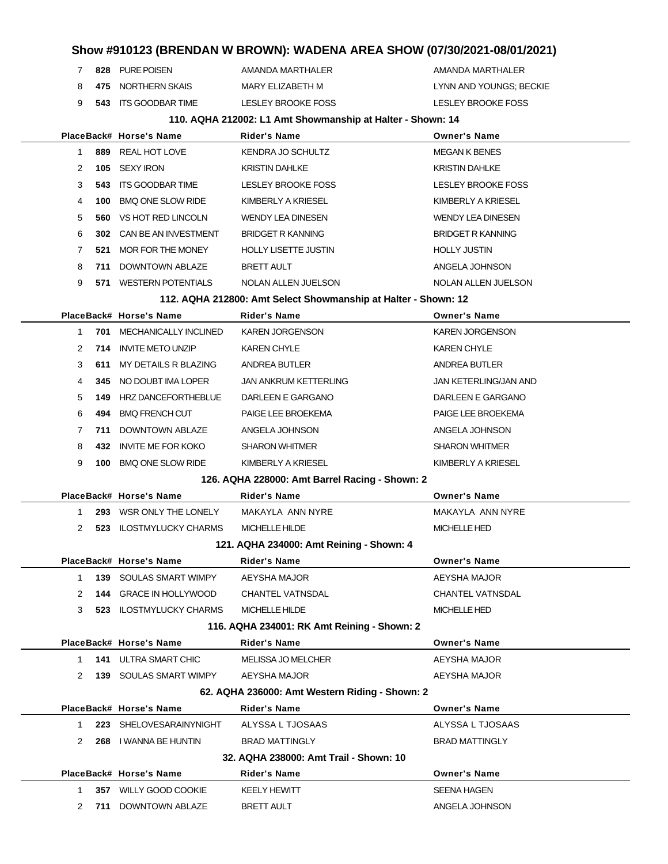- 7 828 PURE POISEN AMANDA MARTHALER AMANDA MARTHALER
- 

8 **475** NORTHERN SKAIS MARY ELIZABETH M<br>ARY ELIZABETH M LYNN AND YOUNGS; BECKIE

**543** ITS GOODBAR TIME LESLEY BROOKE FOSS LESLEY BROOKE FOSS

#### **110. AQHA 212002: L1 Amt Showmanship at Halter - Shown: 14**

|              |     | PlaceBack# Horse's Name          | Rider's Name                                                   | <b>Owner's Name</b>       |
|--------------|-----|----------------------------------|----------------------------------------------------------------|---------------------------|
| $\mathbf{1}$ |     | 889 REAL HOT LOVE                | KENDRA JO SCHULTZ                                              | <b>MEGAN K BENES</b>      |
| 2            |     | 105 SEXY IRON                    | <b>KRISTIN DAHLKE</b>                                          | <b>KRISTIN DAHLKE</b>     |
| 3            |     | <b>543 ITS GOODBAR TIME</b>      | <b>LESLEY BROOKE FOSS</b>                                      | <b>LESLEY BROOKE FOSS</b> |
| 4            | 100 | <b>BMQ ONE SLOW RIDE</b>         | KIMBERLY A KRIESEL                                             | KIMBERLY A KRIESEL        |
| 5            | 560 | VS HOT RED LINCOLN               | <b>WENDY LEA DINESEN</b>                                       | <b>WENDY LEA DINESEN</b>  |
| 6            |     | 302 CAN BE AN INVESTMENT         | <b>BRIDGET R KANNING</b>                                       | <b>BRIDGET R KANNING</b>  |
| 7            | 521 | MOR FOR THE MONEY                | <b>HOLLY LISETTE JUSTIN</b>                                    | <b>HOLLY JUSTIN</b>       |
| 8            | 711 | DOWNTOWN ABLAZE                  | BRETT AULT                                                     | ANGELA JOHNSON            |
| 9            |     | 571 WESTERN POTENTIALS           | NOLAN ALLEN JUELSON                                            | NOLAN ALLEN JUELSON       |
|              |     |                                  | 112. AQHA 212800: Amt Select Showmanship at Halter - Shown: 12 |                           |
|              |     | PlaceBack# Horse's Name          | Rider's Name                                                   | <b>Owner's Name</b>       |
| 1            |     | <b>701 MECHANICALLY INCLINED</b> | <b>KAREN JORGENSON</b>                                         | <b>KAREN JORGENSON</b>    |
| 2            |     | 714 INVITE METO UNZIP            | <b>KAREN CHYLE</b>                                             | <b>KAREN CHYLE</b>        |
| 3            | 611 | MY DETAILS R BLAZING             | ANDREA BUTLER                                                  | ANDREA BUTLER             |
| 4            | 345 | NO DOUBT IMA LOPER               | JAN ANKRUM KETTERLING                                          | JAN KETERLING/JAN AND     |
| 5            |     | 149 HRZ DANCEFORTHEBLUE          | DARLEEN E GARGANO                                              | DARLEEN E GARGANO         |
| 6            | 494 | <b>BMQ FRENCH CUT</b>            | PAIGE LEE BROEKEMA                                             | PAIGE LEE BROEKEMA        |
| 7            |     | <b>711 DOWNTOWN ABLAZE</b>       | ANGELA JOHNSON                                                 | ANGELA JOHNSON            |
| 8            | 432 | INVITE ME FOR KOKO               | <b>SHARON WHITMER</b>                                          | <b>SHARON WHITMER</b>     |
| 9            | 100 | <b>BMQ ONE SLOW RIDE</b>         | KIMBERLY A KRIESEL                                             | KIMBERLY A KRIESEL        |
|              |     |                                  | 126. AQHA 228000: Amt Barrel Racing - Shown: 2                 |                           |
|              |     | PlaceBack# Horse's Name          | <b>Rider's Name</b>                                            | <b>Owner's Name</b>       |
| $\mathbf 1$  |     | 293 WSR ONLY THE LONELY          | MAKAYLA ANN NYRE                                               | MAKAYLA ANN NYRE          |
| 2            |     | 523 ILOSTMYLUCKY CHARMS          | <b>MICHELLE HILDE</b>                                          | <b>MICHELLE HED</b>       |
|              |     |                                  | 121. AQHA 234000: Amt Reining - Shown: 4                       |                           |
|              |     | PlaceBack# Horse's Name          | <b>Rider's Name</b>                                            | <b>Owner's Name</b>       |
| 1            |     | <b>139 SOULAS SMART WIMPY</b>    | AEYSHA MAJOR                                                   | AEYSHA MAJOR              |
| 2            |     | 144 GRACE IN HOLLYWOOD           | <b>CHANTEL VATNSDAL</b>                                        | <b>CHANTEL VATNSDAL</b>   |
| 3            |     | <b>523 ILOSTMYLUCKY CHARMS</b>   | <b>MICHELLE HILDE</b>                                          | <b>MICHELLE HED</b>       |
|              |     |                                  | 116. AQHA 234001: RK Amt Reining - Shown: 2                    |                           |
|              |     | PlaceBack# Horse's Name          | <b>Rider's Name</b>                                            | <b>Owner's Name</b>       |
| $\mathbf{1}$ |     | <b>141 ULTRA SMART CHIC</b>      | <b>MELISSA JO MELCHER</b>                                      | AEYSHA MAJOR              |
| 2            |     | <b>139 SOULAS SMART WIMPY</b>    | AEYSHA MAJOR                                                   | AEYSHA MAJOR              |
|              |     |                                  | 62. AQHA 236000: Amt Western Riding - Shown: 2                 |                           |
|              |     | PlaceBack# Horse's Name          | <b>Rider's Name</b>                                            | <b>Owner's Name</b>       |
| $\mathbf{1}$ |     | 223 SHELOVESARAINYNIGHT          | ALYSSA L TJOSAAS                                               | ALYSSA L TJOSAAS          |
| 2            |     | 268 I WANNA BE HUNTIN            | <b>BRAD MATTINGLY</b>                                          | <b>BRAD MATTINGLY</b>     |
|              |     |                                  | 32. AQHA 238000: Amt Trail - Shown: 10                         |                           |
|              |     | PlaceBack# Horse's Name          | Rider's Name                                                   | <b>Owner's Name</b>       |
| 1            |     | 357 WILLY GOOD COOKIE            | <b>KEELY HEWITT</b>                                            | <b>SEENA HAGEN</b>        |
| 2            |     | 711 DOWNTOWN ABLAZE              | <b>BRETT AULT</b>                                              | ANGELA JOHNSON            |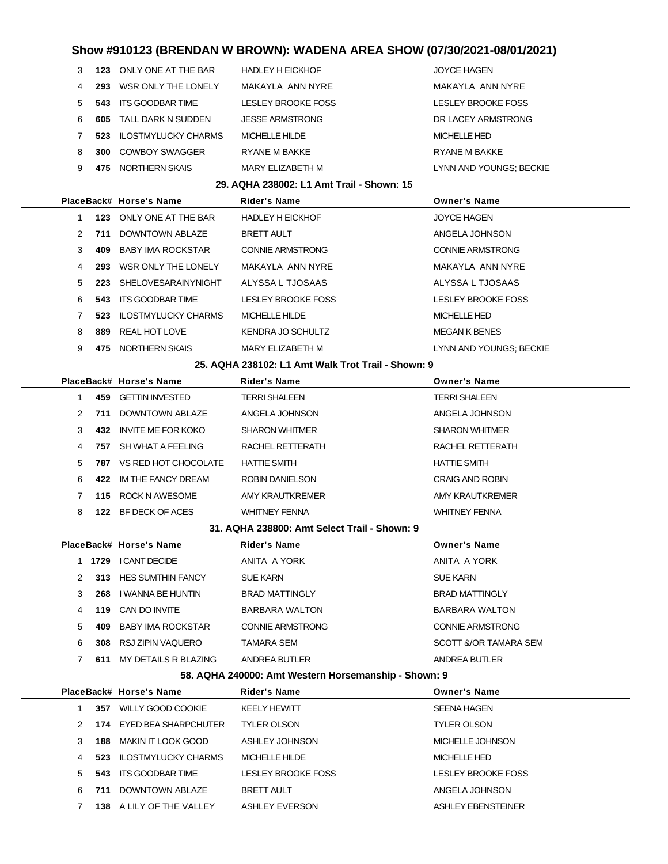| 3 |     | 123 ONLY ONE AT THE BAR    | <b>HADLEY H EICKHOF</b>                   | <b>JOYCE HAGEN</b>        |
|---|-----|----------------------------|-------------------------------------------|---------------------------|
| 4 |     | 293 WSR ONLY THE LONELY    | MAKAYLA ANN NYRE                          | MAKAYLA ANN NYRE          |
| 5 | 543 | ITS GOODBAR TIME           | LESLEY BROOKE FOSS                        | <b>LESLEY BROOKE FOSS</b> |
| 6 | 605 | TALL DARK N SUDDEN         | <b>JESSE ARMSTRONG</b>                    | DR LACEY ARMSTRONG        |
| 7 | 523 | <b>ILOSTMYLUCKY CHARMS</b> | MICHELLE HILDE                            | <b>MICHELLE HED</b>       |
| 8 | 300 | <b>COWBOY SWAGGER</b>      | <b>RYANE M BAKKE</b>                      | RYANE M BAKKE             |
| 9 | 475 | NORTHERN SKAIS             | MARY ELIZABETH M                          | LYNN AND YOUNGS; BECKIE   |
|   |     |                            |                                           |                           |
|   |     |                            | 29. AQHA 238002: L1 Amt Trail - Shown: 15 |                           |
|   |     | PlaceBack# Horse's Name    | <b>Rider's Name</b>                       | <b>Owner's Name</b>       |
| 1 |     | 123 ONLY ONE AT THE BAR    | <b>HADLEY H EICKHOF</b>                   | <b>JOYCE HAGEN</b>        |
| 2 | 711 | DOWNTOWN ABLAZE            | <b>BRETT AULT</b>                         | ANGELA JOHNSON            |
| 3 | 409 | BABY IMA ROCKSTAR          | <b>CONNIE ARMSTRONG</b>                   | <b>CONNIE ARMSTRONG</b>   |
| 4 | 293 | WSR ONLY THE LONELY        | MAKAYLA ANN NYRE                          | MAKAYLA ANN NYRE          |
| 5 |     | 223 SHELOVESARAINYNIGHT    | ALYSSA L TJOSAAS                          | ALYSSA L TJOSAAS          |

**523** ILOSTMYLUCKY CHARMS MICHELLE HILDE MICHELLE HED MICHELLE HED 8 889 REAL HOT LOVE KENDRA JO SCHULTZ KENDRA JO SCHULTZ

# 9 **475** NORTHERN SKAIS MARY ELIZABETH M<br>
MARY ELIZABETH M<br>
MARY ELIZABETH M<br>
Mary ELIZABETH M<br>
Mary ELIZABETH M<br>
LYNN AND YOUNGS; BECKIE

#### **25. AQHA 238102: L1 Amt Walk Trot Trail - Shown: 9**

|               |     | PlaceBack# Horse's Name   | <b>Rider's Name</b>   | <b>Owner's Name</b>    |
|---------------|-----|---------------------------|-----------------------|------------------------|
|               | 459 | <b>GETTIN INVESTED</b>    | <b>TERRI SHALEEN</b>  | <b>TERRI SHALEEN</b>   |
| $\mathcal{P}$ | 711 | DOWNTOWN ABLAZE           | ANGELA JOHNSON        | ANGELA JOHNSON         |
| 3             | 432 | <b>INVITE ME FOR KOKO</b> | <b>SHARON WHITMER</b> | <b>SHARON WHITMER</b>  |
| 4             | 757 | SH WHAT A FEELING         | RACHEL RETTERATH      | RACHEL RETTERATH       |
| 5.            | 787 | VS RED HOT CHOCOLATE      | <b>HATTIE SMITH</b>   | <b>HATTIE SMITH</b>    |
| 6.            | 422 | IM THE FANCY DREAM        | ROBIN DANIELSON       | <b>CRAIG AND ROBIN</b> |
|               | 115 | ROCK N AWESOME            | AMY KRAUTKREMER       | AMY KRAUTKREMER        |
| 8             | 122 | BF DECK OF ACES           | <b>WHITNEY FENNA</b>  | <b>WHITNEY FENNA</b>   |

### **31. AQHA 238800: Amt Select Trail - Shown: 9**

|               |      | PlaceBack# Horse's Name  | <b>Rider's Name</b>     | <b>Owner's Name</b>   |
|---------------|------|--------------------------|-------------------------|-----------------------|
|               | 1729 | I CANT DECIDE            | ANITA A YORK            | ANITA A YORK          |
| $\mathcal{P}$ | 313  | <b>HES SUMTHIN FANCY</b> | <b>SUE KARN</b>         | <b>SUE KARN</b>       |
| 3             | 268  | I WANNA BE HUNTIN        | <b>BRAD MATTINGLY</b>   | <b>BRAD MATTINGLY</b> |
| 4             | 119  | CAN DO INVITE            | <b>BARBARA WALTON</b>   | BARBARA WALTON        |
| 5.            | 409  | BABY IMA ROCKSTAR        | <b>CONNIE ARMSTRONG</b> | CONNIE ARMSTRONG      |
| 6             | 308  | RSJ ZIPIN VAQUERO        | TAMARA SEM              | SCOTT &/OR TAMARA SEM |
|               | 611  | MY DETAILS R BLAZING     | ANDREA BUTLER           | ANDREA BUTLER         |

#### **58. AQHA 240000: Amt Western Horsemanship - Shown: 9**

|               |      | PlaceBack# Horse's Name    | <b>Rider's Name</b>   | <b>Owner's Name</b>       |
|---------------|------|----------------------------|-----------------------|---------------------------|
|               | 357  | WILLY GOOD COOKIE          | <b>KEELY HEWITT</b>   | <b>SEENA HAGEN</b>        |
| $\mathcal{P}$ | 174  | EYED BEA SHARPCHUTER       | <b>TYLER OLSON</b>    | <b>TYLER OLSON</b>        |
| 3             | 188. | MAKIN IT LOOK GOOD         | ASHLEY JOHNSON        | MICHELLE JOHNSON          |
| 4             | 523  | <b>ILOSTMYLUCKY CHARMS</b> | MICHELLE HILDE        | <b>MICHELLE HED</b>       |
| 5.            | 543  | ITS GOODBAR TIME           | LESLEY BROOKE FOSS    | <b>LESLEY BROOKE FOSS</b> |
| 6.            | 711  | DOWNTOWN ABLAZE            | <b>BRETT AULT</b>     | ANGELA JOHNSON            |
|               | 138. | A LILY OF THE VALLEY       | <b>ASHLEY EVERSON</b> | ASHLEY EBENSTEINER        |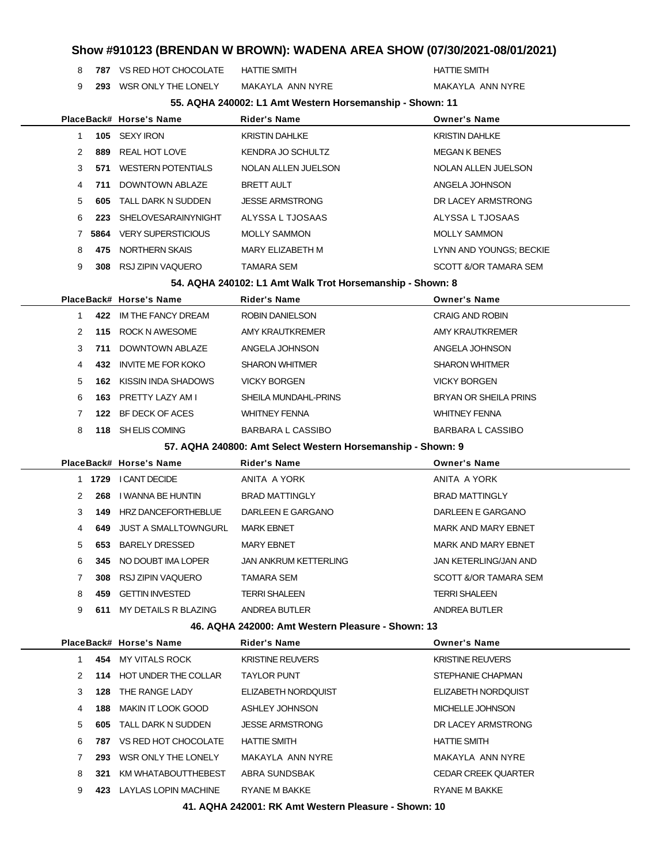**787** VS RED HOT CHOCOLATE HATTIE SMITH **HATTIE SMITH** 

**293** WSR ONLY THE LONELY MAKAYLA ANN NYRE MAKAYLA ANN NYRE

|                |      |                                | 55. AQHA 240002: L1 Amt Western Horsemanship - Shown: 11    |                              |
|----------------|------|--------------------------------|-------------------------------------------------------------|------------------------------|
|                |      | PlaceBack# Horse's Name        | <b>Rider's Name</b>                                         | <b>Owner's Name</b>          |
| $\mathbf{1}$   |      | 105 SEXY IRON                  | <b>KRISTIN DAHLKE</b>                                       | <b>KRISTIN DAHLKE</b>        |
| 2              | 889  | <b>REAL HOT LOVE</b>           | KENDRA JO SCHULTZ                                           | <b>MEGAN K BENES</b>         |
| 3              | 571  | <b>WESTERN POTENTIALS</b>      | NOLAN ALLEN JUELSON                                         | NOLAN ALLEN JUELSON          |
| 4              | 711  | DOWNTOWN ABLAZE                | <b>BRETT AULT</b>                                           | ANGELA JOHNSON               |
| 5              | 605  | TALL DARK N SUDDEN             | <b>JESSE ARMSTRONG</b>                                      | DR LACEY ARMSTRONG           |
| 6              | 223  | <b>SHELOVESARAINYNIGHT</b>     | ALYSSA L TJOSAAS                                            | ALYSSA L TJOSAAS             |
| 7              |      | <b>5864 VERY SUPERSTICIOUS</b> | <b>MOLLY SAMMON</b>                                         | <b>MOLLY SAMMON</b>          |
| 8              | 475  | NORTHERN SKAIS                 | <b>MARY ELIZABETH M</b>                                     | LYNN AND YOUNGS; BECKIE      |
| 9              | 308  | RSJ ZIPIN VAQUERO              | <b>TAMARA SEM</b>                                           | SCOTT &/OR TAMARA SEM        |
|                |      |                                | 54. AQHA 240102: L1 Amt Walk Trot Horsemanship - Shown: 8   |                              |
|                |      | PlaceBack# Horse's Name        | <b>Rider's Name</b>                                         | <b>Owner's Name</b>          |
| $\mathbf{1}$   | 422  | IM THE FANCY DREAM             | <b>ROBIN DANIELSON</b>                                      | <b>CRAIG AND ROBIN</b>       |
| $\overline{2}$ |      | 115 ROCK N AWESOME             | AMY KRAUTKREMER                                             | <b>AMY KRAUTKREMER</b>       |
| 3              | 711  | DOWNTOWN ABLAZE                | ANGELA JOHNSON                                              | ANGELA JOHNSON               |
| 4              |      | 432 INVITE ME FOR KOKO         | <b>SHARON WHITMER</b>                                       | <b>SHARON WHITMER</b>        |
| 5              |      | 162 KISSIN INDA SHADOWS        | <b>VICKY BORGEN</b>                                         | <b>VICKY BORGEN</b>          |
| 6              | 163  | PRETTY LAZY AM I               | SHEILA MUNDAHL-PRINS                                        | <b>BRYAN OR SHEILA PRINS</b> |
| $\overline{7}$ | 122  | BF DECK OF ACES                | <b>WHITNEY FENNA</b>                                        | <b>WHITNEY FENNA</b>         |
| 8              | 118  | SH ELIS COMING                 | <b>BARBARA L CASSIBO</b>                                    | <b>BARBARA L CASSIBO</b>     |
|                |      |                                | 57. AQHA 240800: Amt Select Western Horsemanship - Shown: 9 |                              |
|                |      | PlaceBack# Horse's Name        | <b>Rider's Name</b>                                         | <b>Owner's Name</b>          |
|                |      | 1 1729 I CANT DECIDE           | ANITA A YORK                                                | ANITA A YORK                 |
| $\overline{2}$ |      | 268 I WANNA BE HUNTIN          | <b>BRAD MATTINGLY</b>                                       | <b>BRAD MATTINGLY</b>        |
| 3              | 149  | HRZ DANCEFORTHEBLUE            | DARLEEN E GARGANO                                           | DARLEEN E GARGANO            |
| 4              | 649. | <b>JUST A SMALLTOWNGURL</b>    | <b>MARK EBNET</b>                                           | <b>MARK AND MARY EBNET</b>   |
| 5              | 653  | <b>BARELY DRESSED</b>          | <b>MARY EBNET</b>                                           | <b>MARK AND MARY EBNET</b>   |
| 6              |      | 345 NO DOUBT IMA LOPER         | <b>JAN ANKRUM KETTERLING</b>                                | JAN KETERLING/JAN AND        |
| 7              | 308  | RSJ ZIPIN VAQUERO              | TAMARA SEM                                                  | SCOTT &/OR TAMARA SEM        |
| 8              | 459  | <b>GETTIN INVESTED</b>         | <b>TERRI SHALEEN</b>                                        | <b>TERRI SHALEEN</b>         |
| 9              | 611  | MY DETAILS R BLAZING           | ANDREA BUTLER                                               | <b>ANDREA BUTLER</b>         |
|                |      |                                | 46. AQHA 242000: Amt Western Pleasure - Shown: 13           |                              |

|               |      | PlaceBack# Horse's Name  | <b>Rider's Name</b>        | <b>Owner's Name</b>        |
|---------------|------|--------------------------|----------------------------|----------------------------|
|               |      | 454 MY VITALS ROCK       | <b>KRISTINE REUVERS</b>    | <b>KRISTINE REUVERS</b>    |
| $\mathcal{P}$ |      | 114 HOT UNDER THE COLLAR | <b>TAYLOR PUNT</b>         | STEPHANIE CHAPMAN          |
| 3             | 128  | THE RANGE LADY           | <b>ELIZABETH NORDQUIST</b> | ELIZABETH NORDQUIST        |
| 4             | 188  | MAKIN IT LOOK GOOD       | ASHLEY JOHNSON             | MICHELLE JOHNSON           |
| 5             | 605  | TALL DARK N SUDDEN       | <b>JESSE ARMSTRONG</b>     | DR LACEY ARMSTRONG         |
| 6             | 787  | VS RED HOT CHOCOLATE     | <b>HATTIE SMITH</b>        | <b>HATTIE SMITH</b>        |
|               | 293. | WSR ONLY THE LONELY      | MAKAYLA ANN NYRE           | MAKAYLA ANN NYRE           |
| 8             | 321  | KM WHATABOUTTHEBEST      | ABRA SUNDSBAK              | <b>CEDAR CREEK QUARTER</b> |
| 9             | 423  | LAYLAS LOPIN MACHINE     | RYANE M BAKKE              | <b>RYANE M BAKKE</b>       |
|               |      |                          |                            |                            |

**41. AQHA 242001: RK Amt Western Pleasure - Shown: 10**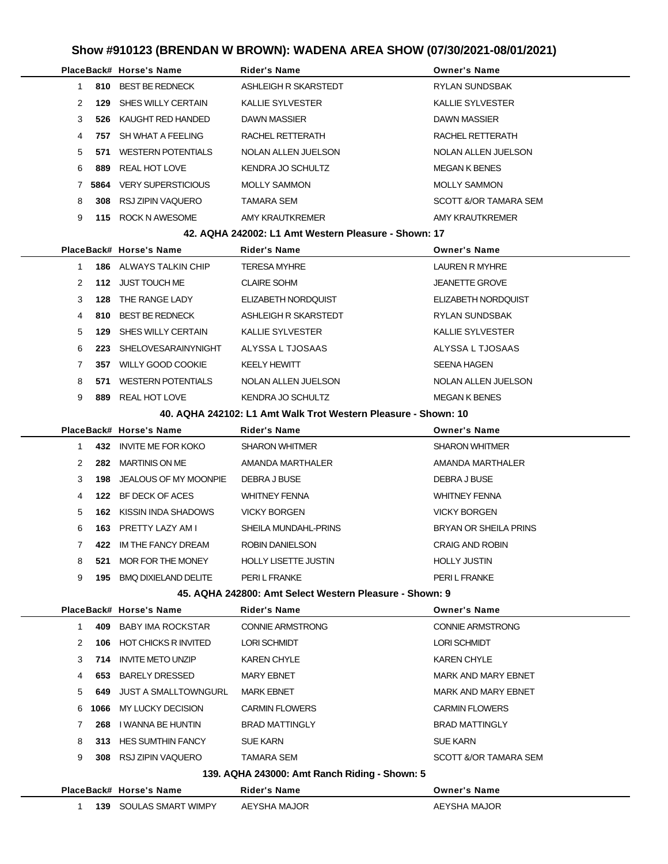|               |      | PlaceBack# Horse's Name   | <b>Rider's Name</b>     | <b>Owner's Name</b>     |
|---------------|------|---------------------------|-------------------------|-------------------------|
|               | 810  | <b>BEST BE REDNECK</b>    | ASHLEIGH R SKARSTEDT    | <b>RYLAN SUNDSBAK</b>   |
| $\mathcal{P}$ | 129  | SHES WILLY CERTAIN        | <b>KALLIE SYLVESTER</b> | <b>KALLIE SYLVESTER</b> |
| 3             | 526  | KAUGHT RED HANDED         | <b>DAWN MASSIER</b>     | <b>DAWN MASSIER</b>     |
| 4             | 757  | SH WHAT A FEELING         | RACHEL RETTERATH        | RACHEL RETTERATH        |
| 5.            | 571  | <b>WESTERN POTENTIALS</b> | NOLAN ALLEN JUELSON     | NOLAN ALLEN JUELSON     |
| 6.            | 889  | REAL HOT LOVE             | KENDRA JO SCHULTZ       | <b>MEGAN K BENES</b>    |
|               | 5864 | <b>VERY SUPERSTICIOUS</b> | <b>MOLLY SAMMON</b>     | <b>MOLLY SAMMON</b>     |
| 8             | 308  | RSJ ZIPIN VAQUERO         | TAMARA SEM              | SCOTT &/OR TAMARA SEM   |
| 9             | 115  | ROCK N AWESOME            | AMY KRAUTKREMER         | AMY KRAUTKREMER         |
|               |      |                           |                         |                         |

#### **42. AQHA 242002: L1 Amt Western Pleasure - Shown: 17**

|               |     | PlaceBack# Horse's Name       | <b>Rider's Name</b>      | <b>Owner's Name</b>     |
|---------------|-----|-------------------------------|--------------------------|-------------------------|
|               |     | <b>186 ALWAYS TALKIN CHIP</b> | <b>TERESA MYHRE</b>      | LAUREN R MYHRE          |
| $\mathcal{P}$ | 112 | JUST TOUCH ME                 | <b>CLAIRE SOHM</b>       | <b>JEANETTE GROVE</b>   |
| $\mathcal{S}$ | 128 | THE RANGE LADY                | ELIZABETH NORDOUIST      | ELIZABETH NORDQUIST     |
| 4             | 810 | <b>BEST BE REDNECK</b>        | ASHLEIGH R SKARSTEDT     | RYLAN SUNDSBAK          |
| 5             | 129 | SHES WILLY CERTAIN            | <b>KALLIE SYLVESTER</b>  | <b>KALLIE SYLVESTER</b> |
| 6             | 223 | SHELOVESARAINYNIGHT           | ALYSSA L TJOSAAS         | ALYSSA L TJOSAAS        |
|               | 357 | WILLY GOOD COOKIE             | <b>KEELY HEWITT</b>      | <b>SEENA HAGEN</b>      |
| 8             | 571 | <b>WESTERN POTENTIALS</b>     | NOLAN ALLEN JUELSON      | NOLAN ALLEN JUELSON     |
| 9             | 889 | REAL HOT LOVE                 | <b>KENDRA JO SCHULTZ</b> | <b>MEGAN K BENES</b>    |
|               |     |                               |                          |                         |

**40. AQHA 242102: L1 Amt Walk Trot Western Pleasure - Shown: 10**

|   |     | PlaceBack# Horse's Name     | <b>Rider's Name</b>         | <b>Owner's Name</b>    |
|---|-----|-----------------------------|-----------------------------|------------------------|
|   | 432 | <b>INVITE ME FOR KOKO</b>   | <b>SHARON WHITMER</b>       | <b>SHARON WHITMER</b>  |
| 2 | 282 | <b>MARTINIS ON ME</b>       | AMANDA MARTHALER            | AMANDA MARTHALER       |
| 3 | 198 | JEALOUS OF MY MOONPIE       | DEBRA J BUSE                | DEBRA J BUSE           |
| 4 | 122 | BF DECK OF ACES             | <b>WHITNEY FENNA</b>        | <b>WHITNEY FENNA</b>   |
| 5 | 162 | KISSIN INDA SHADOWS         | <b>VICKY BORGEN</b>         | <b>VICKY BORGEN</b>    |
| 6 | 163 | PRETTY LAZY AM I            | SHEILA MUNDAHL-PRINS        | BRYAN OR SHEILA PRINS  |
|   | 422 | IM THE FANCY DREAM          | ROBIN DANIELSON             | <b>CRAIG AND ROBIN</b> |
| 8 | 521 | MOR FOR THE MONEY           | <b>HOLLY LISETTE JUSTIN</b> | <b>HOLLY JUSTIN</b>    |
| 9 | 195 | <b>BMQ DIXIELAND DELITE</b> | PERI L FRANKE               | PERI L FRANKE          |
|   |     |                             |                             |                        |

### **45. AQHA 242800: Amt Select Western Pleasure - Shown: 9**

**139** SOULAS SMART WIMPY AEYSHA MAJOR AEYSHA MAJOR

|    |      | PlaceBack# Horse's Name     | <b>Rider's Name</b>                           | <b>Owner's Name</b>        |
|----|------|-----------------------------|-----------------------------------------------|----------------------------|
|    | 409  | <b>BABY IMA ROCKSTAR</b>    | <b>CONNIE ARMSTRONG</b>                       | <b>CONNIE ARMSTRONG</b>    |
| 2  | 106  | <b>HOT CHICKS R INVITED</b> | LORI SCHMIDT                                  | <b>LORI SCHMIDT</b>        |
| 3  | 714  | <b>INVITE METO UNZIP</b>    | <b>KAREN CHYLE</b>                            | <b>KAREN CHYLE</b>         |
| 4  | 653  | BARELY DRESSED              | <b>MARY EBNET</b>                             | <b>MARK AND MARY EBNET</b> |
| 5  | 649  | JUST A SMALLTOWNGURL        | <b>MARK EBNET</b>                             | MARK AND MARY EBNET        |
| 6. | 1066 | MY LUCKY DECISION           | <b>CARMIN FLOWERS</b>                         | <b>CARMIN FLOWERS</b>      |
|    | 268  | I WANNA BE HUNTIN           | <b>BRAD MATTINGLY</b>                         | <b>BRAD MATTINGLY</b>      |
| 8  | 313  | <b>HES SUMTHIN FANCY</b>    | <b>SUE KARN</b>                               | <b>SUE KARN</b>            |
| 9  | 308  | RSJ ZIPIN VAQUERO           | TAMARA SEM                                    | SCOTT &/OR TAMARA SEM      |
|    |      |                             | 139. AQHA 243000: Amt Ranch Riding - Shown: 5 |                            |
|    |      | PlaceBack# Horse's Name     | <b>Rider's Name</b>                           | <b>Owner's Name</b>        |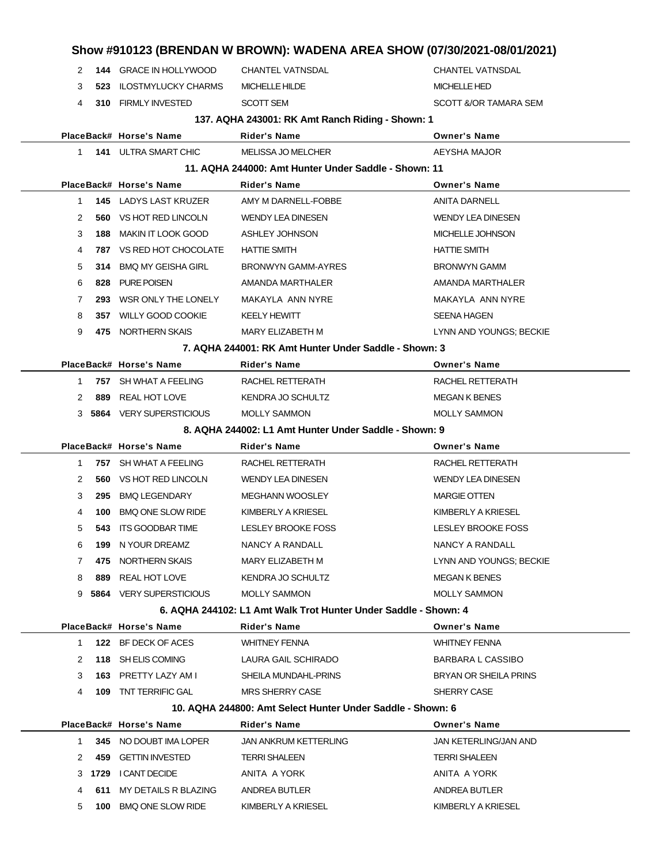|              |     |                                 |                                                                 | Show #910123 (BRENDAN W BROWN): WADENA AREA SHOW (07/30/2021-08/01/2021) |
|--------------|-----|---------------------------------|-----------------------------------------------------------------|--------------------------------------------------------------------------|
| 2            |     | <b>144 GRACE IN HOLLYWOOD</b>   | <b>CHANTEL VATNSDAL</b>                                         | <b>CHANTEL VATNSDAL</b>                                                  |
| 3            |     | <b>523 ILOSTMYLUCKY CHARMS</b>  | MICHELLE HILDE                                                  | <b>MICHELLE HED</b>                                                      |
| 4            |     | 310 FIRMLY INVESTED             | <b>SCOTT SEM</b>                                                | SCOTT &/OR TAMARA SEM                                                    |
|              |     |                                 | 137. AQHA 243001: RK Amt Ranch Riding - Shown: 1                |                                                                          |
|              |     | PlaceBack# Horse's Name         | Rider's Name                                                    | <b>Owner's Name</b>                                                      |
| $\mathbf{1}$ |     | <b>141 ULTRA SMART CHIC</b>     | <b>MELISSA JO MELCHER</b>                                       | AEYSHA MAJOR                                                             |
|              |     |                                 | 11. AQHA 244000: Amt Hunter Under Saddle - Shown: 11            |                                                                          |
|              |     | PlaceBack# Horse's Name         | <b>Rider's Name</b>                                             | <b>Owner's Name</b>                                                      |
| 1            |     | <b>145 LADYS LAST KRUZER</b>    | AMY M DARNELL-FOBBE                                             | <b>ANITA DARNELL</b>                                                     |
| 2            |     | <b>560 VS HOT RED LINCOLN</b>   | <b>WENDY LEA DINESEN</b>                                        | <b>WENDY LEA DINESEN</b>                                                 |
| 3            |     | <b>188 MAKIN IT LOOK GOOD</b>   | ASHLEY JOHNSON                                                  | MICHELLE JOHNSON                                                         |
| 4            |     | <b>787 VS RED HOT CHOCOLATE</b> | <b>HATTIE SMITH</b>                                             | <b>HATTIE SMITH</b>                                                      |
| 5            | 314 | <b>BMQ MY GEISHA GIRL</b>       | BRONWYN GAMM-AYRES                                              | <b>BRONWYN GAMM</b>                                                      |
| 6            |     | 828 PURE POISEN                 | AMANDA MARTHALER                                                | AMANDA MARTHALER                                                         |
| 7            |     | 293 WSR ONLY THE LONELY         | MAKAYLA ANN NYRE                                                | MAKAYLA ANN NYRE                                                         |
| 8            |     | 357 WILLY GOOD COOKIE           | <b>KEELY HEWITT</b>                                             | <b>SEENA HAGEN</b>                                                       |
| 9            |     | 475 NORTHERN SKAIS              | MARY ELIZABETH M                                                | LYNN AND YOUNGS; BECKIE                                                  |
|              |     |                                 | 7. AQHA 244001: RK Amt Hunter Under Saddle - Shown: 3           |                                                                          |
|              |     | PlaceBack# Horse's Name         | <b>Rider's Name</b>                                             | <b>Owner's Name</b>                                                      |
| 1            |     | 757 SH WHAT A FEELING           | RACHEL RETTERATH                                                | RACHEL RETTERATH                                                         |
| 2            | 889 | REAL HOT LOVE                   | KENDRA JO SCHULTZ                                               | <b>MEGAN K BENES</b>                                                     |
|              |     | 3 5864 VERY SUPERSTICIOUS       | <b>MOLLY SAMMON</b>                                             | <b>MOLLY SAMMON</b>                                                      |
|              |     |                                 | 8. AQHA 244002: L1 Amt Hunter Under Saddle - Shown: 9           |                                                                          |
|              |     | PlaceBack# Horse's Name         | Rider's Name                                                    | <b>Owner's Name</b>                                                      |
|              |     |                                 |                                                                 |                                                                          |
| $\mathbf{1}$ |     | 757 SH WHAT A FEELING           | RACHEL RETTERATH                                                | RACHEL RETTERATH                                                         |
| 2            |     | <b>560 VS HOT RED LINCOLN</b>   | <b>WENDY LEA DINESEN</b>                                        | <b>WENDY LEA DINESEN</b>                                                 |
| 3            | 295 | <b>BMQ LEGENDARY</b>            | <b>MEGHANN WOOSLEY</b>                                          | <b>MARGIE OTTEN</b>                                                      |
| 4            | 100 | <b>BMQ ONE SLOW RIDE</b>        | KIMBERLY A KRIESEL                                              | KIMBERLY A KRIESEL                                                       |
| 5            |     | 543 ITS GOODBAR TIME            | <b>LESLEY BROOKE FOSS</b>                                       | LESLEY BROOKE FOSS                                                       |
| 6            | 199 | N YOUR DREAMZ                   | NANCY A RANDALL                                                 | NANCY A RANDALL                                                          |
| 7            |     | 475 NORTHERN SKAIS              | MARY ELIZABETH M                                                | LYNN AND YOUNGS; BECKIE                                                  |
| 8            |     | 889 REAL HOT LOVE               | KENDRA JO SCHULTZ                                               | <b>MEGAN K BENES</b>                                                     |
|              |     | 9 5864 VERY SUPERSTICIOUS       | <b>MOLLY SAMMON</b>                                             | <b>MOLLY SAMMON</b>                                                      |
|              |     |                                 | 6. AQHA 244102: L1 Amt Walk Trot Hunter Under Saddle - Shown: 4 |                                                                          |
|              |     | PlaceBack# Horse's Name         | Rider's Name                                                    | <b>Owner's Name</b>                                                      |
| $\mathbf{1}$ |     | 122 BF DECK OF ACES             | <b>WHITNEY FENNA</b>                                            | <b>WHITNEY FENNA</b>                                                     |
| 2            |     | 118 SH ELIS COMING              | LAURA GAIL SCHIRADO                                             | <b>BARBARA L CASSIBO</b>                                                 |
| 3            |     | 163 PRETTY LAZY AM I            | SHEILA MUNDAHL-PRINS                                            | BRYAN OR SHEILA PRINS                                                    |
| 4            |     | <b>109 TNT TERRIFIC GAL</b>     | <b>MRS SHERRY CASE</b>                                          | SHERRY CASE                                                              |
|              |     |                                 | 10. AQHA 244800: Amt Select Hunter Under Saddle - Shown: 6      |                                                                          |
|              |     | PlaceBack# Horse's Name         | <b>Rider's Name</b>                                             | <b>Owner's Name</b>                                                      |
| $\mathbf 1$  |     | 345 NO DOUBT IMA LOPER          | <b>JAN ANKRUM KETTERLING</b>                                    | JAN KETERLING/JAN AND                                                    |
| 2            |     | 459 GETTIN INVESTED             | <b>TERRI SHALEEN</b>                                            | <b>TERRI SHALEEN</b>                                                     |
|              |     | 3 1729 I CANT DECIDE            | ANITA A YORK                                                    | ANITA A YORK                                                             |
| 4            |     | 611 MY DETAILS R BLAZING        | ANDREA BUTLER                                                   | ANDREA BUTLER                                                            |
| 5            |     | 100 BMQ ONE SLOW RIDE           | KIMBERLY A KRIESEL                                              | KIMBERLY A KRIESEL                                                       |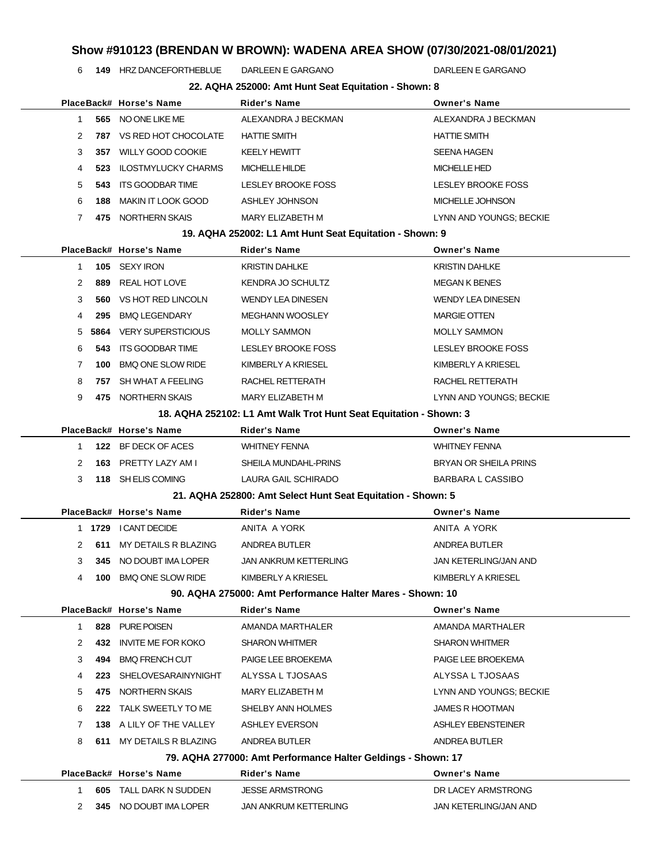**149** HRZ DANCEFORTHEBLUE DARLEEN E GARGANO DARLEEN E GARGANO

|              |      |                            | 22. AQHA 252000: Amt Hunt Seat Equitation - Shown: 8              |                           |
|--------------|------|----------------------------|-------------------------------------------------------------------|---------------------------|
|              |      | PlaceBack# Horse's Name    | <b>Rider's Name</b>                                               | <b>Owner's Name</b>       |
| 1            | 565  | NO ONE LIKE ME             | ALEXANDRA J BECKMAN                                               | ALEXANDRA J BECKMAN       |
| 2            | 787  | VS RED HOT CHOCOLATE       | <b>HATTIE SMITH</b>                                               | <b>HATTIE SMITH</b>       |
| 3            | 357  | <b>WILLY GOOD COOKIE</b>   | <b>KEELY HEWITT</b>                                               | <b>SEENA HAGEN</b>        |
| 4            | 523  | <b>ILOSTMYLUCKY CHARMS</b> | <b>MICHELLE HILDE</b>                                             | <b>MICHELLE HED</b>       |
| 5            | 543  | <b>ITS GOODBAR TIME</b>    | <b>LESLEY BROOKE FOSS</b>                                         | LESLEY BROOKE FOSS        |
| 6            | 188  | <b>MAKIN IT LOOK GOOD</b>  | ASHLEY JOHNSON                                                    | MICHELLE JOHNSON          |
| 7            | 475  | NORTHERN SKAIS             | MARY ELIZABETH M                                                  | LYNN AND YOUNGS; BECKIE   |
|              |      |                            | 19. AQHA 252002: L1 Amt Hunt Seat Equitation - Shown: 9           |                           |
|              |      | PlaceBack# Horse's Name    | <b>Rider's Name</b>                                               | <b>Owner's Name</b>       |
| $\mathbf{1}$ | 105  | SEXY IRON                  | <b>KRISTIN DAHLKE</b>                                             | <b>KRISTIN DAHLKE</b>     |
| 2            | 889  | <b>REAL HOT LOVE</b>       | <b>KENDRA JO SCHULTZ</b>                                          | <b>MEGAN K BENES</b>      |
| 3            | 560  | VS HOT RED LINCOLN         | <b>WENDY LEA DINESEN</b>                                          | <b>WENDY LEA DINESEN</b>  |
| 4            | 295  | <b>BMQ LEGENDARY</b>       | <b>MEGHANN WOOSLEY</b>                                            | <b>MARGIE OTTEN</b>       |
| 5            | 5864 | <b>VERY SUPERSTICIOUS</b>  | <b>MOLLY SAMMON</b>                                               | <b>MOLLY SAMMON</b>       |
| 6            | 543  | <b>ITS GOODBAR TIME</b>    | <b>LESLEY BROOKE FOSS</b>                                         | <b>LESLEY BROOKE FOSS</b> |
| 7            | 100  | <b>BMQ ONE SLOW RIDE</b>   | KIMBERLY A KRIESEL                                                | KIMBERLY A KRIESEL        |
| 8            | 757  | SH WHAT A FEELING          | RACHEL RETTERATH                                                  | RACHEL RETTERATH          |
| 9            |      | 475 NORTHERN SKAIS         | MARY ELIZABETH M                                                  | LYNN AND YOUNGS; BECKIE   |
|              |      |                            | 18. AQHA 252102: L1 Amt Walk Trot Hunt Seat Equitation - Shown: 3 |                           |
|              |      | PlaceBack# Horse's Name    | <b>Rider's Name</b>                                               | <b>Owner's Name</b>       |
| 1            | 122  | BF DECK OF ACES            | <b>WHITNEY FENNA</b>                                              | <b>WHITNEY FENNA</b>      |
| 2            | 163  | PRETTY LAZY AM I           | SHEILA MUNDAHL-PRINS                                              | BRYAN OR SHEILA PRINS     |
| 3            |      | 118 SH ELIS COMING         | LAURA GAIL SCHIRADO                                               | <b>BARBARA L CASSIBO</b>  |
|              |      |                            | 21. AQHA 252800: Amt Select Hunt Seat Equitation - Shown: 5       |                           |
|              |      | PlaceBack# Horse's Name    | Rider's Name                                                      | <b>Owner's Name</b>       |
| 1.           | 1729 | I CANT DECIDE              | ANITA A YORK                                                      | ANITA A YORK              |
| 2            | 611  | MY DETAILS R BLAZING       | ANDREA BUTLER                                                     | ANDREA BUTLER             |
| 3            |      | 345 NO DOUBT IMA LOPER     | <b>JAN ANKRUM KETTERLING</b>                                      | JAN KETERLING/JAN AND     |
| 4            |      | 100 BMQ ONE SLOW RIDE      | KIMBERLY A KRIESEL                                                | KIMBERLY A KRIESEL        |
|              |      |                            | 90. AQHA 275000: Amt Performance Halter Mares - Shown: 10         |                           |
|              |      | PlaceBack# Horse's Name    | <b>Rider's Name</b>                                               | <b>Owner's Name</b>       |
| 1            | 828  | PURE POISEN                | AMANDA MARTHALER                                                  | AMANDA MARTHALER          |
| 2            | 432  | <b>INVITE ME FOR KOKO</b>  | <b>SHARON WHITMER</b>                                             | <b>SHARON WHITMER</b>     |
| 3            |      |                            |                                                                   |                           |
|              | 494  | <b>BMQ FRENCH CUT</b>      | PAIGE LEE BROEKEMA                                                | PAIGE LEE BROEKEMA        |
| 4            | 223  | SHELOVESARAINYNIGHT        | ALYSSA L TJOSAAS                                                  | ALYSSA L TJOSAAS          |
| 5            | 475  | NORTHERN SKAIS             | MARY ELIZABETH M                                                  | LYNN AND YOUNGS; BECKIE   |
| 6            | 222  | TALK SWEETLY TO ME         | SHELBY ANN HOLMES                                                 | <b>JAMES R HOOTMAN</b>    |
| 7            |      | 138 A LILY OF THE VALLEY   | <b>ASHLEY EVERSON</b>                                             | ASHLEY EBENSTEINER        |
| 8            |      | 611 MY DETAILS R BLAZING   | ANDREA BUTLER                                                     | ANDREA BUTLER             |
|              |      |                            | 79. AQHA 277000: Amt Performance Halter Geldings - Shown: 17      |                           |
|              |      | PlaceBack# Horse's Name    | <b>Rider's Name</b>                                               | <b>Owner's Name</b>       |
| 1            | 605  | TALL DARK N SUDDEN         | <b>JESSE ARMSTRONG</b>                                            | DR LACEY ARMSTRONG        |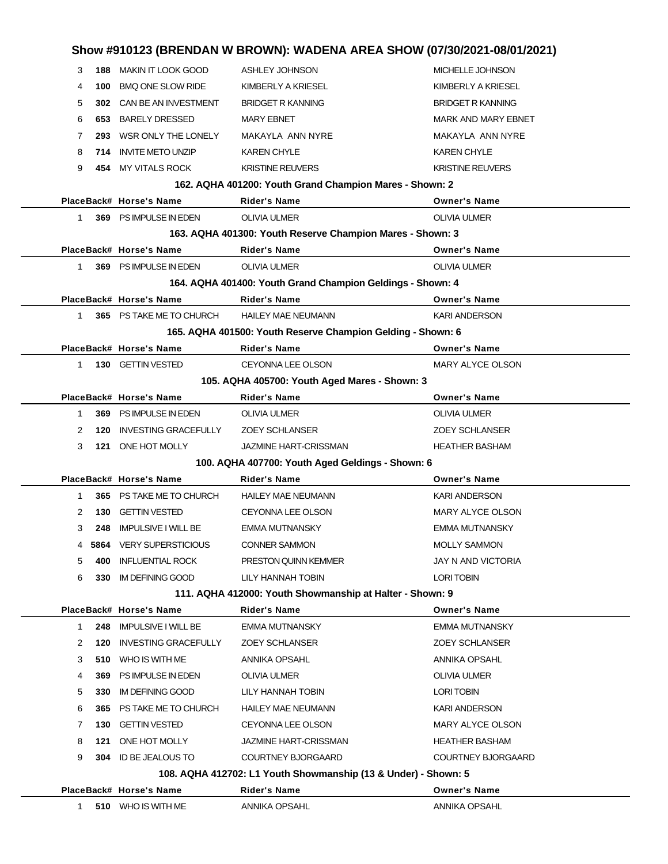| Show #910123 (BRENDAN W BROWN): WADENA AREA SHOW (07/30/2021-08/01/2021) |     |                             |                                                                                 |                            |  |
|--------------------------------------------------------------------------|-----|-----------------------------|---------------------------------------------------------------------------------|----------------------------|--|
| 3                                                                        | 188 | MAKIN IT LOOK GOOD          | ASHLEY JOHNSON                                                                  | MICHELLE JOHNSON           |  |
| 4                                                                        | 100 | <b>BMQ ONE SLOW RIDE</b>    | KIMBERLY A KRIESEL                                                              | KIMBERLY A KRIESEL         |  |
| 5                                                                        |     | 302 CAN BE AN INVESTMENT    | <b>BRIDGET R KANNING</b>                                                        | <b>BRIDGET R KANNING</b>   |  |
| 6                                                                        | 653 | <b>BARELY DRESSED</b>       | <b>MARY EBNET</b>                                                               | <b>MARK AND MARY EBNET</b> |  |
| 7                                                                        | 293 | WSR ONLY THE LONELY         | MAKAYLA ANN NYRE                                                                | MAKAYLA ANN NYRE           |  |
| 8                                                                        |     | 714 INVITE METO UNZIP       | <b>KAREN CHYLE</b>                                                              | <b>KAREN CHYLE</b>         |  |
| 9                                                                        |     | 454 MY VITALS ROCK          | <b>KRISTINE REUVERS</b>                                                         | <b>KRISTINE REUVERS</b>    |  |
|                                                                          |     |                             | 162. AQHA 401200: Youth Grand Champion Mares - Shown: 2                         |                            |  |
|                                                                          |     | PlaceBack# Horse's Name     | <b>Rider's Name</b>                                                             | <b>Owner's Name</b>        |  |
| 1                                                                        |     | 369 PS IMPULSE IN EDEN      | <b>OLIVIA ULMER</b>                                                             | <b>OLIVIA ULMER</b>        |  |
|                                                                          |     |                             | 163. AQHA 401300: Youth Reserve Champion Mares - Shown: 3                       |                            |  |
|                                                                          |     | PlaceBack# Horse's Name     | <b>Rider's Name</b>                                                             | <b>Owner's Name</b>        |  |
| 1.                                                                       |     | 369 PS IMPULSE IN EDEN      | <b>OLIVIA ULMER</b>                                                             | <b>OLIVIA ULMER</b>        |  |
|                                                                          |     |                             | 164. AQHA 401400: Youth Grand Champion Geldings - Shown: 4                      |                            |  |
|                                                                          |     | PlaceBack# Horse's Name     | <b>Rider's Name</b>                                                             | <b>Owner's Name</b>        |  |
| 1                                                                        |     | 365 PS TAKE ME TO CHURCH    | <b>HAILEY MAE NEUMANN</b>                                                       | <b>KARI ANDERSON</b>       |  |
|                                                                          |     |                             | 165. AQHA 401500: Youth Reserve Champion Gelding - Shown: 6                     |                            |  |
|                                                                          |     | PlaceBack# Horse's Name     | <b>Rider's Name</b>                                                             | <b>Owner's Name</b>        |  |
| $1 \quad$                                                                |     | 130 GETTIN VESTED           | CEYONNA LEE OLSON                                                               | MARY ALYCE OLSON           |  |
| 105. AQHA 405700: Youth Aged Mares - Shown: 3<br>PlaceBack# Horse's Name |     |                             |                                                                                 |                            |  |
|                                                                          |     |                             | <b>Rider's Name</b>                                                             | <b>Owner's Name</b>        |  |
| $\mathbf 1$                                                              |     | 369 PS IMPULSE IN EDEN      | <b>OLIVIA ULMER</b>                                                             | <b>OLIVIA ULMER</b>        |  |
| 2                                                                        | 120 | <b>INVESTING GRACEFULLY</b> | <b>ZOEY SCHLANSER</b>                                                           | <b>ZOEY SCHLANSER</b>      |  |
| 3                                                                        |     | 121 ONE HOT MOLLY           | <b>JAZMINE HART-CRISSMAN</b>                                                    | <b>HEATHER BASHAM</b>      |  |
|                                                                          |     |                             | 100. AQHA 407700: Youth Aged Geldings - Shown: 6                                |                            |  |
|                                                                          |     | PlaceBack# Horse's Name     | <b>Rider's Name</b>                                                             | <b>Owner's Name</b>        |  |
| 1.                                                                       | 365 | PS TAKE ME TO CHURCH        | <b>HAILEY MAE NEUMANN</b>                                                       | <b>KARI ANDERSON</b>       |  |
| 2                                                                        |     | 130 GETTIN VESTED           | <b>CEYONNA LEE OLSON</b>                                                        | MARY ALYCE OLSON           |  |
| 3                                                                        |     | 248 IMPULSIVE I WILL BE     | <b>EMMA MUTNANSKY</b>                                                           | <b>EMMA MUTNANSKY</b>      |  |
|                                                                          |     | 4 5864 VERY SUPERSTICIOUS   | <b>CONNER SAMMON</b>                                                            | <b>MOLLY SAMMON</b>        |  |
| 5                                                                        | 400 | <b>INFLUENTIAL ROCK</b>     | PRESTON QUINN KEMMER                                                            | JAY N AND VICTORIA         |  |
| 6                                                                        | 330 | IM DEFINING GOOD            | LILY HANNAH TOBIN                                                               | LORI TOBIN                 |  |
|                                                                          |     | PlaceBack# Horse's Name     | 111. AQHA 412000: Youth Showmanship at Halter - Shown: 9<br><b>Rider's Name</b> | <b>Owner's Name</b>        |  |
| 1                                                                        | 248 | <b>IMPULSIVE I WILL BE</b>  | EMMA MUTNANSKY                                                                  | EMMA MUTNANSKY             |  |
| 2                                                                        | 120 | <b>INVESTING GRACEFULLY</b> | <b>ZOEY SCHLANSER</b>                                                           | <b>ZOEY SCHLANSER</b>      |  |
| 3                                                                        | 510 | WHO IS WITH ME              | ANNIKA OPSAHL                                                                   | ANNIKA OPSAHL              |  |
| 4                                                                        | 369 | PS IMPULSE IN EDEN          | OLIVIA ULMER                                                                    | OLIVIA ULMER               |  |
| 5                                                                        | 330 | <b>IM DEFINING GOOD</b>     | LILY HANNAH TOBIN                                                               | LORI TOBIN                 |  |
| 6                                                                        | 365 | PS TAKE ME TO CHURCH        | <b>HAILEY MAE NEUMANN</b>                                                       | KARI ANDERSON              |  |
| 7                                                                        | 130 | GETTIN VESTED               | CEYONNA LEE OLSON                                                               | MARY ALYCE OLSON           |  |
| 8                                                                        | 121 | ONE HOT MOLLY               | JAZMINE HART-CRISSMAN                                                           | <b>HEATHER BASHAM</b>      |  |
| 9                                                                        | 304 | ID BE JEALOUS TO            | <b>COURTNEY BJORGAARD</b>                                                       | <b>COURTNEY BJORGAARD</b>  |  |
|                                                                          |     |                             | 108. AQHA 412702: L1 Youth Showmanship (13 & Under) - Shown: 5                  |                            |  |
|                                                                          |     | PlaceBack# Horse's Name     | Rider's Name                                                                    | <b>Owner's Name</b>        |  |
| 1.                                                                       |     | 510 WHO IS WITH ME          | ANNIKA OPSAHL                                                                   | ANNIKA OPSAHL              |  |
|                                                                          |     |                             |                                                                                 |                            |  |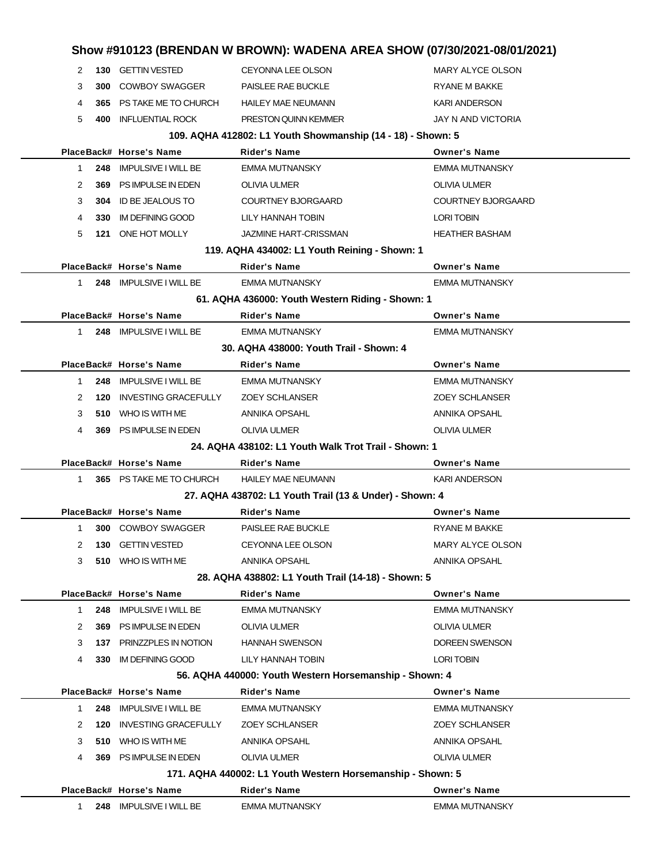|                                                        |                                                            |     |                             | Show #910123 (BRENDAN W BROWN): WADENA AREA SHOW (07/30/2021-08/01/2021) |                           |  |
|--------------------------------------------------------|------------------------------------------------------------|-----|-----------------------------|--------------------------------------------------------------------------|---------------------------|--|
|                                                        | 2                                                          |     | 130 GETTIN VESTED           | CEYONNA LEE OLSON                                                        | MARY ALYCE OLSON          |  |
|                                                        | 3                                                          | 300 | <b>COWBOY SWAGGER</b>       | PAISLEE RAE BUCKLE                                                       | <b>RYANE M BAKKE</b>      |  |
|                                                        | 4                                                          | 365 | PS TAKE ME TO CHURCH        | <b>HAILEY MAE NEUMANN</b>                                                | <b>KARI ANDERSON</b>      |  |
|                                                        | 5                                                          |     | <b>400 INFLUENTIAL ROCK</b> | PRESTON QUINN KEMMER                                                     | JAY N AND VICTORIA        |  |
|                                                        |                                                            |     |                             | 109. AQHA 412802: L1 Youth Showmanship (14 - 18) - Shown: 5              |                           |  |
|                                                        |                                                            |     | PlaceBack# Horse's Name     | Rider's Name                                                             | <b>Owner's Name</b>       |  |
|                                                        | $\mathbf{1}$                                               | 248 | <b>IMPULSIVE I WILL BE</b>  | <b>EMMA MUTNANSKY</b>                                                    | <b>EMMA MUTNANSKY</b>     |  |
|                                                        | 2                                                          | 369 | PS IMPULSE IN EDEN          | <b>OLIVIA ULMER</b>                                                      | OLIVIA ULMER              |  |
|                                                        | 3                                                          | 304 | ID BE JEALOUS TO            | <b>COURTNEY BJORGAARD</b>                                                | <b>COURTNEY BJORGAARD</b> |  |
|                                                        | 4                                                          | 330 | IM DEFINING GOOD            | LILY HANNAH TOBIN                                                        | <b>LORI TOBIN</b>         |  |
|                                                        | 5                                                          |     | 121 ONE HOT MOLLY           | <b>JAZMINE HART-CRISSMAN</b>                                             | <b>HEATHER BASHAM</b>     |  |
|                                                        |                                                            |     |                             | 119. AQHA 434002: L1 Youth Reining - Shown: 1                            |                           |  |
|                                                        |                                                            |     | PlaceBack# Horse's Name     | Rider's Name                                                             | <b>Owner's Name</b>       |  |
|                                                        | $\mathbf{1}$                                               |     | 248 IMPULSIVE I WILL BE     | EMMA MUTNANSKY                                                           | <b>EMMA MUTNANSKY</b>     |  |
|                                                        |                                                            |     |                             | 61. AQHA 436000: Youth Western Riding - Shown: 1                         |                           |  |
|                                                        |                                                            |     | PlaceBack# Horse's Name     | Rider's Name                                                             | <b>Owner's Name</b>       |  |
|                                                        | $\mathbf{1}$                                               |     | 248 IMPULSIVE I WILL BE     | EMMA MUTNANSKY                                                           | EMMA MUTNANSKY            |  |
|                                                        |                                                            |     |                             | 30. AQHA 438000: Youth Trail - Shown: 4                                  |                           |  |
|                                                        |                                                            |     | PlaceBack# Horse's Name     | <b>Rider's Name</b>                                                      | <b>Owner's Name</b>       |  |
|                                                        | 1                                                          | 248 | <b>IMPULSIVE I WILL BE</b>  | EMMA MUTNANSKY                                                           | <b>EMMA MUTNANSKY</b>     |  |
|                                                        | 2                                                          | 120 | <b>INVESTING GRACEFULLY</b> | <b>ZOEY SCHLANSER</b>                                                    | <b>ZOEY SCHLANSER</b>     |  |
|                                                        | 3                                                          | 510 | WHO IS WITH ME              | ANNIKA OPSAHL                                                            | ANNIKA OPSAHL             |  |
|                                                        | 4                                                          |     | 369 PS IMPULSE IN EDEN      | <b>OLIVIA ULMER</b>                                                      | OLIVIA ULMER              |  |
|                                                        |                                                            |     |                             | 24. AQHA 438102: L1 Youth Walk Trot Trail - Shown: 1                     |                           |  |
|                                                        |                                                            |     | PlaceBack# Horse's Name     | Rider's Name                                                             | <b>Owner's Name</b>       |  |
|                                                        | $\mathbf{1}$                                               |     | 365 PS TAKE ME TO CHURCH    | <b>HAILEY MAE NEUMANN</b>                                                | <b>KARI ANDERSON</b>      |  |
|                                                        |                                                            |     |                             | 27. AQHA 438702: L1 Youth Trail (13 & Under) - Shown: 4                  |                           |  |
|                                                        |                                                            |     | PlaceBack# Horse's Name     | <b>Rider's Name</b>                                                      | <b>Owner's Name</b>       |  |
|                                                        | $\mathbf 1$                                                |     | 300 COWBOY SWAGGER          | PAISLEE RAE BUCKLE                                                       | RYANE M BAKKE             |  |
|                                                        | 2                                                          | 130 | <b>GETTIN VESTED</b>        | CEYONNA LEE OLSON                                                        | <b>MARY ALYCE OLSON</b>   |  |
|                                                        | 3                                                          |     | 510 WHO IS WITH ME          | ANNIKA OPSAHL                                                            | ANNIKA OPSAHL             |  |
|                                                        | 28. AQHA 438802: L1 Youth Trail (14-18) - Shown: 5         |     |                             |                                                                          |                           |  |
|                                                        |                                                            |     | PlaceBack# Horse's Name     | <b>Rider's Name</b>                                                      | <b>Owner's Name</b>       |  |
|                                                        | $\mathbf{1}$                                               |     | 248 IMPULSIVE I WILL BE     | EMMA MUTNANSKY                                                           | <b>EMMA MUTNANSKY</b>     |  |
|                                                        | 2                                                          | 369 | PS IMPULSE IN EDEN          | OLIVIA ULMER                                                             | OLIVIA ULMER              |  |
|                                                        | 3                                                          |     | 137 PRINZZPLES IN NOTION    | <b>HANNAH SWENSON</b>                                                    | <b>DOREEN SWENSON</b>     |  |
|                                                        | 4                                                          |     | 330 IM DEFINING GOOD        | LILY HANNAH TOBIN                                                        | <b>LORI TOBIN</b>         |  |
| 56. AQHA 440000: Youth Western Horsemanship - Shown: 4 |                                                            |     |                             |                                                                          |                           |  |
|                                                        |                                                            |     | PlaceBack# Horse's Name     | <b>Rider's Name</b>                                                      | <b>Owner's Name</b>       |  |
|                                                        | $\mathbf 1$                                                | 248 | <b>IMPULSIVE I WILL BE</b>  | EMMA MUTNANSKY                                                           | <b>EMMA MUTNANSKY</b>     |  |
|                                                        | 2                                                          | 120 | <b>INVESTING GRACEFULLY</b> | <b>ZOEY SCHLANSER</b>                                                    | <b>ZOEY SCHLANSER</b>     |  |
|                                                        | 3                                                          |     | 510 WHO IS WITH ME          | ANNIKA OPSAHL                                                            | ANNIKA OPSAHL             |  |
|                                                        | 4                                                          |     | 369 PS IMPULSE IN EDEN      | <b>OLIVIA ULMER</b>                                                      | OLIVIA ULMER              |  |
|                                                        | 171. AQHA 440002: L1 Youth Western Horsemanship - Shown: 5 |     |                             |                                                                          |                           |  |
|                                                        |                                                            |     | PlaceBack# Horse's Name     | <b>Rider's Name</b>                                                      | <b>Owner's Name</b>       |  |
|                                                        | 1                                                          |     | 248 IMPULSIVE I WILL BE     | <b>EMMA MUTNANSKY</b>                                                    | <b>EMMA MUTNANSKY</b>     |  |
|                                                        |                                                            |     |                             |                                                                          |                           |  |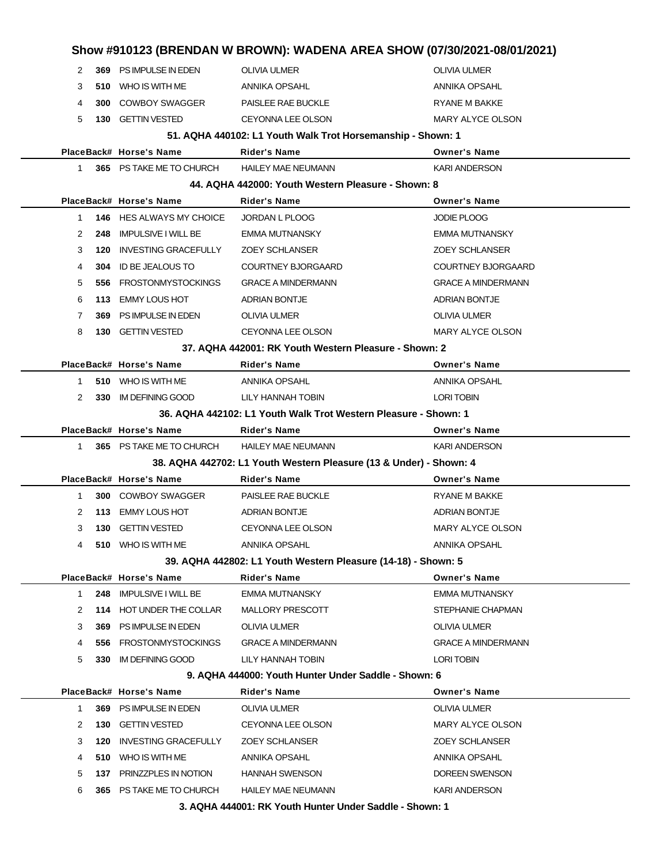|                                                               |                                                             |     |                                 |                                                                    | Show #910123 (BRENDAN W BROWN): WADENA AREA SHOW (07/30/2021-08/01/2021) |  |
|---------------------------------------------------------------|-------------------------------------------------------------|-----|---------------------------------|--------------------------------------------------------------------|--------------------------------------------------------------------------|--|
|                                                               | 2                                                           |     | 369 PS IMPULSE IN EDEN          | <b>OLIVIA ULMER</b>                                                | <b>OLIVIA ULMER</b>                                                      |  |
|                                                               | 3                                                           |     | 510 WHO IS WITH ME              | ANNIKA OPSAHL                                                      | ANNIKA OPSAHL                                                            |  |
|                                                               | 4                                                           |     | <b>300 COWBOY SWAGGER</b>       | PAISLEE RAE BUCKLE                                                 | <b>RYANE M BAKKE</b>                                                     |  |
|                                                               | 5                                                           |     | <b>130 GETTIN VESTED</b>        | <b>CEYONNA LEE OLSON</b>                                           | <b>MARY ALYCE OLSON</b>                                                  |  |
|                                                               | 51. AQHA 440102: L1 Youth Walk Trot Horsemanship - Shown: 1 |     |                                 |                                                                    |                                                                          |  |
|                                                               |                                                             |     | PlaceBack# Horse's Name         | <b>Rider's Name</b>                                                | <b>Owner's Name</b>                                                      |  |
|                                                               | $\mathbf{1}$                                                |     | 365 PS TAKE ME TO CHURCH        | <b>HAILEY MAE NEUMANN</b>                                          | <b>KARI ANDERSON</b>                                                     |  |
|                                                               |                                                             |     |                                 | 44. AQHA 442000: Youth Western Pleasure - Shown: 8                 |                                                                          |  |
|                                                               |                                                             |     | PlaceBack# Horse's Name         | <b>Rider's Name</b>                                                | <b>Owner's Name</b>                                                      |  |
|                                                               | $\mathbf 1$                                                 |     | <b>146 HES ALWAYS MY CHOICE</b> | JORDAN L PLOOG                                                     | <b>JODIE PLOOG</b>                                                       |  |
|                                                               | 2                                                           | 248 | <b>IMPULSIVE I WILL BE</b>      | <b>EMMA MUTNANSKY</b>                                              | <b>EMMA MUTNANSKY</b>                                                    |  |
|                                                               | 3                                                           | 120 | <b>INVESTING GRACEFULLY</b>     | <b>ZOEY SCHLANSER</b>                                              | <b>ZOEY SCHLANSER</b>                                                    |  |
|                                                               | 4                                                           | 304 | ID BE JEALOUS TO                | <b>COURTNEY BJORGAARD</b>                                          | <b>COURTNEY BJORGAARD</b>                                                |  |
|                                                               | 5                                                           | 556 | <b>FROSTONMYSTOCKINGS</b>       | <b>GRACE A MINDERMANN</b>                                          | <b>GRACE A MINDERMANN</b>                                                |  |
|                                                               | 6                                                           | 113 | <b>EMMY LOUS HOT</b>            | <b>ADRIAN BONTJE</b>                                               | <b>ADRIAN BONTJE</b>                                                     |  |
|                                                               | 7                                                           | 369 | PS IMPULSE IN EDEN              | <b>OLIVIA ULMER</b>                                                | <b>OLIVIA ULMER</b>                                                      |  |
|                                                               | 8                                                           |     | 130 GETTIN VESTED               | <b>CEYONNA LEE OLSON</b>                                           | MARY ALYCE OLSON                                                         |  |
|                                                               |                                                             |     |                                 | 37. AQHA 442001: RK Youth Western Pleasure - Shown: 2              |                                                                          |  |
|                                                               |                                                             |     | PlaceBack# Horse's Name         | <b>Rider's Name</b>                                                | <b>Owner's Name</b>                                                      |  |
|                                                               | 1                                                           |     | 510 WHO IS WITH ME              | ANNIKA OPSAHL                                                      | <b>ANNIKA OPSAHL</b>                                                     |  |
|                                                               | 2                                                           |     | 330 IM DEFINING GOOD            | LILY HANNAH TOBIN                                                  | <b>LORI TOBIN</b>                                                        |  |
|                                                               |                                                             |     |                                 | 36. AQHA 442102: L1 Youth Walk Trot Western Pleasure - Shown: 1    |                                                                          |  |
|                                                               |                                                             |     | PlaceBack# Horse's Name         | <b>Rider's Name</b>                                                | <b>Owner's Name</b>                                                      |  |
|                                                               | $1 \quad$                                                   |     | 365 PS TAKE ME TO CHURCH        | <b>HAILEY MAE NEUMANN</b>                                          | <b>KARI ANDERSON</b>                                                     |  |
|                                                               |                                                             |     |                                 | 38. AQHA 442702: L1 Youth Western Pleasure (13 & Under) - Shown: 4 |                                                                          |  |
|                                                               |                                                             |     | PlaceBack# Horse's Name         | <b>Rider's Name</b>                                                | <b>Owner's Name</b>                                                      |  |
|                                                               | $\mathbf 1$                                                 |     | <b>300 COWBOY SWAGGER</b>       | PAISLEE RAE BUCKLE                                                 | RYANE M BAKKE                                                            |  |
|                                                               | 2                                                           | 113 | EMMY LOUS HOT                   | <b>ADRIAN BONTJE</b>                                               | <b>ADRIAN BONTJE</b>                                                     |  |
|                                                               | 3                                                           |     | 130 GETTIN VESTED               | CEYONNA LEE OLSON                                                  | <b>MARY ALYCE OLSON</b>                                                  |  |
|                                                               |                                                             |     | 510 WHO IS WITH ME              | ANNIKA OPSAHL                                                      | ANNIKA OPSAHL                                                            |  |
| 39. AQHA 442802: L1 Youth Western Pleasure (14-18) - Shown: 5 |                                                             |     |                                 |                                                                    |                                                                          |  |
|                                                               |                                                             |     | PlaceBack# Horse's Name         | <b>Rider's Name</b>                                                | <b>Owner's Name</b>                                                      |  |
|                                                               | $\mathbf{1}$                                                | 248 | <b>IMPULSIVE I WILL BE</b>      | <b>EMMA MUTNANSKY</b>                                              | <b>EMMA MUTNANSKY</b>                                                    |  |
|                                                               | 2                                                           |     | 114 HOT UNDER THE COLLAR        | MALLORY PRESCOTT                                                   | STEPHANIE CHAPMAN                                                        |  |
|                                                               | 3                                                           | 369 | PS IMPULSE IN EDEN              | OLIVIA ULMER                                                       | OLIVIA ULMER                                                             |  |
|                                                               | 4                                                           | 556 | <b>FROSTONMYSTOCKINGS</b>       | <b>GRACE A MINDERMANN</b>                                          | <b>GRACE A MINDERMANN</b>                                                |  |
|                                                               | 5                                                           | 330 | IM DEFINING GOOD                | LILY HANNAH TOBIN                                                  | <b>LORI TOBIN</b>                                                        |  |
|                                                               |                                                             |     |                                 | 9. AQHA 444000: Youth Hunter Under Saddle - Shown: 6               |                                                                          |  |
|                                                               |                                                             |     | PlaceBack# Horse's Name         | Rider's Name                                                       | <b>Owner's Name</b>                                                      |  |
|                                                               | 1                                                           | 369 | PS IMPULSE IN EDEN              | OLIVIA ULMER                                                       | OLIVIA ULMER                                                             |  |
|                                                               | 2                                                           | 130 | <b>GETTIN VESTED</b>            | CEYONNA LEE OLSON                                                  | MARY ALYCE OLSON                                                         |  |
|                                                               | 3                                                           | 120 | <b>INVESTING GRACEFULLY</b>     | <b>ZOEY SCHLANSER</b>                                              | <b>ZOEY SCHLANSER</b>                                                    |  |
|                                                               | 4                                                           |     | 510 WHO IS WITH ME              | ANNIKA OPSAHL                                                      | ANNIKA OPSAHL                                                            |  |
|                                                               | 5                                                           |     | 137 PRINZZPLES IN NOTION        | <b>HANNAH SWENSON</b>                                              | DOREEN SWENSON                                                           |  |
|                                                               | 6                                                           |     | 365 PS TAKE ME TO CHURCH        | <b>HAILEY MAE NEUMANN</b>                                          | <b>KARI ANDERSON</b>                                                     |  |
|                                                               | 3. AQHA 444001: RK Youth Hunter Under Saddle - Shown: 1     |     |                                 |                                                                    |                                                                          |  |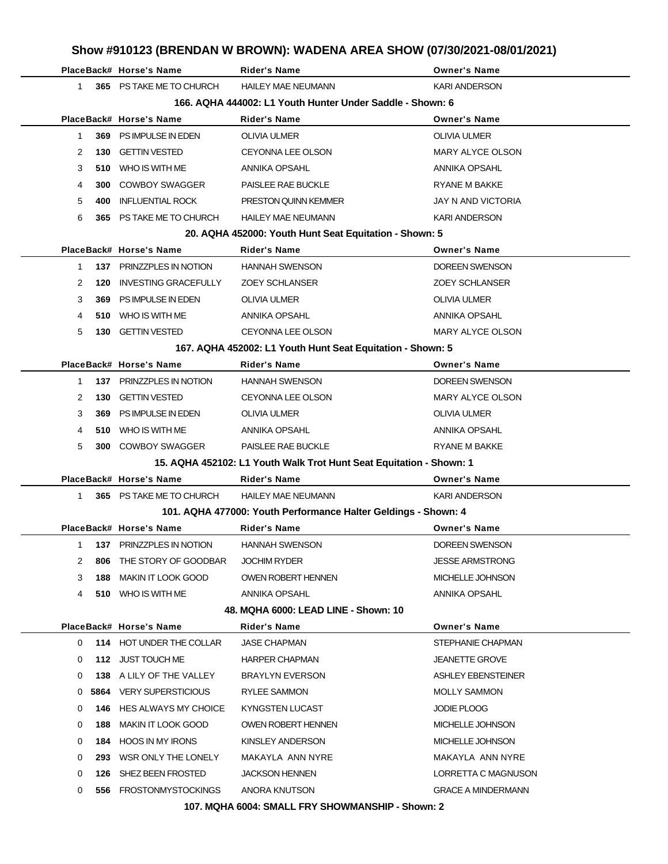|   |     | PlaceBack# Horse's Name     | <b>Rider's Name</b>                                                 | Show #910123 (BRENDAN W BROWN): WADENA AREA SHOW (07/30/2021-08/01/2021)<br><b>Owner's Name</b> |
|---|-----|-----------------------------|---------------------------------------------------------------------|-------------------------------------------------------------------------------------------------|
| 1 |     | 365 PS TAKE ME TO CHURCH    | <b>HAILEY MAE NEUMANN</b>                                           | <b>KARI ANDERSON</b>                                                                            |
|   |     |                             | 166. AQHA 444002: L1 Youth Hunter Under Saddle - Shown: 6           |                                                                                                 |
|   |     | PlaceBack# Horse's Name     | Rider's Name                                                        | <b>Owner's Name</b>                                                                             |
| 1 | 369 | PS IMPULSE IN EDEN          | <b>OLIVIA ULMER</b>                                                 | <b>OLIVIA ULMER</b>                                                                             |
| 2 | 130 | <b>GETTIN VESTED</b>        | CEYONNA LEE OLSON                                                   | MARY ALYCE OLSON                                                                                |
| 3 |     | 510 WHO IS WITH ME          | ANNIKA OPSAHL                                                       | ANNIKA OPSAHL                                                                                   |
| 4 | 300 | <b>COWBOY SWAGGER</b>       | PAISLEE RAE BUCKLE                                                  | <b>RYANE M BAKKE</b>                                                                            |
| 5 | 400 | <b>INFLUENTIAL ROCK</b>     | PRESTON QUINN KEMMER                                                | JAY N AND VICTORIA                                                                              |
| 6 |     | 365 PS TAKE ME TO CHURCH    | <b>HAILEY MAE NEUMANN</b>                                           | <b>KARI ANDERSON</b>                                                                            |
|   |     |                             | 20. AQHA 452000: Youth Hunt Seat Equitation - Shown: 5              |                                                                                                 |
|   |     | PlaceBack# Horse's Name     | Rider's Name                                                        | <b>Owner's Name</b>                                                                             |
| 1 |     | 137 PRINZZPLES IN NOTION    | <b>HANNAH SWENSON</b>                                               | <b>DOREEN SWENSON</b>                                                                           |
| 2 | 120 | <b>INVESTING GRACEFULLY</b> | <b>ZOEY SCHLANSER</b>                                               | <b>ZOEY SCHLANSER</b>                                                                           |
| 3 | 369 | PS IMPULSE IN EDEN          | <b>OLIVIA ULMER</b>                                                 | <b>OLIVIA ULMER</b>                                                                             |
| 4 |     | 510 WHO IS WITH ME          | ANNIKA OPSAHL                                                       | ANNIKA OPSAHL                                                                                   |
| 5 | 130 | <b>GETTIN VESTED</b>        | <b>CEYONNA LEE OLSON</b>                                            | MARY ALYCE OLSON                                                                                |
|   |     |                             | 167. AQHA 452002: L1 Youth Hunt Seat Equitation - Shown: 5          |                                                                                                 |
|   |     | PlaceBack# Horse's Name     | <b>Rider's Name</b>                                                 | <b>Owner's Name</b>                                                                             |
| 1 |     | 137 PRINZZPLES IN NOTION    | <b>HANNAH SWENSON</b>                                               | DOREEN SWENSON                                                                                  |
| 2 | 130 | <b>GETTIN VESTED</b>        | CEYONNA LEE OLSON                                                   | MARY ALYCE OLSON                                                                                |
| 3 | 369 | PS IMPULSE IN EDEN          | <b>OLIVIA ULMER</b>                                                 | <b>OLIVIA ULMER</b>                                                                             |
| 4 |     | 510 WHO IS WITH ME          | ANNIKA OPSAHL                                                       | ANNIKA OPSAHL                                                                                   |
| 5 | 300 | <b>COWBOY SWAGGER</b>       | PAISLEE RAE BUCKLE                                                  | RYANE M BAKKE                                                                                   |
|   |     |                             | 15. AQHA 452102: L1 Youth Walk Trot Hunt Seat Equitation - Shown: 1 |                                                                                                 |
|   |     | PlaceBack# Horse's Name     | <b>Rider's Name</b>                                                 | <b>Owner's Name</b>                                                                             |
| 1 |     | 365 PS TAKE ME TO CHURCH    | <b>HAILEY MAE NEUMANN</b>                                           | <b>KARI ANDERSON</b>                                                                            |
|   |     |                             | 101. AQHA 477000: Youth Performance Halter Geldings - Shown: 4      |                                                                                                 |
|   |     | PlaceBack# Horse's Name     | Rider's Name                                                        | <b>Owner's Name</b>                                                                             |
| 1 | 137 | PRINZZPLES IN NOTION        | <b>HANNAH SWENSON</b>                                               | <b>DOREEN SWENSON</b>                                                                           |
| 2 | 806 | THE STORY OF GOODBAR        | <b>JOCHIM RYDER</b>                                                 | <b>JESSE ARMSTRONG</b>                                                                          |
| 3 | 188 | <b>MAKIN IT LOOK GOOD</b>   | OWEN ROBERT HENNEN                                                  | MICHELLE JOHNSON                                                                                |
| 4 |     | 510 WHO IS WITH ME          | ANNIKA OPSAHL                                                       | ANNIKA OPSAHL                                                                                   |
|   |     |                             | 48. MQHA 6000: LEAD LINE - Shown: 10                                |                                                                                                 |
|   |     | PlaceBack# Horse's Name     | Rider's Name                                                        | <b>Owner's Name</b>                                                                             |
| 0 |     | 114 HOT UNDER THE COLLAR    | <b>JASE CHAPMAN</b>                                                 | STEPHANIE CHAPMAN                                                                               |
| 0 |     | 112 JUST TOUCH ME           | <b>HARPER CHAPMAN</b>                                               | <b>JEANETTE GROVE</b>                                                                           |
| 0 |     | 138 A LILY OF THE VALLEY    | <b>BRAYLYN EVERSON</b>                                              | ASHLEY EBENSTEINER                                                                              |
| 0 |     | 5864 VERY SUPERSTICIOUS     | RYLEE SAMMON                                                        | <b>MOLLY SAMMON</b>                                                                             |
| 0 | 146 | HES ALWAYS MY CHOICE        | KYNGSTEN LUCAST                                                     | <b>JODIE PLOOG</b>                                                                              |
| 0 | 188 | MAKIN IT LOOK GOOD          | <b>OWEN ROBERT HENNEN</b>                                           | MICHELLE JOHNSON                                                                                |
| 0 |     | 184 HOOS IN MY IRONS        | KINSLEY ANDERSON                                                    | MICHELLE JOHNSON                                                                                |
| 0 | 293 | WSR ONLY THE LONELY         | MAKAYLA ANN NYRE                                                    | MAKAYLA ANN NYRE                                                                                |
| 0 | 126 | SHEZ BEEN FROSTED           | <b>JACKSON HENNEN</b>                                               | LORRETTA C MAGNUSON                                                                             |
| 0 |     | 556 FROSTONMYSTOCKINGS      | ANORA KNUTSON                                                       | <b>GRACE A MINDERMANN</b>                                                                       |

**107. MQHA 6004: SMALL FRY SHOWMANSHIP - Shown: 2**